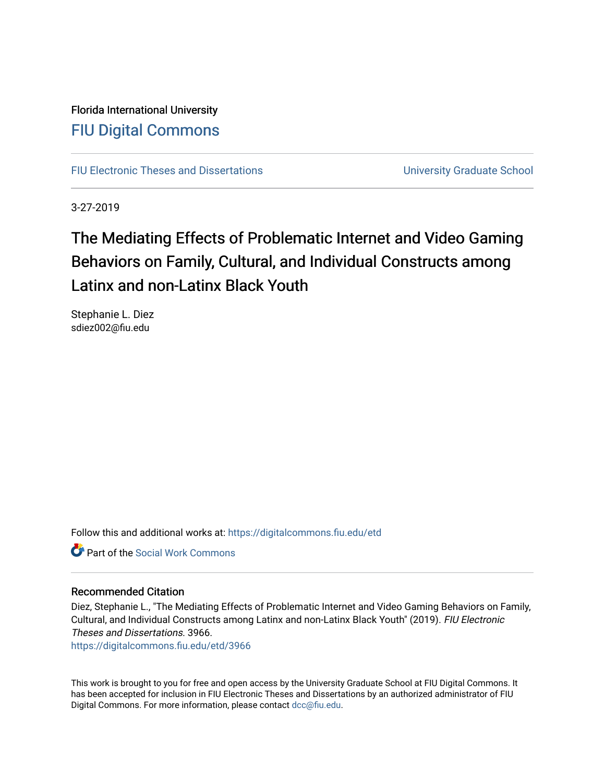Florida International University [FIU Digital Commons](https://digitalcommons.fiu.edu/)

[FIU Electronic Theses and Dissertations](https://digitalcommons.fiu.edu/etd) **EXECUTE:** University Graduate School

3-27-2019

# The Mediating Effects of Problematic Internet and Video Gaming Behaviors on Family, Cultural, and Individual Constructs among Latinx and non-Latinx Black Youth

Stephanie L. Diez sdiez002@fiu.edu

Follow this and additional works at: [https://digitalcommons.fiu.edu/etd](https://digitalcommons.fiu.edu/etd?utm_source=digitalcommons.fiu.edu%2Fetd%2F3966&utm_medium=PDF&utm_campaign=PDFCoverPages)

**C** Part of the [Social Work Commons](http://network.bepress.com/hgg/discipline/713?utm_source=digitalcommons.fiu.edu%2Fetd%2F3966&utm_medium=PDF&utm_campaign=PDFCoverPages)

# Recommended Citation

Diez, Stephanie L., "The Mediating Effects of Problematic Internet and Video Gaming Behaviors on Family, Cultural, and Individual Constructs among Latinx and non-Latinx Black Youth" (2019). FIU Electronic Theses and Dissertations. 3966.

[https://digitalcommons.fiu.edu/etd/3966](https://digitalcommons.fiu.edu/etd/3966?utm_source=digitalcommons.fiu.edu%2Fetd%2F3966&utm_medium=PDF&utm_campaign=PDFCoverPages) 

This work is brought to you for free and open access by the University Graduate School at FIU Digital Commons. It has been accepted for inclusion in FIU Electronic Theses and Dissertations by an authorized administrator of FIU Digital Commons. For more information, please contact [dcc@fiu.edu](mailto:dcc@fiu.edu).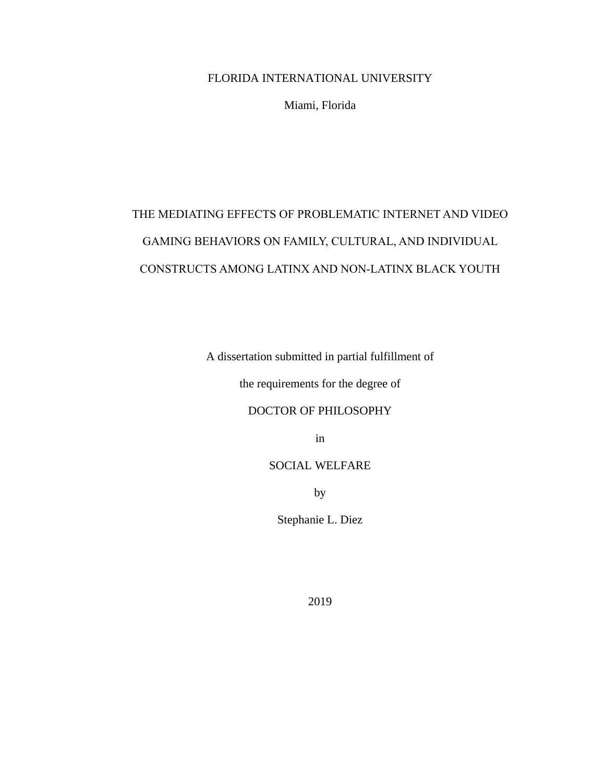# FLORIDA INTERNATIONAL UNIVERSITY

Miami, Florida

# THE MEDIATING EFFECTS OF PROBLEMATIC INTERNET AND VIDEO GAMING BEHAVIORS ON FAMILY, CULTURAL, AND INDIVIDUAL CONSTRUCTS AMONG LATINX AND NON-LATINX BLACK YOUTH

A dissertation submitted in partial fulfillment of

the requirements for the degree of

DOCTOR OF PHILOSOPHY

in

SOCIAL WELFARE

by

Stephanie L. Diez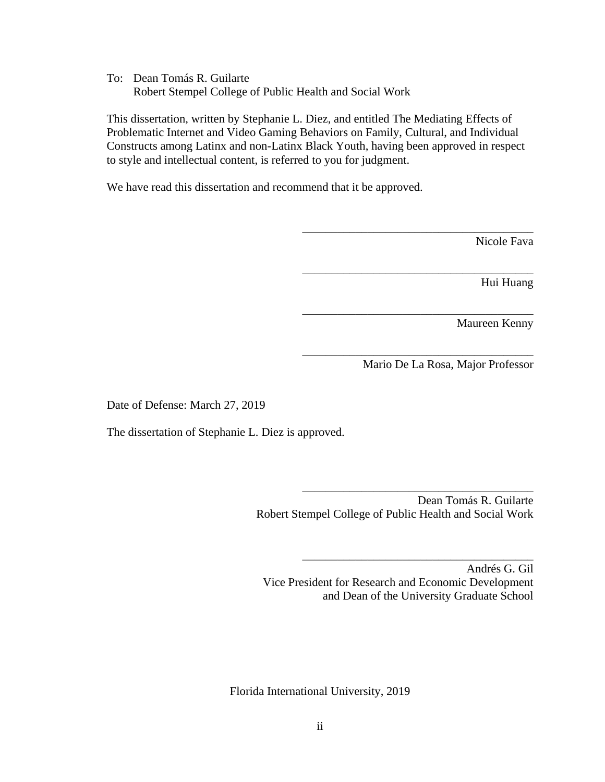To: Dean Tomás R. Guilarte Robert Stempel College of Public Health and Social Work

This dissertation, written by Stephanie L. Diez, and entitled The Mediating Effects of Problematic Internet and Video Gaming Behaviors on Family, Cultural, and Individual Constructs among Latinx and non-Latinx Black Youth, having been approved in respect to style and intellectual content, is referred to you for judgment.

We have read this dissertation and recommend that it be approved.

Nicole Fava

Hui Huang

Maureen Kenny

Mario De La Rosa, Major Professor

\_\_\_\_\_\_\_\_\_\_\_\_\_\_\_\_\_\_\_\_\_\_\_\_\_\_\_\_\_\_\_\_\_\_\_\_\_\_\_

\_\_\_\_\_\_\_\_\_\_\_\_\_\_\_\_\_\_\_\_\_\_\_\_\_\_\_\_\_\_\_\_\_\_\_\_\_\_\_

\_\_\_\_\_\_\_\_\_\_\_\_\_\_\_\_\_\_\_\_\_\_\_\_\_\_\_\_\_\_\_\_\_\_\_\_\_\_\_

\_\_\_\_\_\_\_\_\_\_\_\_\_\_\_\_\_\_\_\_\_\_\_\_\_\_\_\_\_\_\_\_\_\_\_\_\_\_\_

\_\_\_\_\_\_\_\_\_\_\_\_\_\_\_\_\_\_\_\_\_\_\_\_\_\_\_\_\_\_\_\_\_\_\_\_\_\_\_

\_\_\_\_\_\_\_\_\_\_\_\_\_\_\_\_\_\_\_\_\_\_\_\_\_\_\_\_\_\_\_\_\_\_\_\_\_\_\_

Date of Defense: March 27, 2019

The dissertation of Stephanie L. Diez is approved.

 Dean Tomás R. Guilarte Robert Stempel College of Public Health and Social Work

Andrés G. Gil Vice President for Research and Economic Development and Dean of the University Graduate School

Florida International University, 2019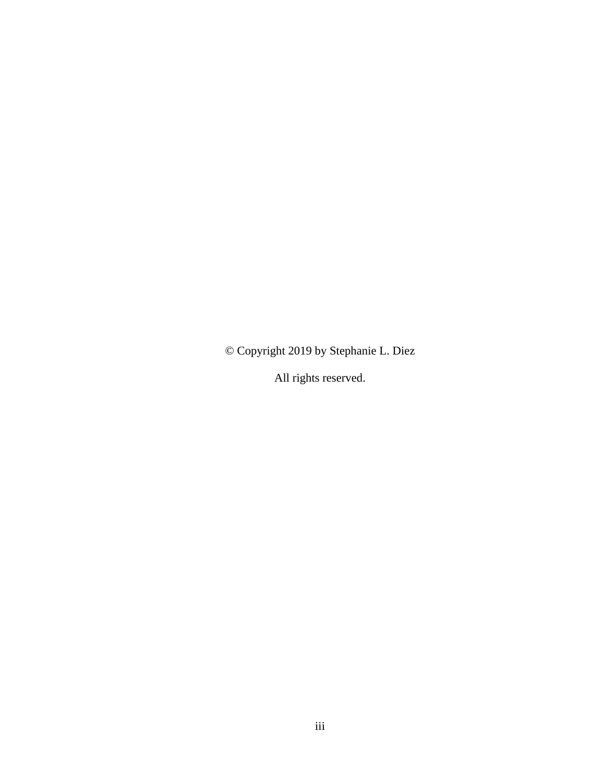© Copyright 2019 by Stephanie L. Diez

All rights reserved.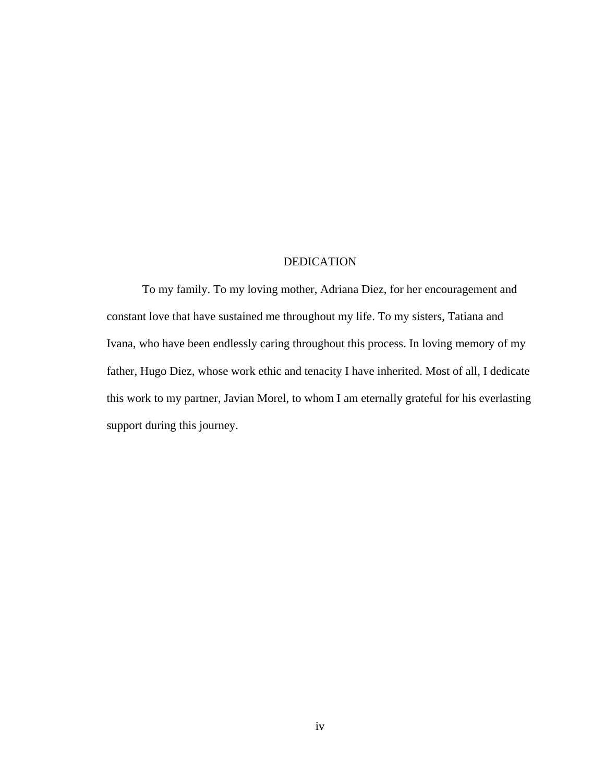# DEDICATION

To my family. To my loving mother, Adriana Diez, for her encouragement and constant love that have sustained me throughout my life. To my sisters, Tatiana and Ivana, who have been endlessly caring throughout this process. In loving memory of my father, Hugo Diez, whose work ethic and tenacity I have inherited. Most of all, I dedicate this work to my partner, Javian Morel, to whom I am eternally grateful for his everlasting support during this journey.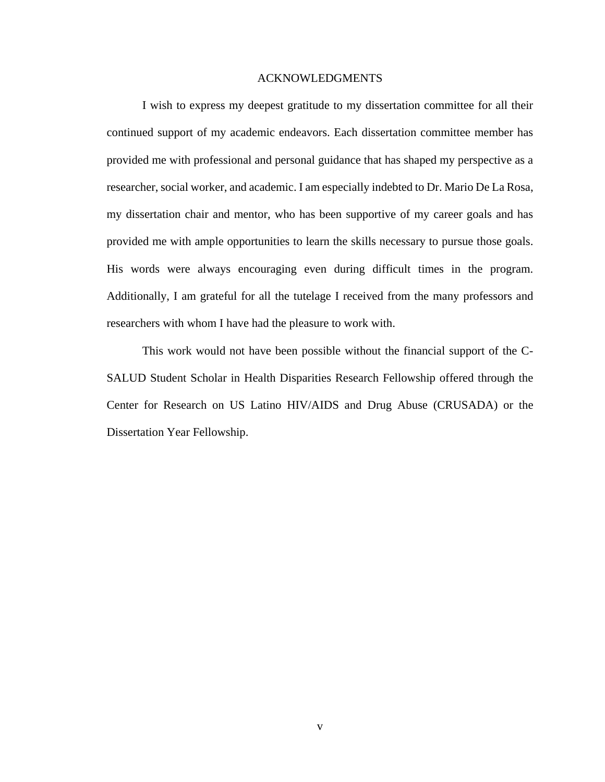## ACKNOWLEDGMENTS

I wish to express my deepest gratitude to my dissertation committee for all their continued support of my academic endeavors. Each dissertation committee member has provided me with professional and personal guidance that has shaped my perspective as a researcher, social worker, and academic. I am especially indebted to Dr. Mario De La Rosa, my dissertation chair and mentor, who has been supportive of my career goals and has provided me with ample opportunities to learn the skills necessary to pursue those goals. His words were always encouraging even during difficult times in the program. Additionally, I am grateful for all the tutelage I received from the many professors and researchers with whom I have had the pleasure to work with.

This work would not have been possible without the financial support of the C-SALUD Student Scholar in Health Disparities Research Fellowship offered through the Center for Research on US Latino HIV/AIDS and Drug Abuse (CRUSADA) or the Dissertation Year Fellowship.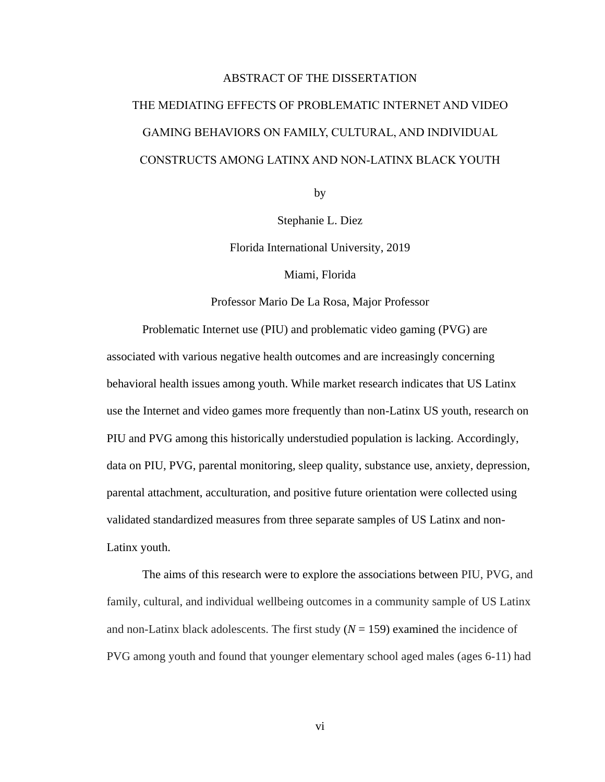# ABSTRACT OF THE DISSERTATION THE MEDIATING EFFECTS OF PROBLEMATIC INTERNET AND VIDEO GAMING BEHAVIORS ON FAMILY, CULTURAL, AND INDIVIDUAL CONSTRUCTS AMONG LATINX AND NON-LATINX BLACK YOUTH

by

Stephanie L. Diez

Florida International University, 2019

Miami, Florida

Professor Mario De La Rosa, Major Professor

Problematic Internet use (PIU) and problematic video gaming (PVG) are associated with various negative health outcomes and are increasingly concerning behavioral health issues among youth. While market research indicates that US Latinx use the Internet and video games more frequently than non-Latinx US youth, research on PIU and PVG among this historically understudied population is lacking. Accordingly, data on PIU, PVG, parental monitoring, sleep quality, substance use, anxiety, depression, parental attachment, acculturation, and positive future orientation were collected using validated standardized measures from three separate samples of US Latinx and non-Latinx youth.

The aims of this research were to explore the associations between PIU, PVG, and family, cultural, and individual wellbeing outcomes in a community sample of US Latinx and non-Latinx black adolescents. The first study  $(N = 159)$  examined the incidence of PVG among youth and found that younger elementary school aged males (ages 6-11) had

vi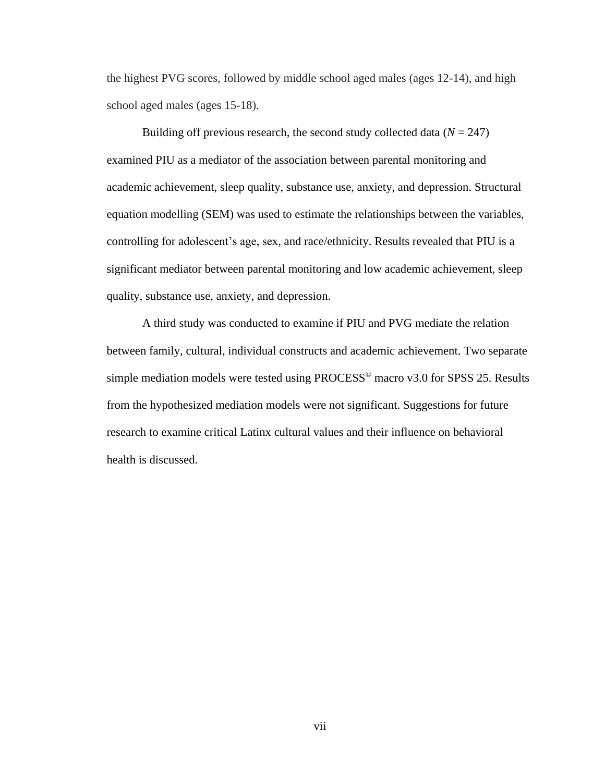the highest PVG scores, followed by middle school aged males (ages 12-14), and high school aged males (ages 15-18).

Building off previous research, the second study collected data  $(N = 247)$ examined PIU as a mediator of the association between parental monitoring and academic achievement, sleep quality, substance use, anxiety, and depression. Structural equation modelling (SEM) was used to estimate the relationships between the variables, controlling for adolescent's age, sex, and race/ethnicity. Results revealed that PIU is a significant mediator between parental monitoring and low academic achievement, sleep quality, substance use, anxiety, and depression.

A third study was conducted to examine if PIU and PVG mediate the relation between family, cultural, individual constructs and academic achievement. Two separate simple mediation models were tested using  $PROCESS^{\circ}$  macro v3.0 for SPSS 25. Results from the hypothesized mediation models were not significant. Suggestions for future research to examine critical Latinx cultural values and their influence on behavioral health is discussed.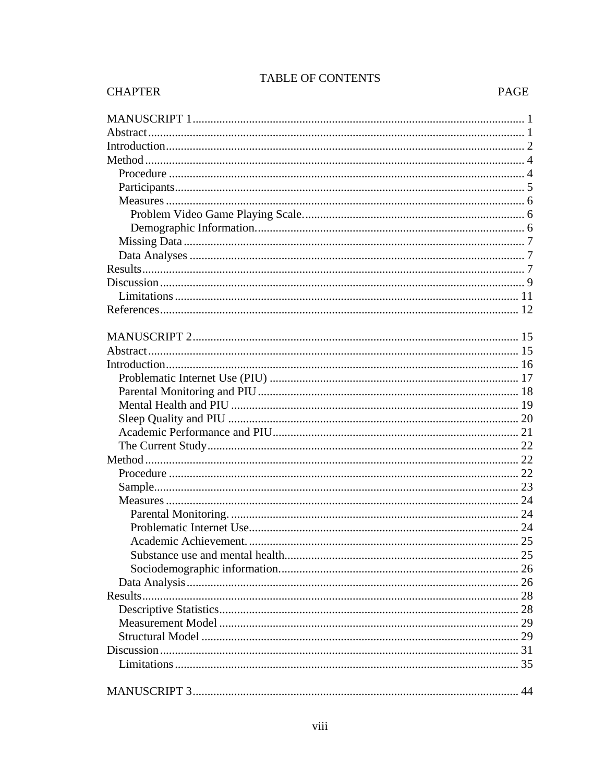# TABLE OF CONTENTS

PAGE

**CHAPTER**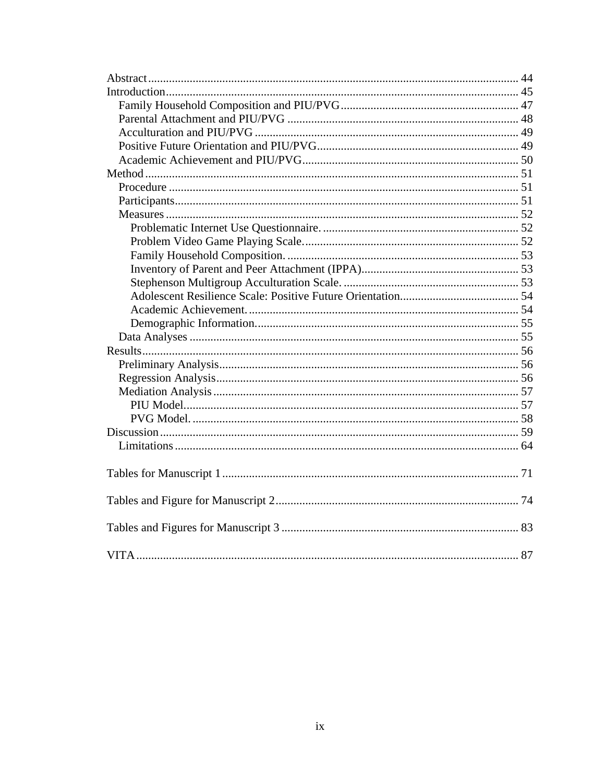<span id="page-9-0"></span>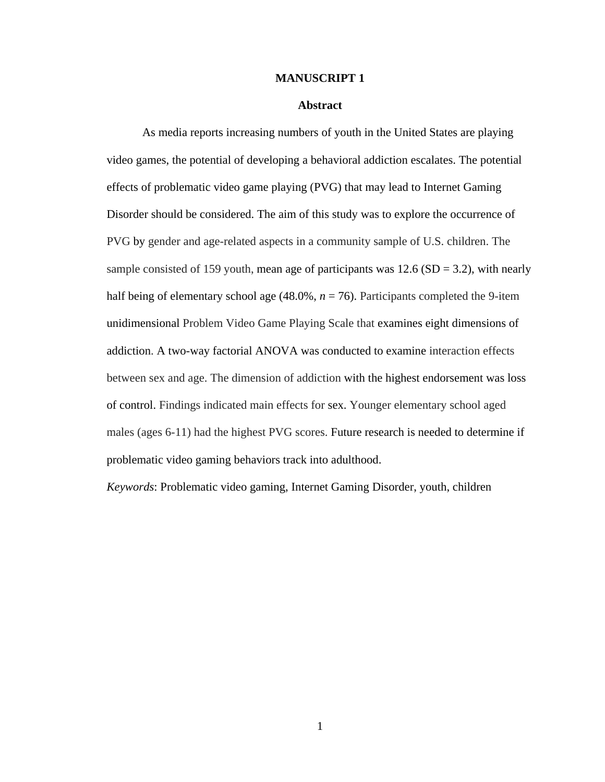#### **MANUSCRIPT 1**

# **Abstract**

<span id="page-10-0"></span>As media reports increasing numbers of youth in the United States are playing video games, the potential of developing a behavioral addiction escalates. The potential effects of problematic video game playing (PVG) that may lead to Internet Gaming Disorder should be considered. The aim of this study was to explore the occurrence of PVG by gender and age-related aspects in a community sample of U.S. children. The sample consisted of 159 youth, mean age of participants was  $12.6$  (SD = 3.2), with nearly half being of elementary school age (48.0%,  $n = 76$ ). Participants completed the 9-item unidimensional Problem Video Game Playing Scale that examines eight dimensions of addiction. A two-way factorial ANOVA was conducted to examine interaction effects between sex and age. The dimension of addiction with the highest endorsement was loss of control. Findings indicated main effects for sex. Younger elementary school aged males (ages 6-11) had the highest PVG scores. Future research is needed to determine if problematic video gaming behaviors track into adulthood.

*Keywords*: Problematic video gaming, Internet Gaming Disorder, youth, children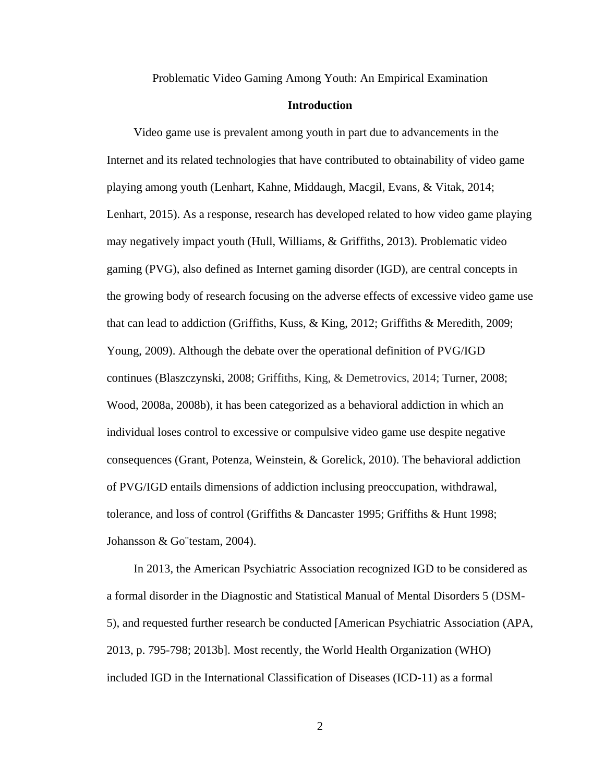Problematic Video Gaming Among Youth: An Empirical Examination

## **Introduction**

<span id="page-11-0"></span>Video game use is prevalent among youth in part due to advancements in the Internet and its related technologies that have contributed to obtainability of video game playing among youth (Lenhart, Kahne, Middaugh, Macgil, Evans, & Vitak, 2014; Lenhart, 2015). As a response, research has developed related to how video game playing may negatively impact youth (Hull, Williams, & Griffiths, 2013). Problematic video gaming (PVG), also defined as Internet gaming disorder (IGD), are central concepts in the growing body of research focusing on the adverse effects of excessive video game use that can lead to addiction (Griffiths, Kuss, & King, 2012; Griffiths & Meredith, 2009; Young, 2009). Although the debate over the operational definition of PVG/IGD continues (Blaszczynski, 2008; Griffiths, King, & Demetrovics, 2014; Turner, 2008; Wood, 2008a, 2008b), it has been categorized as a behavioral addiction in which an individual loses control to excessive or compulsive video game use despite negative consequences (Grant, Potenza, Weinstein, & Gorelick, 2010). The behavioral addiction of PVG/IGD entails dimensions of addiction inclusing preoccupation, withdrawal, tolerance, and loss of control (Griffiths & Dancaster 1995; Griffiths & Hunt 1998; Johansson & Go¨testam, 2004).

In 2013, the American Psychiatric Association recognized IGD to be considered as a formal disorder in the Diagnostic and Statistical Manual of Mental Disorders 5 (DSM-5), and requested further research be conducted [American Psychiatric Association (APA, 2013, p. 795-798; 2013b]. Most recently, the World Health Organization (WHO) included IGD in the International Classification of Diseases (ICD-11) as a formal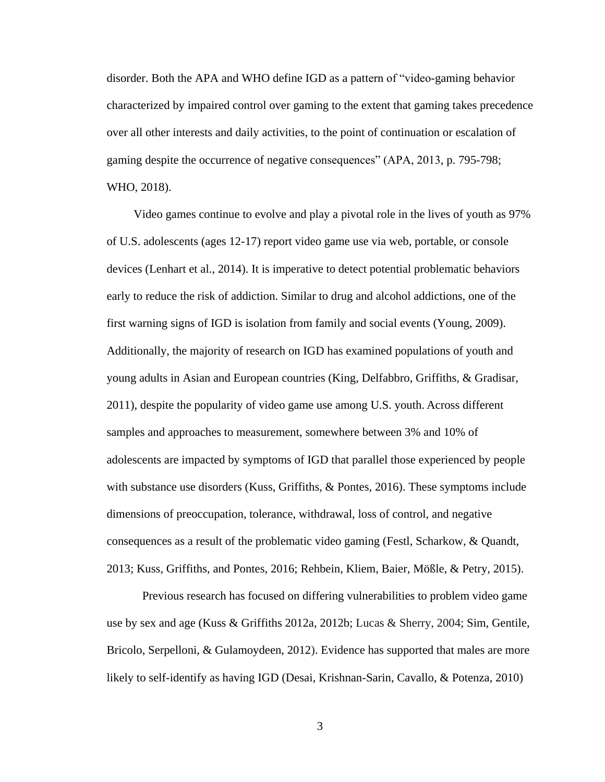disorder. Both the APA and WHO define IGD as a pattern of "video-gaming behavior characterized by impaired control over gaming to the extent that gaming takes precedence over all other interests and daily activities, to the point of continuation or escalation of gaming despite the occurrence of negative consequences" (APA, 2013, p. 795-798; WHO, 2018).

Video games continue to evolve and play a pivotal role in the lives of youth as 97% of U.S. adolescents (ages 12-17) report video game use via web, portable, or console devices (Lenhart et al., 2014). It is imperative to detect potential problematic behaviors early to reduce the risk of addiction. Similar to drug and alcohol addictions, one of the first warning signs of IGD is isolation from family and social events (Young, 2009). Additionally, the majority of research on IGD has examined populations of youth and young adults in Asian and European countries (King, Delfabbro, Griffiths, & Gradisar, 2011), despite the popularity of video game use among U.S. youth. Across different samples and approaches to measurement, somewhere between 3% and 10% of adolescents are impacted by symptoms of IGD that parallel those experienced by people with substance use disorders (Kuss, Griffiths, & Pontes, 2016). These symptoms include dimensions of preoccupation, tolerance, withdrawal, loss of control, and negative consequences as a result of the problematic video gaming (Festl, Scharkow, & Quandt, 2013; Kuss, Griffiths, and Pontes, 2016; Rehbein, Kliem, Baier, Mößle, & Petry, 2015).

Previous research has focused on differing vulnerabilities to problem video game use by sex and age (Kuss & Griffiths 2012a, 2012b; Lucas & Sherry, 2004; Sim, Gentile, Bricolo, Serpelloni, & Gulamoydeen, 2012). Evidence has supported that males are more likely to self-identify as having IGD (Desai, Krishnan-Sarin, Cavallo, & Potenza, 2010)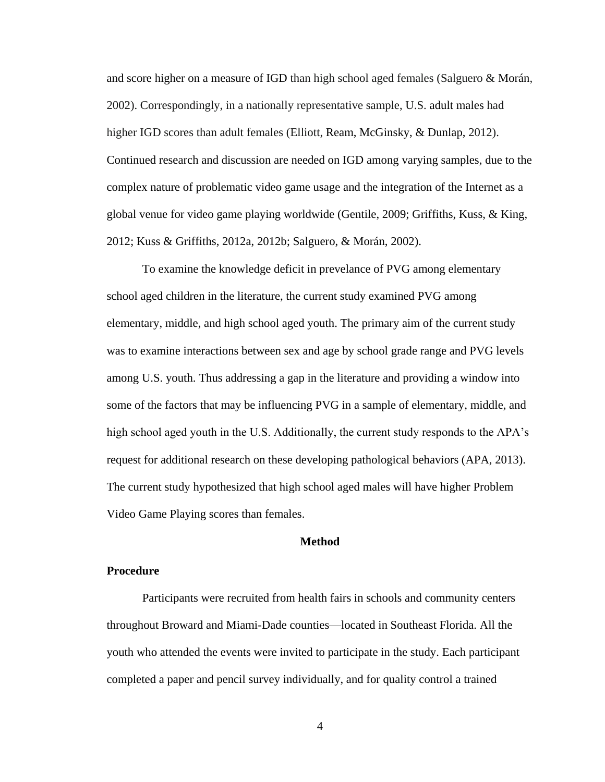and score higher on a measure of IGD than high school aged females (Salguero & Morán, 2002). Correspondingly, in a nationally representative sample, U.S. adult males had higher IGD scores than adult females (Elliott, Ream, McGinsky, & Dunlap, 2012). Continued research and discussion are needed on IGD among varying samples, due to the complex nature of problematic video game usage and the integration of the Internet as a global venue for video game playing worldwide (Gentile, 2009; Griffiths, Kuss, & King, 2012; Kuss & Griffiths, 2012a, 2012b; Salguero, & Morán, 2002).

To examine the knowledge deficit in prevelance of PVG among elementary school aged children in the literature, the current study examined PVG among elementary, middle, and high school aged youth. The primary aim of the current study was to examine interactions between sex and age by school grade range and PVG levels among U.S. youth. Thus addressing a gap in the literature and providing a window into some of the factors that may be influencing PVG in a sample of elementary, middle, and high school aged youth in the U.S. Additionally, the current study responds to the APA's request for additional research on these developing pathological behaviors (APA, 2013). The current study hypothesized that high school aged males will have higher Problem Video Game Playing scores than females.

# **Method**

# <span id="page-13-1"></span><span id="page-13-0"></span>**Procedure**

Participants were recruited from health fairs in schools and community centers throughout Broward and Miami-Dade counties—located in Southeast Florida. All the youth who attended the events were invited to participate in the study. Each participant completed a paper and pencil survey individually, and for quality control a trained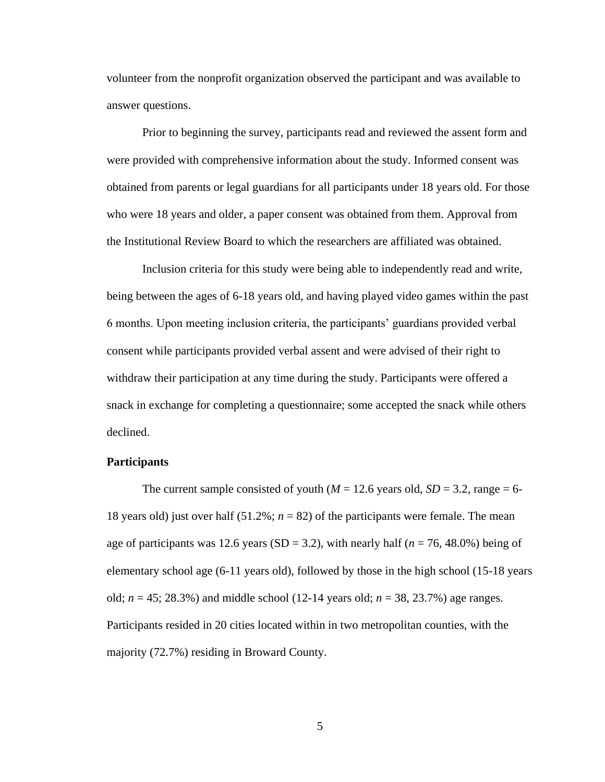volunteer from the nonprofit organization observed the participant and was available to answer questions.

Prior to beginning the survey, participants read and reviewed the assent form and were provided with comprehensive information about the study. Informed consent was obtained from parents or legal guardians for all participants under 18 years old. For those who were 18 years and older, a paper consent was obtained from them. Approval from the Institutional Review Board to which the researchers are affiliated was obtained.

Inclusion criteria for this study were being able to independently read and write, being between the ages of 6-18 years old, and having played video games within the past 6 months. Upon meeting inclusion criteria, the participants' guardians provided verbal consent while participants provided verbal assent and were advised of their right to withdraw their participation at any time during the study. Participants were offered a snack in exchange for completing a questionnaire; some accepted the snack while others declined.

# <span id="page-14-0"></span>**Participants**

The current sample consisted of youth ( $M = 12.6$  years old,  $SD = 3.2$ , range = 6-18 years old) just over half  $(51.2\%; n = 82)$  of the participants were female. The mean age of participants was 12.6 years  $(SD = 3.2)$ , with nearly half  $(n = 76, 48.0\%)$  being of elementary school age (6-11 years old), followed by those in the high school (15-18 years old;  $n = 45$ ; 28.3%) and middle school (12-14 years old;  $n = 38$ , 23.7%) age ranges. Participants resided in 20 cities located within in two metropolitan counties, with the majority (72.7%) residing in Broward County.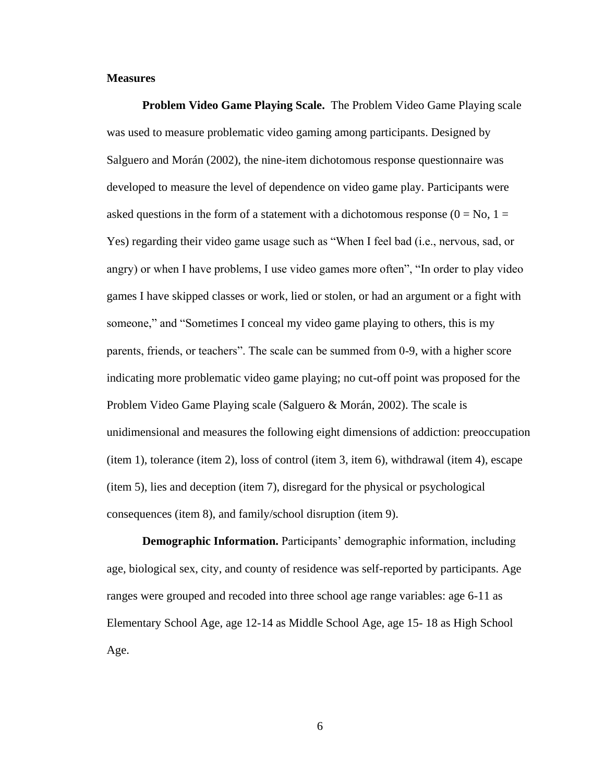# <span id="page-15-0"></span>**Measures**

<span id="page-15-1"></span>**Problem Video Game Playing Scale.** The Problem Video Game Playing scale was used to measure problematic video gaming among participants. Designed by Salguero and Morán (2002), the nine-item dichotomous response questionnaire was developed to measure the level of dependence on video game play. Participants were asked questions in the form of a statement with a dichotomous response  $(0 = No, 1 =$ Yes) regarding their video game usage such as "When I feel bad (i.e., nervous, sad, or angry) or when I have problems, I use video games more often", "In order to play video games I have skipped classes or work, lied or stolen, or had an argument or a fight with someone," and "Sometimes I conceal my video game playing to others, this is my parents, friends, or teachers". The scale can be summed from 0-9, with a higher score indicating more problematic video game playing; no cut-off point was proposed for the Problem Video Game Playing scale (Salguero & Morán, 2002). The scale is unidimensional and measures the following eight dimensions of addiction: preoccupation (item 1), tolerance (item 2), loss of control (item 3, item 6), withdrawal (item 4), escape (item 5), lies and deception (item 7), disregard for the physical or psychological consequences (item 8), and family/school disruption (item 9).

<span id="page-15-2"></span>**Demographic Information.** Participants' demographic information, including age, biological sex, city, and county of residence was self-reported by participants. Age ranges were grouped and recoded into three school age range variables: age 6-11 as Elementary School Age, age 12-14 as Middle School Age, age 15- 18 as High School Age.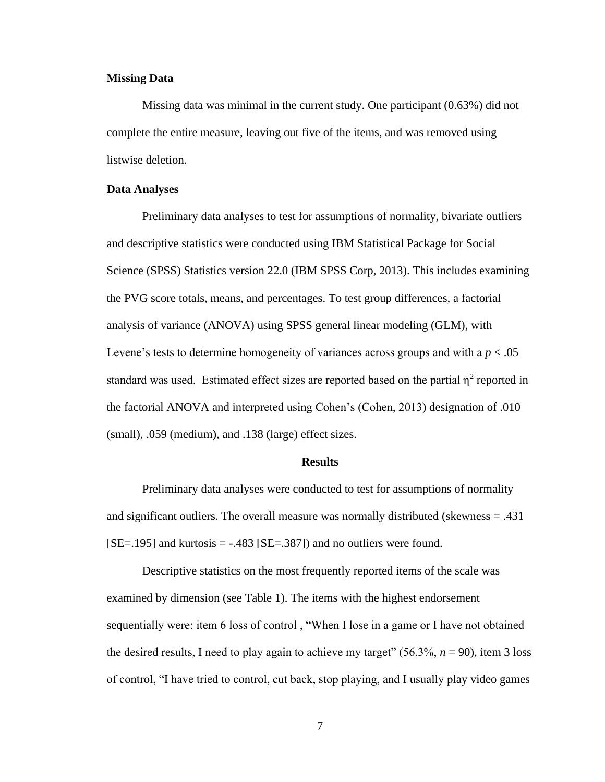# <span id="page-16-0"></span>**Missing Data**

Missing data was minimal in the current study. One participant (0.63%) did not complete the entire measure, leaving out five of the items, and was removed using listwise deletion.

# <span id="page-16-1"></span>**Data Analyses**

Preliminary data analyses to test for assumptions of normality, bivariate outliers and descriptive statistics were conducted using IBM Statistical Package for Social Science (SPSS) Statistics version 22.0 (IBM SPSS Corp, 2013). This includes examining the PVG score totals, means, and percentages. To test group differences, a factorial analysis of variance (ANOVA) using SPSS general linear modeling (GLM), with Levene's tests to determine homogeneity of variances across groups and with a  $p < .05$ standard was used. Estimated effect sizes are reported based on the partial  $\eta^2$  reported in the factorial ANOVA and interpreted using Cohen's (Cohen, 2013) designation of .010 (small), .059 (medium), and .138 (large) effect sizes.

#### **Results**

<span id="page-16-2"></span>Preliminary data analyses were conducted to test for assumptions of normality and significant outliers. The overall measure was normally distributed (skewness = .431  $[SE=.195]$  and kurtosis =  $-.483$   $[SE=.387]$  and no outliers were found.

Descriptive statistics on the most frequently reported items of the scale was examined by dimension (see Table 1). The items with the highest endorsement sequentially were: item 6 loss of control , "When I lose in a game or I have not obtained the desired results, I need to play again to achieve my target"  $(56.3\%, n = 90)$ , item 3 loss of control, "I have tried to control, cut back, stop playing, and I usually play video games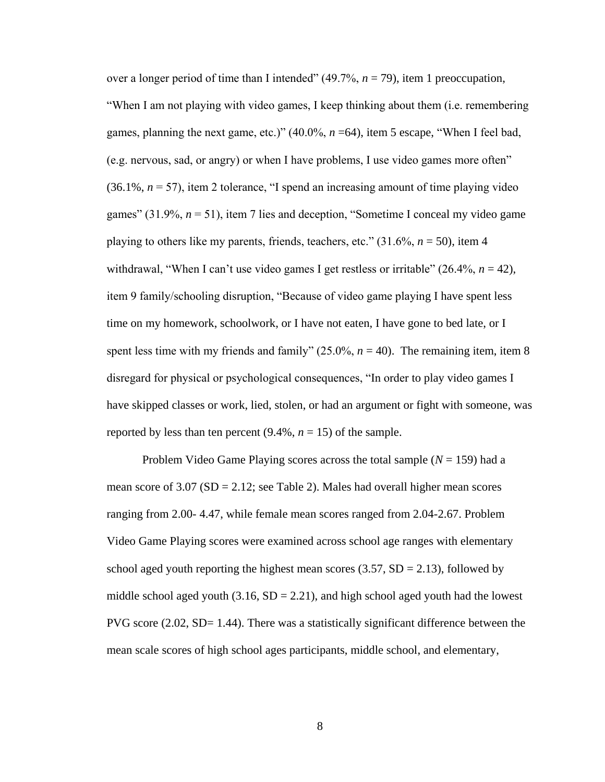over a longer period of time than I intended" (49.7%, *n* = 79), item 1 preoccupation, "When I am not playing with video games, I keep thinking about them (i.e. remembering games, planning the next game, etc.)" (40.0%, *n* =64), item 5 escape, "When I feel bad, (e.g. nervous, sad, or angry) or when I have problems, I use video games more often"  $(36.1\%, n = 57)$ , item 2 tolerance, "I spend an increasing amount of time playing video games"  $(31.9\%, n=51)$ , item 7 lies and deception, "Sometime I conceal my video game playing to others like my parents, friends, teachers, etc."  $(31.6\%, n = 50)$ , item 4 withdrawal, "When I can't use video games I get restless or irritable"  $(26.4\%, n = 42)$ , item 9 family/schooling disruption, "Because of video game playing I have spent less time on my homework, schoolwork, or I have not eaten, I have gone to bed late, or I spent less time with my friends and family"  $(25.0\%, n = 40)$ . The remaining item, item 8 disregard for physical or psychological consequences, "In order to play video games I have skipped classes or work, lied, stolen, or had an argument or fight with someone, was reported by less than ten percent  $(9.4\%, n = 15)$  of the sample.

Problem Video Game Playing scores across the total sample (*N* = 159) had a mean score of  $3.07$  (SD = 2.12; see Table 2). Males had overall higher mean scores ranging from 2.00- 4.47, while female mean scores ranged from 2.04-2.67. Problem Video Game Playing scores were examined across school age ranges with elementary school aged youth reporting the highest mean scores  $(3.57, SD = 2.13)$ , followed by middle school aged youth  $(3.16, SD = 2.21)$ , and high school aged youth had the lowest PVG score (2.02, SD= 1.44). There was a statistically significant difference between the mean scale scores of high school ages participants, middle school, and elementary,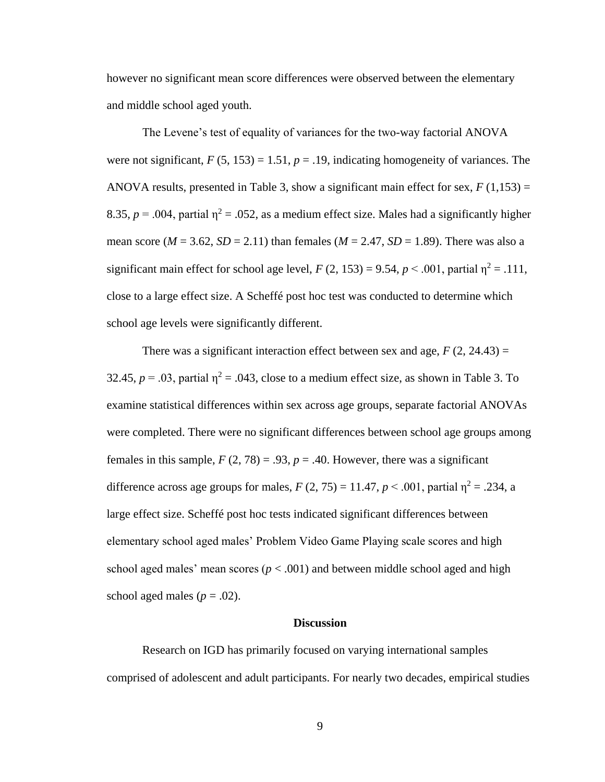however no significant mean score differences were observed between the elementary and middle school aged youth.

The Levene's test of equality of variances for the two-way factorial ANOVA were not significant,  $F(5, 153) = 1.51$ ,  $p = .19$ , indicating homogeneity of variances. The ANOVA results, presented in Table 3, show a significant main effect for sex,  $F(1,153) =$ 8.35,  $p = .004$ , partial  $\eta^2 = .052$ , as a medium effect size. Males had a significantly higher mean score ( $M = 3.62$ ,  $SD = 2.11$ ) than females ( $M = 2.47$ ,  $SD = 1.89$ ). There was also a significant main effect for school age level,  $F(2, 153) = 9.54$ ,  $p < .001$ , partial  $\eta^2 = .111$ , close to a large effect size. A Scheffé post hoc test was conducted to determine which school age levels were significantly different.

There was a significant interaction effect between sex and age,  $F(2, 24.43) =$ 32.45,  $p = .03$ , partial  $\eta^2 = .043$ , close to a medium effect size, as shown in Table 3. To examine statistical differences within sex across age groups, separate factorial ANOVAs were completed. There were no significant differences between school age groups among females in this sample,  $F(2, 78) = .93$ ,  $p = .40$ . However, there was a significant difference across age groups for males,  $F(2, 75) = 11.47$ ,  $p < .001$ , partial  $\eta^2 = .234$ , a large effect size. Scheffé post hoc tests indicated significant differences between elementary school aged males' Problem Video Game Playing scale scores and high school aged males' mean scores ( $p < .001$ ) and between middle school aged and high school aged males ( $p = .02$ ).

#### **Discussion**

<span id="page-18-0"></span>Research on IGD has primarily focused on varying international samples comprised of adolescent and adult participants. For nearly two decades, empirical studies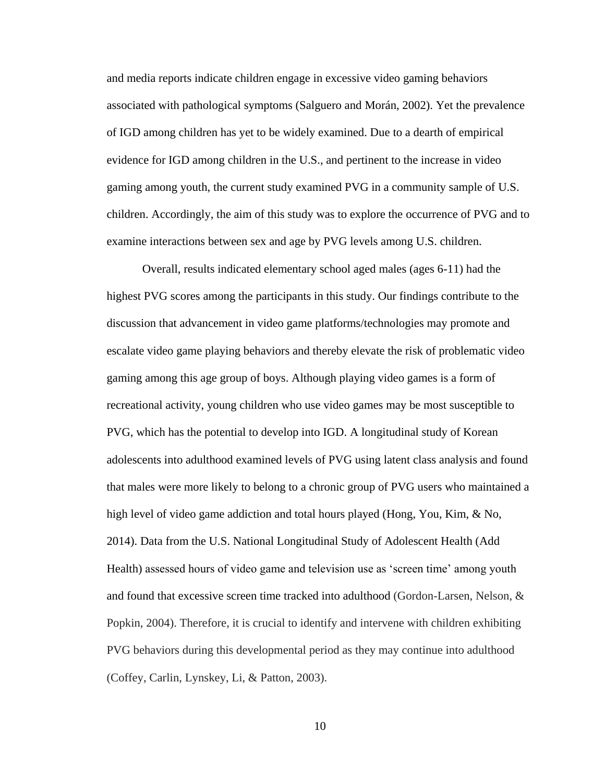and media reports indicate children engage in excessive video gaming behaviors associated with pathological symptoms (Salguero and Morán, 2002). Yet the prevalence of IGD among children has yet to be widely examined. Due to a dearth of empirical evidence for IGD among children in the U.S., and pertinent to the increase in video gaming among youth, the current study examined PVG in a community sample of U.S. children. Accordingly, the aim of this study was to explore the occurrence of PVG and to examine interactions between sex and age by PVG levels among U.S. children.

Overall, results indicated elementary school aged males (ages 6-11) had the highest PVG scores among the participants in this study. Our findings contribute to the discussion that advancement in video game platforms/technologies may promote and escalate video game playing behaviors and thereby elevate the risk of problematic video gaming among this age group of boys. Although playing video games is a form of recreational activity, young children who use video games may be most susceptible to PVG, which has the potential to develop into IGD. A longitudinal study of Korean adolescents into adulthood examined levels of PVG using latent class analysis and found that males were more likely to belong to a chronic group of PVG users who maintained a high level of video game addiction and total hours played (Hong, You, Kim, & No, 2014). Data from the U.S. National Longitudinal Study of Adolescent Health (Add Health) assessed hours of video game and television use as 'screen time' among youth and found that excessive screen time tracked into adulthood (Gordon-Larsen, Nelson, & Popkin, 2004). Therefore, it is crucial to identify and intervene with children exhibiting PVG behaviors during this developmental period as they may continue into adulthood (Coffey, Carlin, Lynskey, Li, & Patton, 2003).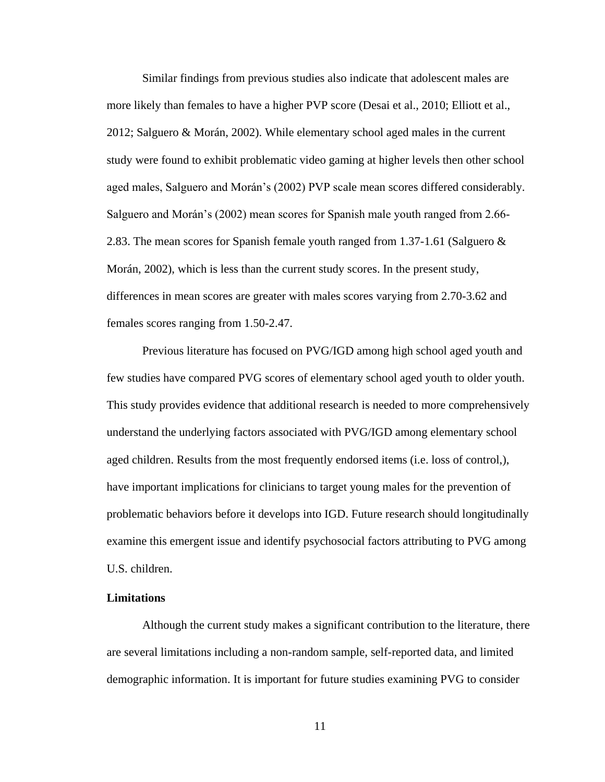Similar findings from previous studies also indicate that adolescent males are more likely than females to have a higher PVP score (Desai et al., 2010; Elliott et al., 2012; Salguero & Morán, 2002). While elementary school aged males in the current study were found to exhibit problematic video gaming at higher levels then other school aged males, Salguero and Morán's (2002) PVP scale mean scores differed considerably. Salguero and Morán's (2002) mean scores for Spanish male youth ranged from 2.66- 2.83. The mean scores for Spanish female youth ranged from 1.37-1.61 (Salguero & Morán, 2002), which is less than the current study scores. In the present study, differences in mean scores are greater with males scores varying from 2.70-3.62 and females scores ranging from 1.50-2.47.

Previous literature has focused on PVG/IGD among high school aged youth and few studies have compared PVG scores of elementary school aged youth to older youth. This study provides evidence that additional research is needed to more comprehensively understand the underlying factors associated with PVG/IGD among elementary school aged children. Results from the most frequently endorsed items (i.e. loss of control,), have important implications for clinicians to target young males for the prevention of problematic behaviors before it develops into IGD. Future research should longitudinally examine this emergent issue and identify psychosocial factors attributing to PVG among U.S. children.

# <span id="page-20-0"></span>**Limitations**

Although the current study makes a significant contribution to the literature, there are several limitations including a non-random sample, self-reported data, and limited demographic information. It is important for future studies examining PVG to consider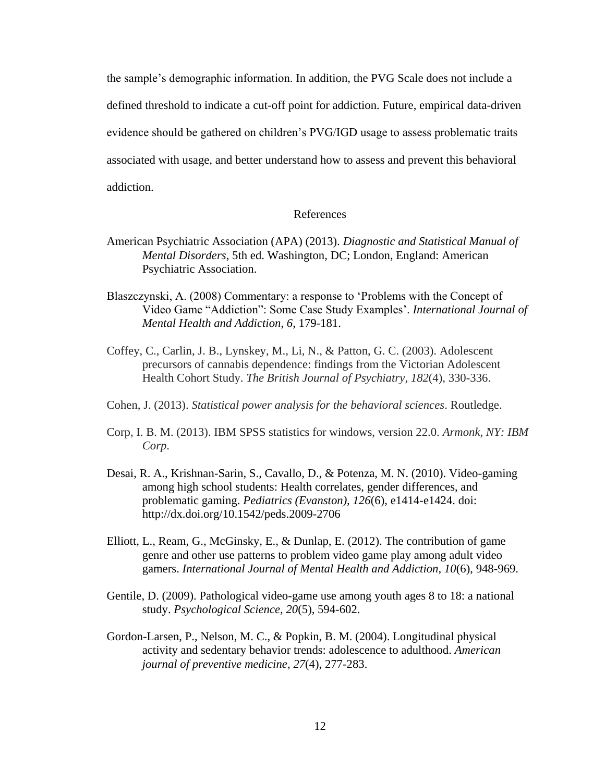the sample's demographic information. In addition, the PVG Scale does not include a defined threshold to indicate a cut-off point for addiction. Future, empirical data-driven evidence should be gathered on children's PVG/IGD usage to assess problematic traits associated with usage, and better understand how to assess and prevent this behavioral addiction.

# References

- <span id="page-21-0"></span>American Psychiatric Association (APA) (2013). *Diagnostic and Statistical Manual of Mental Disorders*, 5th ed. Washington, DC; London, England: American Psychiatric Association.
- Blaszczynski, A. (2008) Commentary: a response to 'Problems with the Concept of Video Game "Addiction": Some Case Study Examples'. *International Journal of Mental Health and Addiction*, *6*, 179-181.
- Coffey, C., Carlin, J. B., Lynskey, M., Li, N., & Patton, G. C. (2003). Adolescent precursors of cannabis dependence: findings from the Victorian Adolescent Health Cohort Study. *The British Journal of Psychiatry*, *182*(4), 330-336.
- Cohen, J. (2013). *Statistical power analysis for the behavioral sciences*. Routledge.
- Corp, I. B. M. (2013). IBM SPSS statistics for windows, version 22.0. *Armonk, NY: IBM Corp*.
- Desai, R. A., Krishnan-Sarin, S., Cavallo, D., & Potenza, M. N. (2010). Video-gaming among high school students: Health correlates, gender differences, and problematic gaming. *Pediatrics (Evanston), 126*(6), e1414-e1424. doi: http://dx.doi.org/10.1542/peds.2009-2706
- Elliott, L., Ream, G., McGinsky, E., & Dunlap, E. (2012). The contribution of game genre and other use patterns to problem video game play among adult video gamers. *International Journal of Mental Health and Addiction, 10*(6), 948-969.
- Gentile, D. (2009). Pathological video-game use among youth ages 8 to 18: a national study. *Psychological Science, 20*(5), 594-602.
- Gordon-Larsen, P., Nelson, M. C., & Popkin, B. M. (2004). Longitudinal physical activity and sedentary behavior trends: adolescence to adulthood. *American journal of preventive medicine*, *27*(4), 277-283.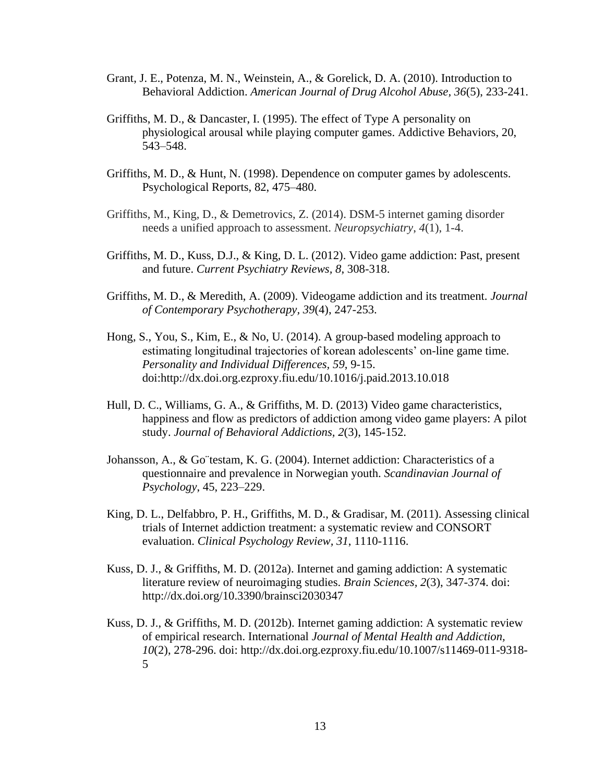- Grant, J. E., Potenza, M. N., Weinstein, A., & Gorelick, D. A. (2010). Introduction to Behavioral Addiction. *American Journal of Drug Alcohol Abuse, 36*(5), 233-241.
- Griffiths, M. D., & Dancaster, I. (1995). The effect of Type A personality on physiological arousal while playing computer games. Addictive Behaviors, 20, 543–548.
- Griffiths, M. D., & Hunt, N. (1998). Dependence on computer games by adolescents. Psychological Reports, 82, 475–480.
- Griffiths, M., King, D., & Demetrovics, Z. (2014). DSM-5 internet gaming disorder needs a unified approach to assessment. *Neuropsychiatry*, *4*(1), 1-4.
- Griffiths, M. D., Kuss, D.J., & King, D. L. (2012). Video game addiction: Past, present and future. *Current Psychiatry Reviews, 8*, 308-318.
- Griffiths, M. D., & Meredith, A. (2009). Videogame addiction and its treatment. *Journal of Contemporary Psychotherapy, 39*(4), 247-253.
- Hong, S., You, S., Kim, E., & No, U. (2014). A group-based modeling approach to estimating longitudinal trajectories of korean adolescents' on-line game time. *Personality and Individual Differences, 59*, 9-15. doi:http://dx.doi.org.ezproxy.fiu.edu/10.1016/j.paid.2013.10.018
- Hull, D. C., Williams, G. A., & Griffiths, M. D. (2013) Video game characteristics, happiness and flow as predictors of addiction among video game players: A pilot study. *Journal of Behavioral Addictions, 2*(3), 145-152.
- Johansson, A., & Go¨testam, K. G. (2004). Internet addiction: Characteristics of a questionnaire and prevalence in Norwegian youth. *Scandinavian Journal of Psychology*, 45, 223–229.
- King, D. L., Delfabbro, P. H., Griffiths, M. D., & Gradisar, M. (2011). Assessing clinical trials of Internet addiction treatment: a systematic review and CONSORT evaluation. *Clinical Psychology Review, 31*, 1110-1116.
- Kuss, D. J., & Griffiths, M. D. (2012a). Internet and gaming addiction: A systematic literature review of neuroimaging studies. *Brain Sciences, 2*(3), 347-374. doi: http://dx.doi.org/10.3390/brainsci2030347
- Kuss, D. J., & Griffiths, M. D. (2012b). Internet gaming addiction: A systematic review of empirical research. International *Journal of Mental Health and Addiction, 10*(2), 278-296. doi: http://dx.doi.org.ezproxy.fiu.edu/10.1007/s11469-011-9318- 5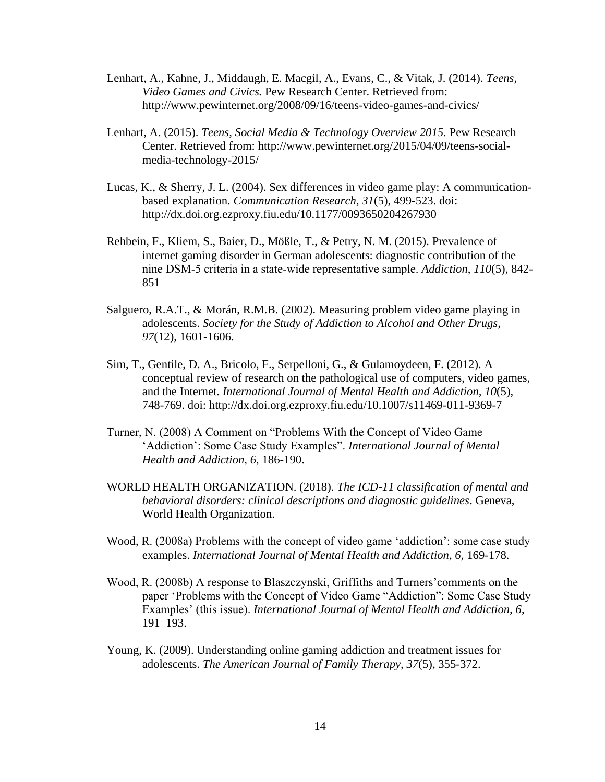- Lenhart, A., Kahne, J., Middaugh, E. Macgil, A., Evans, C., & Vitak, J. (2014). *Teens, Video Games and Civics.* Pew Research Center. Retrieved from: http://www.pewinternet.org/2008/09/16/teens-video-games-and-civics/
- Lenhart, A. (2015). *Teens, Social Media & Technology Overview 2015.* Pew Research Center. Retrieved from: http://www.pewinternet.org/2015/04/09/teens-socialmedia-technology-2015/
- Lucas, K., & Sherry, J. L. (2004). Sex differences in video game play: A communicationbased explanation. *Communication Research, 31*(5), 499-523. doi: http://dx.doi.org.ezproxy.fiu.edu/10.1177/0093650204267930
- Rehbein, F., Kliem, S., Baier, D., Mößle, T., & Petry, N. M. (2015). Prevalence of internet gaming disorder in German adolescents: diagnostic contribution of the nine DSM‐5 criteria in a state‐wide representative sample. *Addiction*, *110*(5), 842- 851
- Salguero, R.A.T., & Morán, R.M.B. (2002). Measuring problem video game playing in adolescents. *Society for the Study of Addiction to Alcohol and Other Drugs, 97*(12), 1601-1606.
- Sim, T., Gentile, D. A., Bricolo, F., Serpelloni, G., & Gulamoydeen, F. (2012). A conceptual review of research on the pathological use of computers, video games, and the Internet. *International Journal of Mental Health and Addiction, 10*(5), 748-769. doi: http://dx.doi.org.ezproxy.fiu.edu/10.1007/s11469-011-9369-7
- Turner, N. (2008) A Comment on "Problems With the Concept of Video Game 'Addiction': Some Case Study Examples". *International Journal of Mental Health and Addiction, 6*, 186-190.
- WORLD HEALTH ORGANIZATION. (2018). *The ICD-11 classification of mental and behavioral disorders: clinical descriptions and diagnostic guidelines*. Geneva, World Health Organization.
- Wood, R. (2008a) Problems with the concept of video game 'addiction': some case study examples. *International Journal of Mental Health and Addiction, 6, 169-178.*
- Wood, R. (2008b) A response to Blaszczynski, Griffiths and Turners'comments on the paper 'Problems with the Concept of Video Game "Addiction": Some Case Study Examples' (this issue). *International Journal of Mental Health and Addiction, 6*, 191–193.
- Young, K. (2009). Understanding online gaming addiction and treatment issues for adolescents. *The American Journal of Family Therapy, 37*(5), 355-372.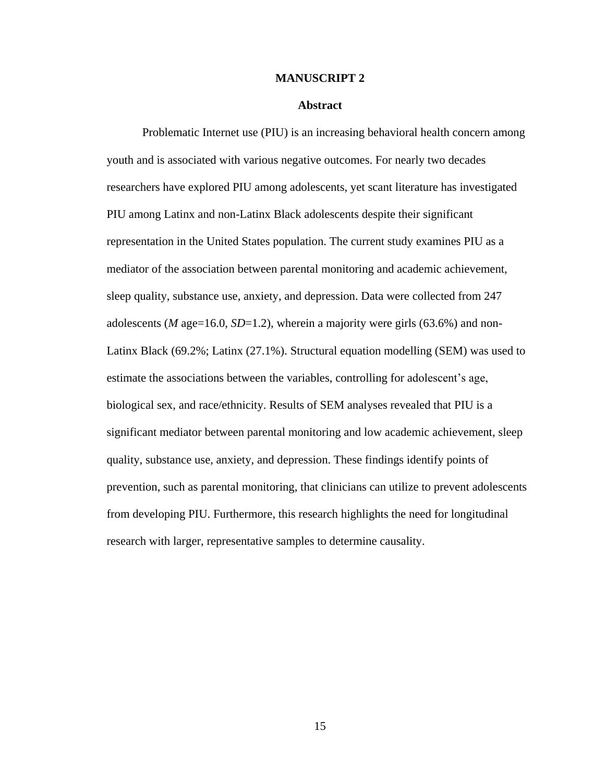#### **MANUSCRIPT 2**

#### **Abstract**

<span id="page-24-1"></span><span id="page-24-0"></span>Problematic Internet use (PIU) is an increasing behavioral health concern among youth and is associated with various negative outcomes. For nearly two decades researchers have explored PIU among adolescents, yet scant literature has investigated PIU among Latinx and non-Latinx Black adolescents despite their significant representation in the United States population. The current study examines PIU as a mediator of the association between parental monitoring and academic achievement, sleep quality, substance use, anxiety, and depression. Data were collected from 247 adolescents (*M* age=16.0, *SD*=1.2), wherein a majority were girls (63.6%) and non-Latinx Black (69.2%; Latinx (27.1%). Structural equation modelling (SEM) was used to estimate the associations between the variables, controlling for adolescent's age, biological sex, and race/ethnicity. Results of SEM analyses revealed that PIU is a significant mediator between parental monitoring and low academic achievement, sleep quality, substance use, anxiety, and depression. These findings identify points of prevention, such as parental monitoring, that clinicians can utilize to prevent adolescents from developing PIU. Furthermore, this research highlights the need for longitudinal research with larger, representative samples to determine causality.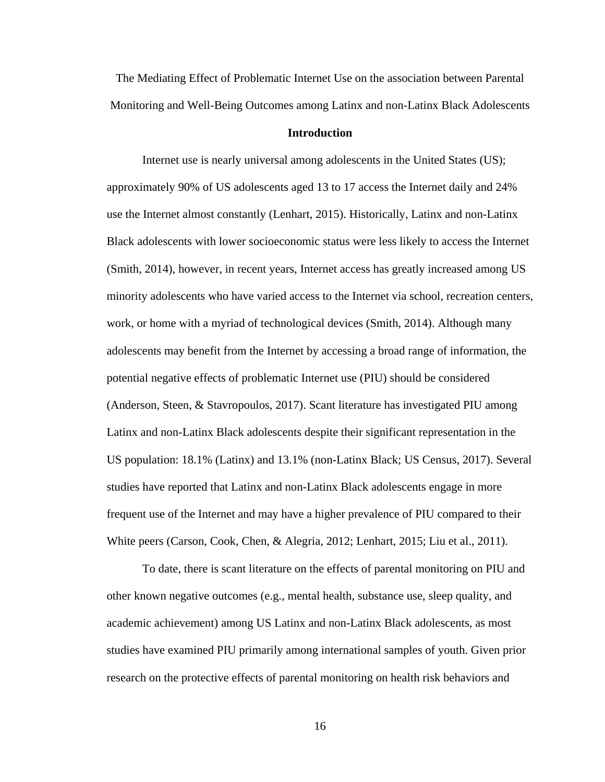The Mediating Effect of Problematic Internet Use on the association between Parental Monitoring and Well-Being Outcomes among Latinx and non-Latinx Black Adolescents

# **Introduction**

<span id="page-25-0"></span>Internet use is nearly universal among adolescents in the United States (US); approximately 90% of US adolescents aged 13 to 17 access the Internet daily and 24% use the Internet almost constantly (Lenhart, 2015). Historically, Latinx and non-Latinx Black adolescents with lower socioeconomic status were less likely to access the Internet (Smith, 2014), however, in recent years, Internet access has greatly increased among US minority adolescents who have varied access to the Internet via school, recreation centers, work, or home with a myriad of technological devices (Smith, 2014). Although many adolescents may benefit from the Internet by accessing a broad range of information, the potential negative effects of problematic Internet use (PIU) should be considered (Anderson, Steen, & Stavropoulos, 2017). Scant literature has investigated PIU among Latinx and non-Latinx Black adolescents despite their significant representation in the US population: 18.1% (Latinx) and 13.1% (non-Latinx Black; US Census, 2017). Several studies have reported that Latinx and non-Latinx Black adolescents engage in more frequent use of the Internet and may have a higher prevalence of PIU compared to their White peers (Carson, Cook, Chen, & Alegria, 2012; Lenhart, 2015; Liu et al., 2011).

To date, there is scant literature on the effects of parental monitoring on PIU and other known negative outcomes (e.g., mental health, substance use, sleep quality, and academic achievement) among US Latinx and non-Latinx Black adolescents, as most studies have examined PIU primarily among international samples of youth. Given prior research on the protective effects of parental monitoring on health risk behaviors and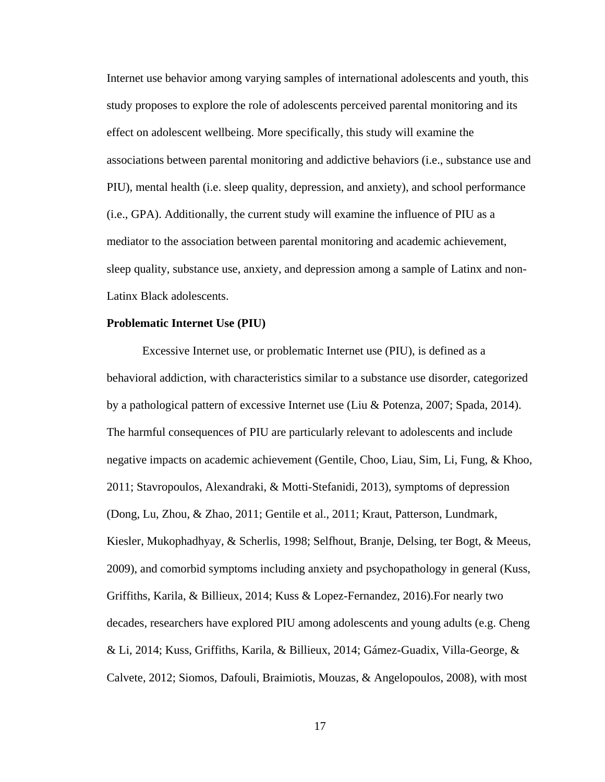Internet use behavior among varying samples of international adolescents and youth, this study proposes to explore the role of adolescents perceived parental monitoring and its effect on adolescent wellbeing. More specifically, this study will examine the associations between parental monitoring and addictive behaviors (i.e., substance use and PIU), mental health (i.e. sleep quality, depression, and anxiety), and school performance (i.e., GPA). Additionally, the current study will examine the influence of PIU as a mediator to the association between parental monitoring and academic achievement, sleep quality, substance use, anxiety, and depression among a sample of Latinx and non-Latinx Black adolescents.

#### <span id="page-26-0"></span>**Problematic Internet Use (PIU)**

Excessive Internet use, or problematic Internet use (PIU), is defined as a behavioral addiction, with characteristics similar to a substance use disorder, categorized by a pathological pattern of excessive Internet use (Liu & Potenza, 2007; Spada, 2014). The harmful consequences of PIU are particularly relevant to adolescents and include negative impacts on academic achievement (Gentile, Choo, Liau, Sim, Li, Fung, & Khoo, 2011; Stavropoulos, Alexandraki, & Motti-Stefanidi, 2013), symptoms of depression (Dong, Lu, Zhou, & Zhao, 2011; Gentile et al., 2011; Kraut, Patterson, Lundmark, Kiesler, Mukophadhyay, & Scherlis, 1998; Selfhout, Branje, Delsing, ter Bogt, & Meeus, 2009), and comorbid symptoms including anxiety and psychopathology in general (Kuss, Griffiths, Karila, & Billieux, 2014; Kuss & Lopez-Fernandez, 2016).For nearly two decades, researchers have explored PIU among adolescents and young adults (e.g. Cheng & Li, 2014; Kuss, Griffiths, Karila, & Billieux, 2014; Gámez-Guadix, Villa-George, & Calvete, 2012; Siomos, Dafouli, Braimiotis, Mouzas, & Angelopoulos, 2008), with most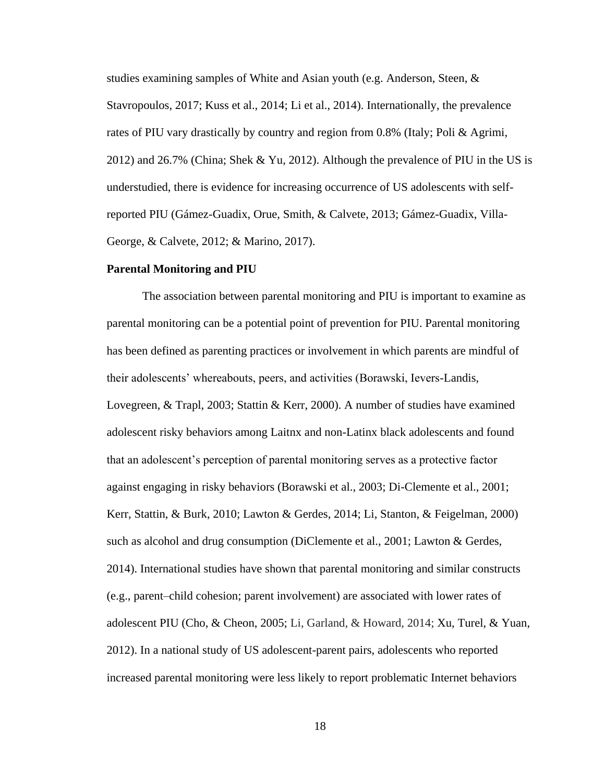studies examining samples of White and Asian youth (e.g. Anderson, Steen, & Stavropoulos, 2017; Kuss et al., 2014; Li et al., 2014). Internationally, the prevalence rates of PIU vary drastically by country and region from 0.8% (Italy; Poli & Agrimi, 2012) and 26.7% (China; Shek & Yu, 2012). Although the prevalence of PIU in the US is understudied, there is evidence for increasing occurrence of US adolescents with selfreported PIU (Gámez-Guadix, Orue, Smith, & Calvete, 2013; Gámez-Guadix, Villa-George, & Calvete, 2012; & Marino, 2017).

#### <span id="page-27-0"></span>**Parental Monitoring and PIU**

The association between parental monitoring and PIU is important to examine as parental monitoring can be a potential point of prevention for PIU. Parental monitoring has been defined as parenting practices or involvement in which parents are mindful of their adolescents' whereabouts, peers, and activities (Borawski, Ievers-Landis, Lovegreen, & Trapl, 2003; Stattin & Kerr, 2000). A number of studies have examined adolescent risky behaviors among Laitnx and non-Latinx black adolescents and found that an adolescent's perception of parental monitoring serves as a protective factor against engaging in risky behaviors (Borawski et al., 2003; Di-Clemente et al., 2001; Kerr, Stattin, & Burk, 2010; Lawton & Gerdes, 2014; Li, Stanton, & Feigelman, 2000) such as alcohol and drug consumption (DiClemente et al., 2001; Lawton & Gerdes, 2014). International studies have shown that parental monitoring and similar constructs (e.g., parent–child cohesion; parent involvement) are associated with lower rates of adolescent PIU (Cho, & Cheon, 2005; Li, Garland, & Howard, 2014; Xu, Turel, & Yuan, 2012). In a national study of US adolescent-parent pairs, adolescents who reported increased parental monitoring were less likely to report problematic Internet behaviors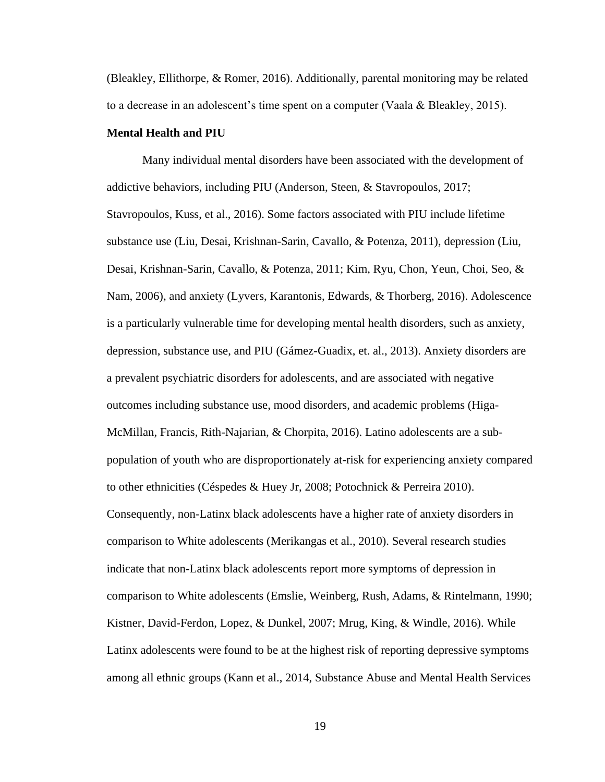(Bleakley, Ellithorpe, & Romer, 2016). Additionally, parental monitoring may be related to a decrease in an adolescent's time spent on a computer (Vaala & Bleakley, 2015).

# <span id="page-28-0"></span>**Mental Health and PIU**

Many individual mental disorders have been associated with the development of addictive behaviors, including PIU (Anderson, Steen, & Stavropoulos, 2017; Stavropoulos, Kuss, et al., 2016). Some factors associated with PIU include lifetime substance use (Liu, Desai, Krishnan-Sarin, Cavallo, & Potenza, 2011), depression (Liu, Desai, Krishnan-Sarin, Cavallo, & Potenza, 2011; Kim, Ryu, Chon, Yeun, Choi, Seo, & Nam, 2006), and anxiety (Lyvers, Karantonis, Edwards, & Thorberg, 2016). Adolescence is a particularly vulnerable time for developing mental health disorders, such as anxiety, depression, substance use, and PIU (Gámez-Guadix, et. al., 2013). Anxiety disorders are a prevalent psychiatric disorders for adolescents, and are associated with negative outcomes including substance use, mood disorders, and academic problems (Higa-McMillan, Francis, Rith-Najarian, & Chorpita, 2016). Latino adolescents are a subpopulation of youth who are disproportionately at-risk for experiencing anxiety compared to other ethnicities (Céspedes & Huey Jr, 2008; Potochnick & Perreira 2010). Consequently, non-Latinx black adolescents have a higher rate of anxiety disorders in comparison to White adolescents (Merikangas et al., 2010). Several research studies indicate that non-Latinx black adolescents report more symptoms of depression in comparison to White adolescents (Emslie, Weinberg, Rush, Adams, & Rintelmann, 1990; Kistner, David-Ferdon, Lopez, & Dunkel, 2007; Mrug, King, & Windle, 2016). While Latinx adolescents were found to be at the highest risk of reporting depressive symptoms among all ethnic groups (Kann et al., 2014, Substance Abuse and Mental Health Services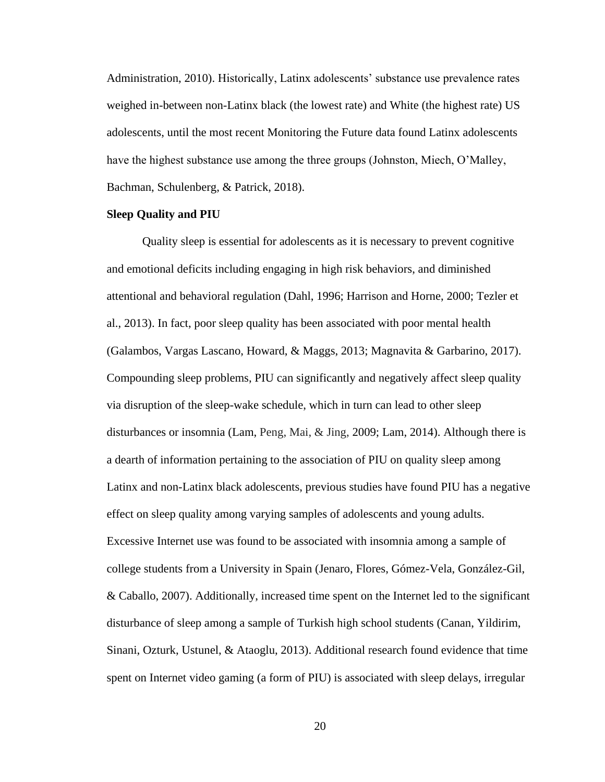Administration, 2010). Historically, Latinx adolescents' substance use prevalence rates weighed in-between non-Latinx black (the lowest rate) and White (the highest rate) US adolescents, until the most recent Monitoring the Future data found Latinx adolescents have the highest substance use among the three groups (Johnston, Miech, O'Malley, Bachman, Schulenberg, & Patrick, 2018).

# <span id="page-29-0"></span>**Sleep Quality and PIU**

Quality sleep is essential for adolescents as it is necessary to prevent cognitive and emotional deficits including engaging in high risk behaviors, and diminished attentional and behavioral regulation (Dahl, 1996; Harrison and Horne, 2000; Tezler et al., 2013). In fact, poor sleep quality has been associated with poor mental health (Galambos, Vargas Lascano, Howard, & Maggs, 2013; Magnavita & Garbarino, 2017). Compounding sleep problems, PIU can significantly and negatively affect sleep quality via disruption of the sleep-wake schedule, which in turn can lead to other sleep disturbances or insomnia (Lam, Peng, Mai, & Jing, 2009; Lam, 2014). Although there is a dearth of information pertaining to the association of PIU on quality sleep among Latinx and non-Latinx black adolescents, previous studies have found PIU has a negative effect on sleep quality among varying samples of adolescents and young adults. Excessive Internet use was found to be associated with insomnia among a sample of college students from a University in Spain (Jenaro, Flores, Gómez-Vela, González-Gil, & Caballo, 2007). Additionally, increased time spent on the Internet led to the significant disturbance of sleep among a sample of Turkish high school students (Canan, Yildirim, Sinani, Ozturk, Ustunel, & Ataoglu, 2013). Additional research found evidence that time spent on Internet video gaming (a form of PIU) is associated with sleep delays, irregular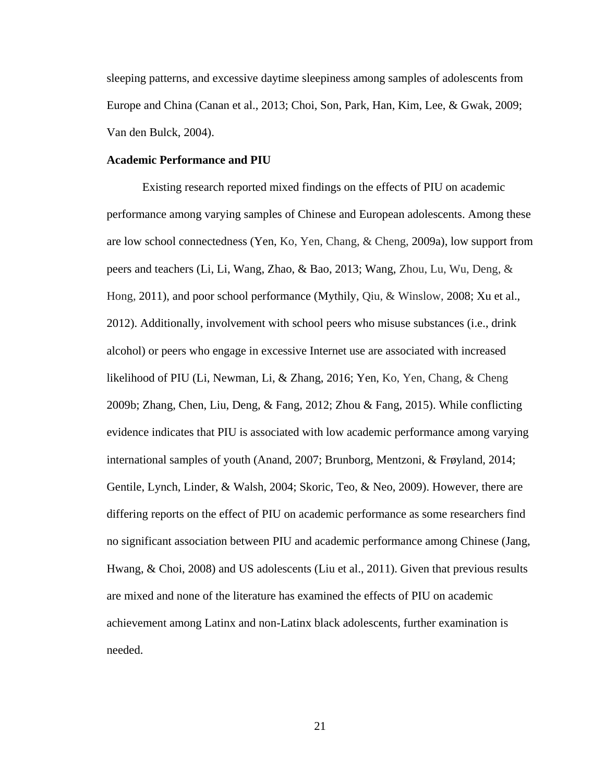sleeping patterns, and excessive daytime sleepiness among samples of adolescents from Europe and China (Canan et al., 2013; Choi, Son, Park, Han, Kim, Lee, & Gwak, 2009; Van den Bulck, 2004).

#### <span id="page-30-0"></span>**Academic Performance and PIU**

Existing research reported mixed findings on the effects of PIU on academic performance among varying samples of Chinese and European adolescents. Among these are low school connectedness (Yen, Ko, Yen, Chang, & Cheng, 2009a), low support from peers and teachers (Li, Li, Wang, Zhao, & Bao, 2013; Wang, Zhou, Lu, Wu, Deng, & Hong, 2011), and poor school performance (Mythily, Qiu, & Winslow, 2008; Xu et al., 2012). Additionally, involvement with school peers who misuse substances (i.e., drink alcohol) or peers who engage in excessive Internet use are associated with increased likelihood of PIU (Li, Newman, Li, & Zhang, 2016; Yen, Ko, Yen, Chang, & Cheng 2009b; Zhang, Chen, Liu, Deng, & Fang, 2012; Zhou & Fang, 2015). While conflicting evidence indicates that PIU is associated with low academic performance among varying international samples of youth (Anand, 2007; Brunborg, Mentzoni, & Frøyland, 2014; Gentile, Lynch, Linder, & Walsh, 2004; Skoric, Teo, & Neo, 2009). However, there are differing reports on the effect of PIU on academic performance as some researchers find no significant association between PIU and academic performance among Chinese (Jang, Hwang, & Choi, 2008) and US adolescents (Liu et al., 2011). Given that previous results are mixed and none of the literature has examined the effects of PIU on academic achievement among Latinx and non-Latinx black adolescents, further examination is needed.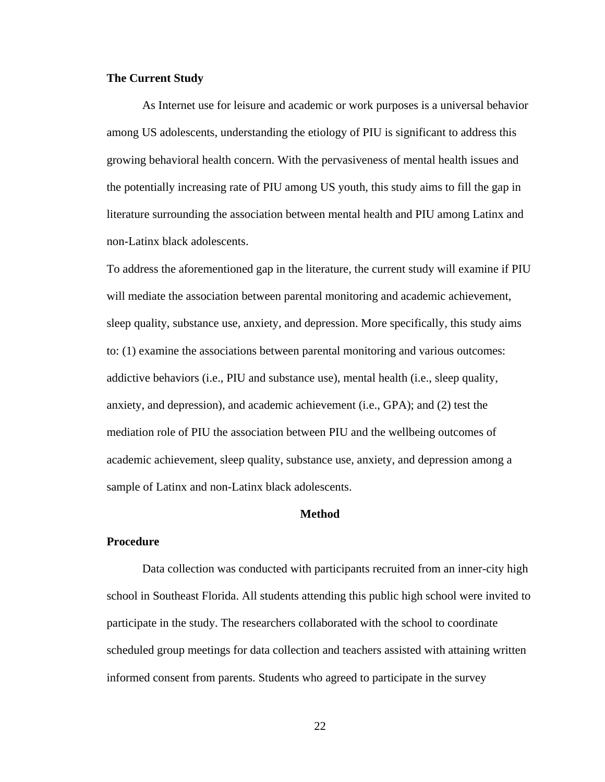# <span id="page-31-0"></span>**The Current Study**

As Internet use for leisure and academic or work purposes is a universal behavior among US adolescents, understanding the etiology of PIU is significant to address this growing behavioral health concern. With the pervasiveness of mental health issues and the potentially increasing rate of PIU among US youth, this study aims to fill the gap in literature surrounding the association between mental health and PIU among Latinx and non-Latinx black adolescents.

To address the aforementioned gap in the literature, the current study will examine if PIU will mediate the association between parental monitoring and academic achievement, sleep quality, substance use, anxiety, and depression. More specifically, this study aims to: (1) examine the associations between parental monitoring and various outcomes: addictive behaviors (i.e., PIU and substance use), mental health (i.e., sleep quality, anxiety, and depression), and academic achievement (i.e., GPA); and (2) test the mediation role of PIU the association between PIU and the wellbeing outcomes of academic achievement, sleep quality, substance use, anxiety, and depression among a sample of Latinx and non-Latinx black adolescents.

## **Method**

#### <span id="page-31-2"></span><span id="page-31-1"></span>**Procedure**

Data collection was conducted with participants recruited from an inner-city high school in Southeast Florida. All students attending this public high school were invited to participate in the study. The researchers collaborated with the school to coordinate scheduled group meetings for data collection and teachers assisted with attaining written informed consent from parents. Students who agreed to participate in the survey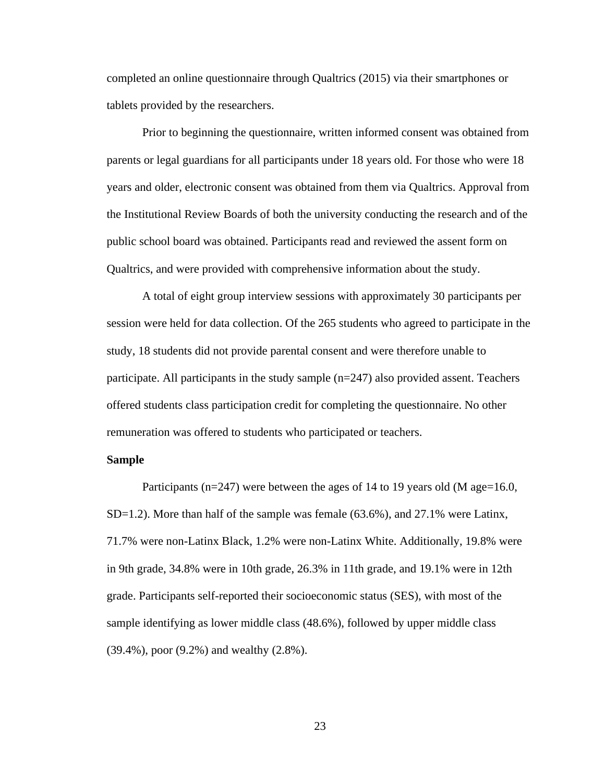completed an online questionnaire through Qualtrics (2015) via their smartphones or tablets provided by the researchers.

Prior to beginning the questionnaire, written informed consent was obtained from parents or legal guardians for all participants under 18 years old. For those who were 18 years and older, electronic consent was obtained from them via Qualtrics. Approval from the Institutional Review Boards of both the university conducting the research and of the public school board was obtained. Participants read and reviewed the assent form on Qualtrics, and were provided with comprehensive information about the study.

A total of eight group interview sessions with approximately 30 participants per session were held for data collection. Of the 265 students who agreed to participate in the study, 18 students did not provide parental consent and were therefore unable to participate. All participants in the study sample (n=247) also provided assent. Teachers offered students class participation credit for completing the questionnaire. No other remuneration was offered to students who participated or teachers.

# <span id="page-32-0"></span>**Sample**

Participants ( $n=247$ ) were between the ages of 14 to 19 years old (M age=16.0,  $SD=1.2$ ). More than half of the sample was female (63.6%), and 27.1% were Latinx, 71.7% were non-Latinx Black, 1.2% were non-Latinx White. Additionally, 19.8% were in 9th grade, 34.8% were in 10th grade, 26.3% in 11th grade, and 19.1% were in 12th grade. Participants self-reported their socioeconomic status (SES), with most of the sample identifying as lower middle class (48.6%), followed by upper middle class (39.4%), poor (9.2%) and wealthy (2.8%).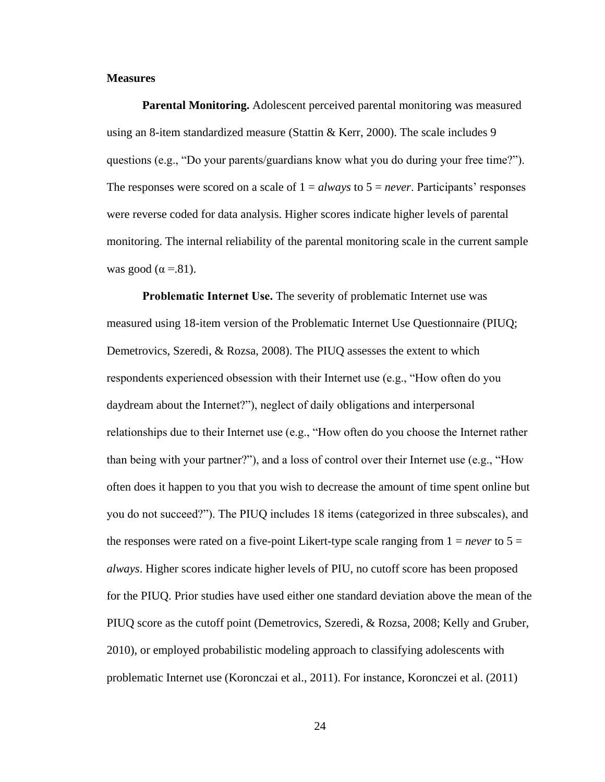# <span id="page-33-0"></span>**Measures**

<span id="page-33-1"></span>**Parental Monitoring.** Adolescent perceived parental monitoring was measured using an 8-item standardized measure (Stattin  $&$  Kerr, 2000). The scale includes 9 questions (e.g., "Do your parents/guardians know what you do during your free time?"). The responses were scored on a scale of  $1 = always$  to  $5 = never$ . Participants' responses were reverse coded for data analysis. Higher scores indicate higher levels of parental monitoring. The internal reliability of the parental monitoring scale in the current sample was good ( $\alpha$  =.81).

<span id="page-33-2"></span>**Problematic Internet Use.** The severity of problematic Internet use was measured using 18-item version of the Problematic Internet Use Questionnaire (PIUQ; Demetrovics, Szeredi, & Rozsa, 2008). The PIUQ assesses the extent to which respondents experienced obsession with their Internet use (e.g., "How often do you daydream about the Internet?"), neglect of daily obligations and interpersonal relationships due to their Internet use (e.g., "How often do you choose the Internet rather than being with your partner?"), and a loss of control over their Internet use (e.g., "How often does it happen to you that you wish to decrease the amount of time spent online but you do not succeed?"). The PIUQ includes 18 items (categorized in three subscales), and the responses were rated on a five-point Likert-type scale ranging from  $1 = never$  to  $5 =$ *always*. Higher scores indicate higher levels of PIU, no cutoff score has been proposed for the PIUQ. Prior studies have used either one standard deviation above the mean of the PIUQ score as the cutoff point (Demetrovics, Szeredi, & Rozsa, 2008; Kelly and Gruber, 2010), or employed probabilistic modeling approach to classifying adolescents with problematic Internet use (Koronczai et al., 2011). For instance, Koronczei et al. (2011)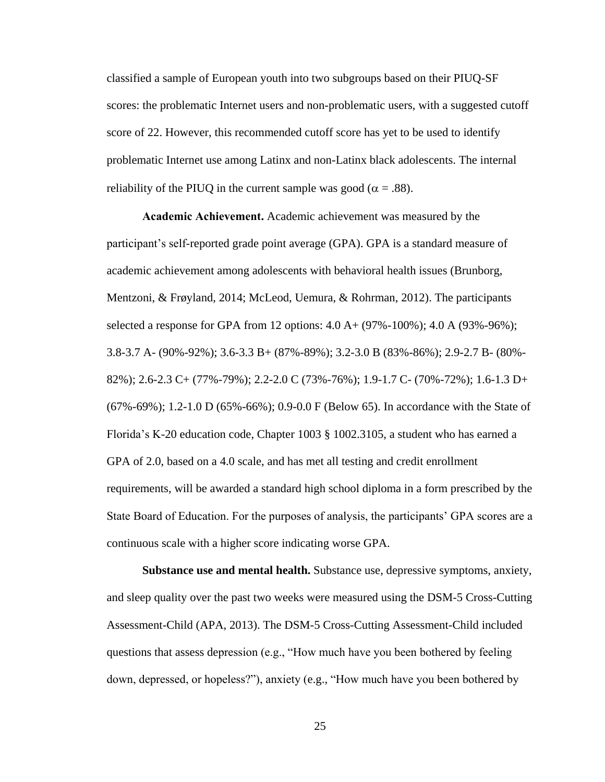classified a sample of European youth into two subgroups based on their PIUQ-SF scores: the problematic Internet users and non-problematic users, with a suggested cutoff score of 22. However, this recommended cutoff score has yet to be used to identify problematic Internet use among Latinx and non-Latinx black adolescents. The internal reliability of the PIUQ in the current sample was good ( $\alpha = .88$ ).

<span id="page-34-0"></span>**Academic Achievement.** Academic achievement was measured by the participant's self-reported grade point average (GPA). GPA is a standard measure of academic achievement among adolescents with behavioral health issues (Brunborg, Mentzoni, & Frøyland, 2014; McLeod, Uemura, & Rohrman, 2012). The participants selected a response for GPA from 12 options:  $4.0 A + (97\% - 100\%)$ ;  $4.0 A (93\% - 96\%)$ ; 3.8-3.7 A- (90%-92%); 3.6-3.3 B+ (87%-89%); 3.2-3.0 B (83%-86%); 2.9-2.7 B- (80%- 82%); 2.6-2.3 C+ (77%-79%); 2.2-2.0 C (73%-76%); 1.9-1.7 C- (70%-72%); 1.6-1.3 D+ (67%-69%); 1.2-1.0 D (65%-66%); 0.9-0.0 F (Below 65). In accordance with the State of Florida's K-20 education code, Chapter 1003 § [1002.3105,](http://www.leg.state.fl.us/Statutes/index.cfm?App_mode=Display_Statute&Search_String=&URL=1000-1099/1002/Sections/1002.3105.html) a student who has earned a GPA of 2.0, based on a 4.0 scale, and has met all testing and credit enrollment requirements, will be awarded a standard high school diploma in a form prescribed by the State Board of Education. For the purposes of analysis, the participants' GPA scores are a continuous scale with a higher score indicating worse GPA.

<span id="page-34-1"></span>**Substance use and mental health.** Substance use, depressive symptoms, anxiety, and sleep quality over the past two weeks were measured using the DSM-5 Cross-Cutting Assessment-Child (APA, 2013). The DSM-5 Cross-Cutting Assessment-Child included questions that assess depression (e.g., "How much have you been bothered by feeling down, depressed, or hopeless?"), anxiety (e.g., "How much have you been bothered by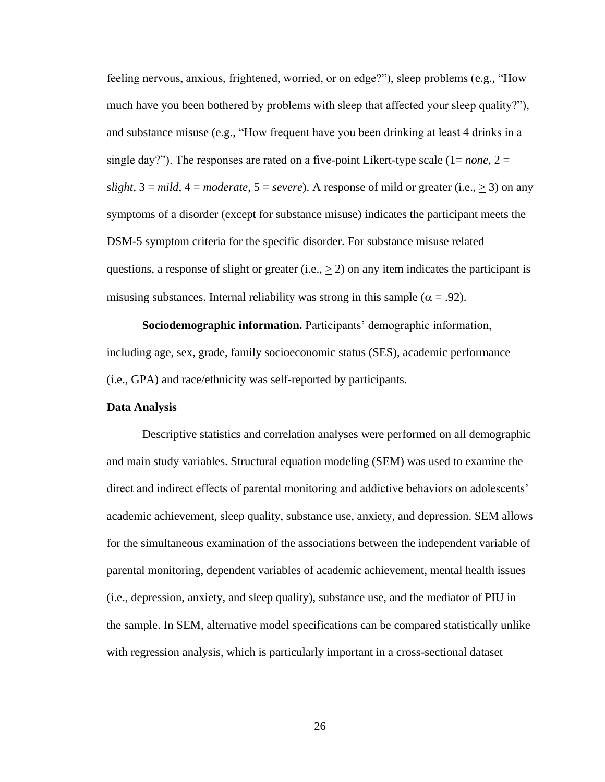feeling nervous, anxious, frightened, worried, or on edge?"), sleep problems (e.g., "How much have you been bothered by problems with sleep that affected your sleep quality?"), and substance misuse (e.g., "How frequent have you been drinking at least 4 drinks in a single day?"). The responses are rated on a five-point Likert-type scale  $(1=none, 2=$ *slight*,  $3 = mild$ ,  $4 = moderate$ ,  $5 = severe$ ). A response of mild or greater (i.e.,  $\geq 3$ ) on any symptoms of a disorder (except for substance misuse) indicates the participant meets the DSM-5 symptom criteria for the specific disorder. For substance misuse related questions, a response of slight or greater (i.e.,  $\geq$  2) on any item indicates the participant is misusing substances. Internal reliability was strong in this sample ( $\alpha$  = .92).

<span id="page-35-0"></span>**Sociodemographic information.** Participants' demographic information, including age, sex, grade, family socioeconomic status (SES), academic performance (i.e., GPA) and race/ethnicity was self-reported by participants.

# <span id="page-35-1"></span>**Data Analysis**

Descriptive statistics and correlation analyses were performed on all demographic and main study variables. Structural equation modeling (SEM) was used to examine the direct and indirect effects of parental monitoring and addictive behaviors on adolescents' academic achievement, sleep quality, substance use, anxiety, and depression. SEM allows for the simultaneous examination of the associations between the independent variable of parental monitoring, dependent variables of academic achievement, mental health issues (i.e., depression, anxiety, and sleep quality), substance use, and the mediator of PIU in the sample. In SEM, alternative model specifications can be compared statistically unlike with regression analysis, which is particularly important in a cross-sectional dataset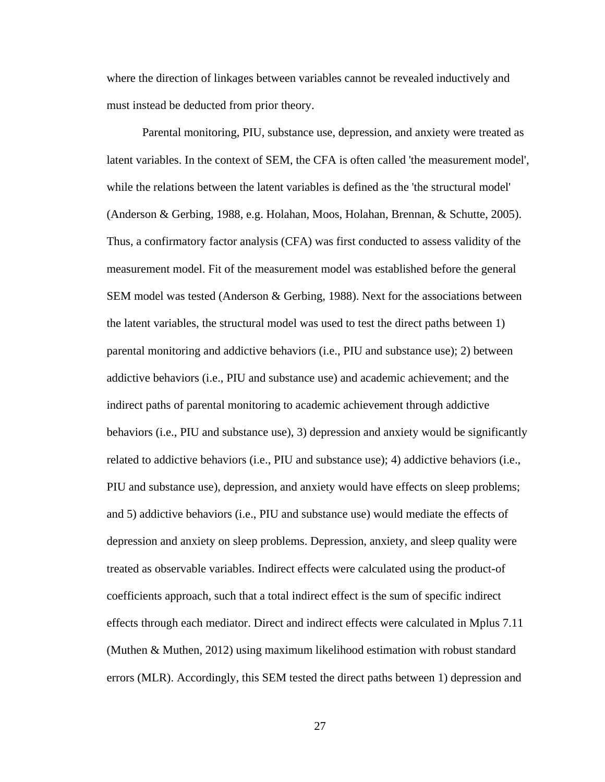where the direction of linkages between variables cannot be revealed inductively and must instead be deducted from prior theory.

Parental monitoring, PIU, substance use, depression, and anxiety were treated as latent variables. In the context of SEM, the CFA is often called 'the measurement model', while the relations between the latent variables is defined as the 'the structural model' (Anderson & Gerbing, 1988, e.g. Holahan, Moos, Holahan, Brennan, & Schutte, 2005). Thus, a confirmatory factor analysis (CFA) was first conducted to assess validity of the measurement model. Fit of the measurement model was established before the general SEM model was tested (Anderson & Gerbing, 1988). Next for the associations between the latent variables, the structural model was used to test the direct paths between 1) parental monitoring and addictive behaviors (i.e., PIU and substance use); 2) between addictive behaviors (i.e., PIU and substance use) and academic achievement; and the indirect paths of parental monitoring to academic achievement through addictive behaviors (i.e., PIU and substance use), 3) depression and anxiety would be significantly related to addictive behaviors (i.e., PIU and substance use); 4) addictive behaviors (i.e., PIU and substance use), depression, and anxiety would have effects on sleep problems; and 5) addictive behaviors (i.e., PIU and substance use) would mediate the effects of depression and anxiety on sleep problems. Depression, anxiety, and sleep quality were treated as observable variables. Indirect effects were calculated using the product-of coefficients approach, such that a total indirect effect is the sum of specific indirect effects through each mediator. Direct and indirect effects were calculated in Mplus 7.11 (Muthen & Muthen, 2012) using maximum likelihood estimation with robust standard errors (MLR). Accordingly, this SEM tested the direct paths between 1) depression and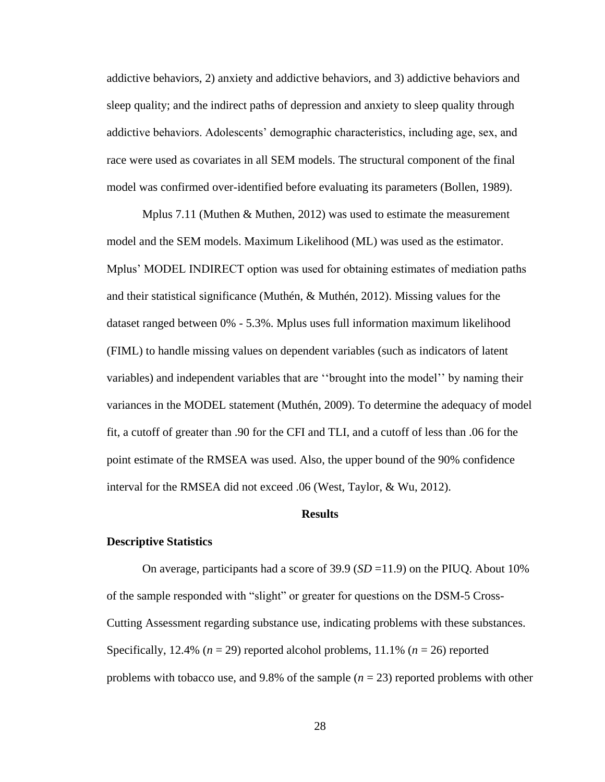addictive behaviors, 2) anxiety and addictive behaviors, and 3) addictive behaviors and sleep quality; and the indirect paths of depression and anxiety to sleep quality through addictive behaviors. Adolescents' demographic characteristics, including age, sex, and race were used as covariates in all SEM models. The structural component of the final model was confirmed over-identified before evaluating its parameters (Bollen, 1989).

Mplus 7.11 (Muthen & Muthen, 2012) was used to estimate the measurement model and the SEM models. Maximum Likelihood (ML) was used as the estimator. Mplus' MODEL INDIRECT option was used for obtaining estimates of mediation paths and their statistical significance (Muthén, & Muthén, 2012). Missing values for the dataset ranged between 0% - 5.3%. Mplus uses full information maximum likelihood (FIML) to handle missing values on dependent variables (such as indicators of latent variables) and independent variables that are ''brought into the model'' by naming their variances in the MODEL statement (Muthén, 2009). To determine the adequacy of model fit, a cutoff of greater than .90 for the CFI and TLI, and a cutoff of less than .06 for the point estimate of the RMSEA was used. Also, the upper bound of the 90% confidence interval for the RMSEA did not exceed .06 (West, Taylor, & Wu, 2012).

# **Results**

#### **Descriptive Statistics**

On average, participants had a score of  $39.9$  (*SD* = 11.9) on the PIUQ. About 10% of the sample responded with "slight" or greater for questions on the DSM-5 Cross-Cutting Assessment regarding substance use, indicating problems with these substances. Specifically, 12.4% ( $n = 29$ ) reported alcohol problems, 11.1% ( $n = 26$ ) reported problems with tobacco use, and 9.8% of the sample  $(n = 23)$  reported problems with other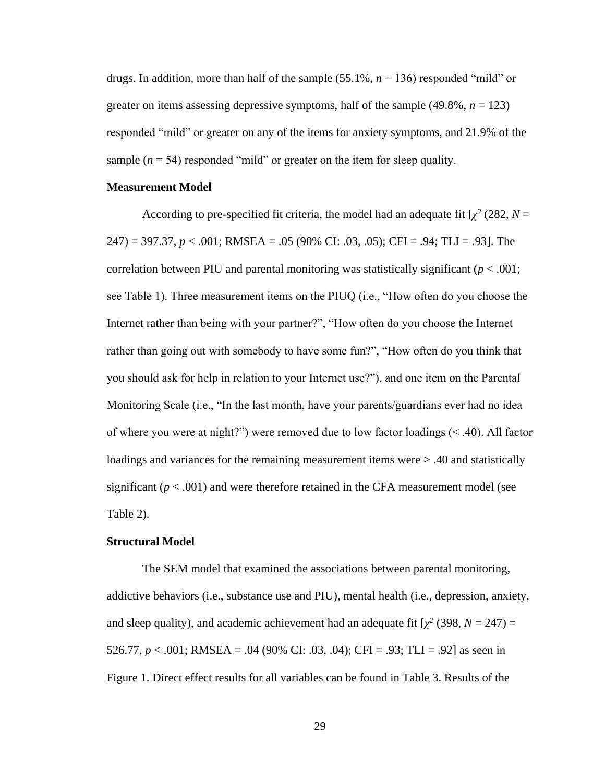drugs. In addition, more than half of the sample (55.1%, *n* = 136) responded "mild" or greater on items assessing depressive symptoms, half of the sample  $(49.8\%, n = 123)$ responded "mild" or greater on any of the items for anxiety symptoms, and 21.9% of the sample  $(n = 54)$  responded "mild" or greater on the item for sleep quality.

# **Measurement Model**

According to pre-specified fit criteria, the model had an adequate fit  $[\chi^2 (282, N =$ 247) = 397.37, *p* < .001; RMSEA = .05 (90% CI: .03, .05); CFI = .94; TLI = .93]. The correlation between PIU and parental monitoring was statistically significant  $(p < .001)$ ; see Table 1). Three measurement items on the PIUQ (i.e., "How often do you choose the Internet rather than being with your partner?", "How often do you choose the Internet rather than going out with somebody to have some fun?", "How often do you think that you should ask for help in relation to your Internet use?"), and one item on the Parental Monitoring Scale (i.e., "In the last month, have your parents/guardians ever had no idea of where you were at night?") were removed due to low factor loadings (< .40). All factor loadings and variances for the remaining measurement items were > .40 and statistically significant  $(p < .001)$  and were therefore retained in the CFA measurement model (see Table 2).

### **Structural Model**

The SEM model that examined the associations between parental monitoring, addictive behaviors (i.e., substance use and PIU), mental health (i.e., depression, anxiety, and sleep quality), and academic achievement had an adequate fit  $[\chi^2 (398, N = 247) =$ 526.77, *p* < .001; RMSEA = .04 (90% CI: .03, .04); CFI = .93; TLI = .92] as seen in Figure 1. Direct effect results for all variables can be found in Table 3. Results of the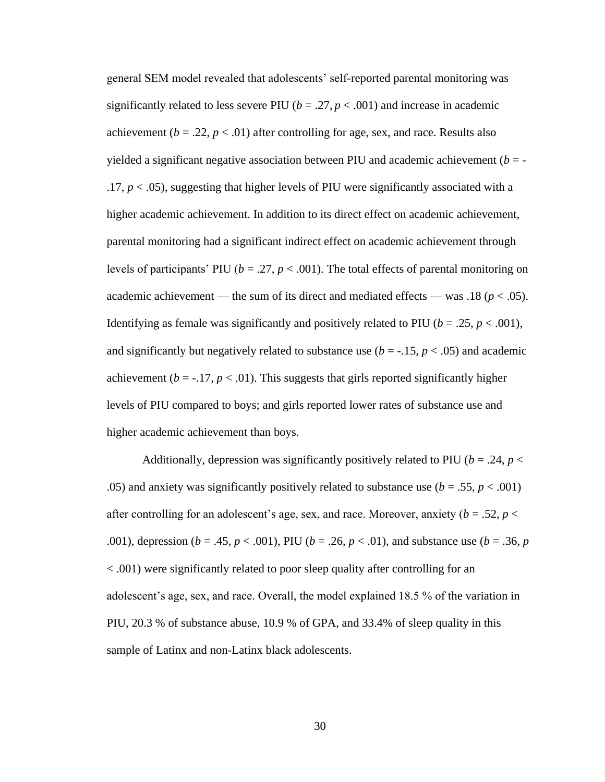general SEM model revealed that adolescents' self-reported parental monitoring was significantly related to less severe PIU ( $b = .27, p < .001$ ) and increase in academic achievement  $(b = .22, p < .01)$  after controlling for age, sex, and race. Results also yielded a significant negative association between PIU and academic achievement  $(b = .17, p < .05$ ), suggesting that higher levels of PIU were significantly associated with a higher academic achievement. In addition to its direct effect on academic achievement, parental monitoring had a significant indirect effect on academic achievement through levels of participants' PIU ( $b = .27$ ,  $p < .001$ ). The total effects of parental monitoring on academic achievement — the sum of its direct and mediated effects — was .18 ( $p < .05$ ). Identifying as female was significantly and positively related to PIU ( $b = .25$ ,  $p < .001$ ), and significantly but negatively related to substance use  $(b = -1.15, p < .05)$  and academic achievement ( $b = -17$ ,  $p < .01$ ). This suggests that girls reported significantly higher levels of PIU compared to boys; and girls reported lower rates of substance use and higher academic achievement than boys.

Additionally, depression was significantly positively related to PIU ( $b = .24$ ,  $p <$ .05) and anxiety was significantly positively related to substance use  $(b = .55, p < .001)$ after controlling for an adolescent's age, sex, and race. Moreover, anxiety ( $b = .52$ ,  $p <$ .001), depression (*b* = .45, *p* < .001), PIU (*b* = .26, *p* < .01), and substance use (*b* = .36, *p* < .001) were significantly related to poor sleep quality after controlling for an adolescent's age, sex, and race. Overall, the model explained 18.5 % of the variation in PIU, 20.3 % of substance abuse, 10.9 % of GPA, and 33.4% of sleep quality in this sample of Latinx and non-Latinx black adolescents.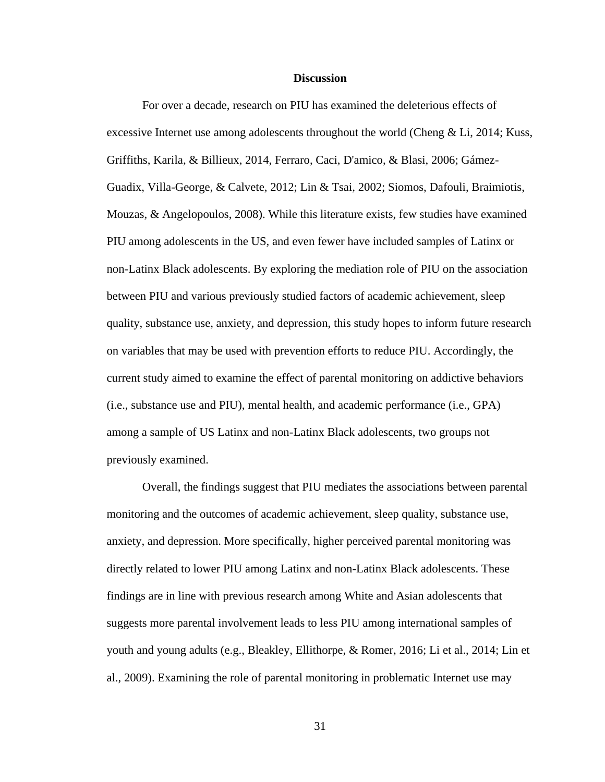### **Discussion**

For over a decade, research on PIU has examined the deleterious effects of excessive Internet use among adolescents throughout the world (Cheng  $&$  Li, 2014; Kuss, Griffiths, Karila, & Billieux, 2014, Ferraro, Caci, D'amico, & Blasi, 2006; Gámez-Guadix, Villa-George, & Calvete, 2012; Lin & Tsai, 2002; Siomos, Dafouli, Braimiotis, Mouzas, & Angelopoulos, 2008). While this literature exists, few studies have examined PIU among adolescents in the US, and even fewer have included samples of Latinx or non-Latinx Black adolescents. By exploring the mediation role of PIU on the association between PIU and various previously studied factors of academic achievement, sleep quality, substance use, anxiety, and depression, this study hopes to inform future research on variables that may be used with prevention efforts to reduce PIU. Accordingly, the current study aimed to examine the effect of parental monitoring on addictive behaviors (i.e., substance use and PIU), mental health, and academic performance (i.e., GPA) among a sample of US Latinx and non-Latinx Black adolescents, two groups not previously examined.

Overall, the findings suggest that PIU mediates the associations between parental monitoring and the outcomes of academic achievement, sleep quality, substance use, anxiety, and depression. More specifically, higher perceived parental monitoring was directly related to lower PIU among Latinx and non-Latinx Black adolescents. These findings are in line with previous research among White and Asian adolescents that suggests more parental involvement leads to less PIU among international samples of youth and young adults (e.g., Bleakley, Ellithorpe, & Romer, 2016; Li et al., 2014; Lin et al., 2009). Examining the role of parental monitoring in problematic Internet use may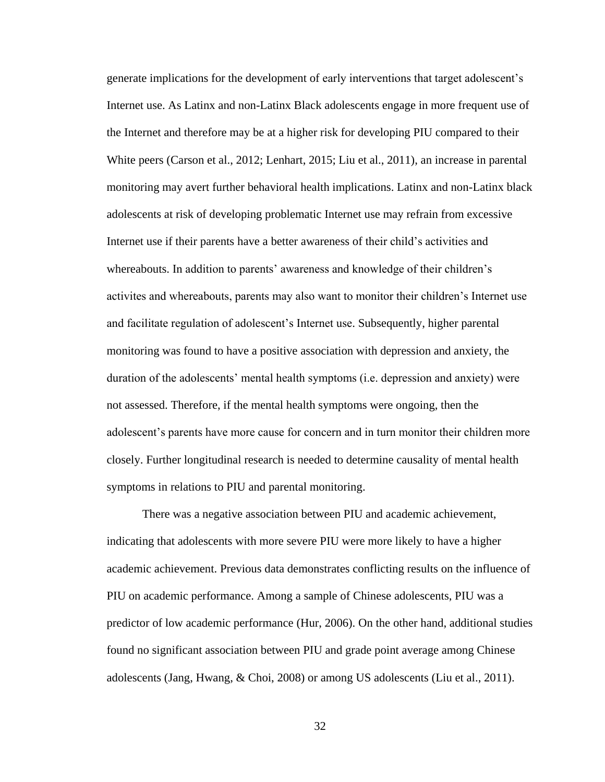generate implications for the development of early interventions that target adolescent's Internet use. As Latinx and non-Latinx Black adolescents engage in more frequent use of the Internet and therefore may be at a higher risk for developing PIU compared to their White peers (Carson et al., 2012; Lenhart, 2015; Liu et al., 2011), an increase in parental monitoring may avert further behavioral health implications. Latinx and non-Latinx black adolescents at risk of developing problematic Internet use may refrain from excessive Internet use if their parents have a better awareness of their child's activities and whereabouts. In addition to parents' awareness and knowledge of their children's activites and whereabouts, parents may also want to monitor their children's Internet use and facilitate regulation of adolescent's Internet use. Subsequently, higher parental monitoring was found to have a positive association with depression and anxiety, the duration of the adolescents' mental health symptoms (i.e. depression and anxiety) were not assessed. Therefore, if the mental health symptoms were ongoing, then the adolescent's parents have more cause for concern and in turn monitor their children more closely. Further longitudinal research is needed to determine causality of mental health symptoms in relations to PIU and parental monitoring.

There was a negative association between PIU and academic achievement, indicating that adolescents with more severe PIU were more likely to have a higher academic achievement. Previous data demonstrates conflicting results on the influence of PIU on academic performance. Among a sample of Chinese adolescents, PIU was a predictor of low academic performance (Hur, 2006). On the other hand, additional studies found no significant association between PIU and grade point average among Chinese adolescents (Jang, Hwang, & Choi, 2008) or among US adolescents (Liu et al., 2011).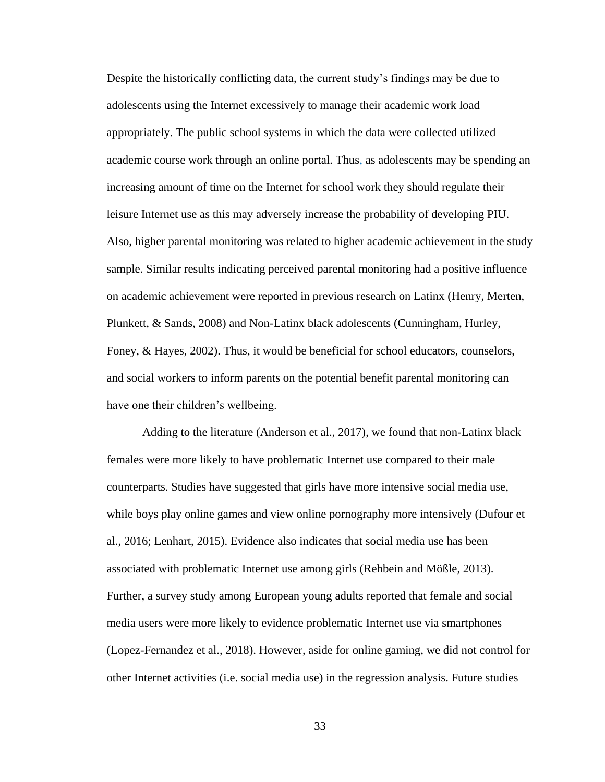Despite the historically conflicting data, the current study's findings may be due to adolescents using the Internet excessively to manage their academic work load appropriately. The public school systems in which the data were collected utilized academic course work through an online portal. Thus, as adolescents may be spending an increasing amount of time on the Internet for school work they should regulate their leisure Internet use as this may adversely increase the probability of developing PIU. Also, higher parental monitoring was related to higher academic achievement in the study sample. Similar results indicating perceived parental monitoring had a positive influence on academic achievement were reported in previous research on Latinx (Henry, Merten, Plunkett, & Sands, 2008) and Non-Latinx black adolescents (Cunningham, Hurley, Foney, & Hayes, 2002). Thus, it would be beneficial for school educators, counselors, and social workers to inform parents on the potential benefit parental monitoring can have one their children's wellbeing.

Adding to the literature (Anderson et al., 2017), we found that non-Latinx black females were more likely to have problematic Internet use compared to their male counterparts. Studies have suggested that girls have more intensive social media use, while boys play online games and view online pornography more intensively (Dufour et al., 2016; Lenhart, 2015). Evidence also indicates that social media use has been associated with problematic Internet use among girls (Rehbein and Mößle, 2013). Further, a survey study among European young adults reported that female and social media users were more likely to evidence problematic Internet use via smartphones (Lopez-Fernandez et al., 2018). However, aside for online gaming, we did not control for other Internet activities (i.e. social media use) in the regression analysis. Future studies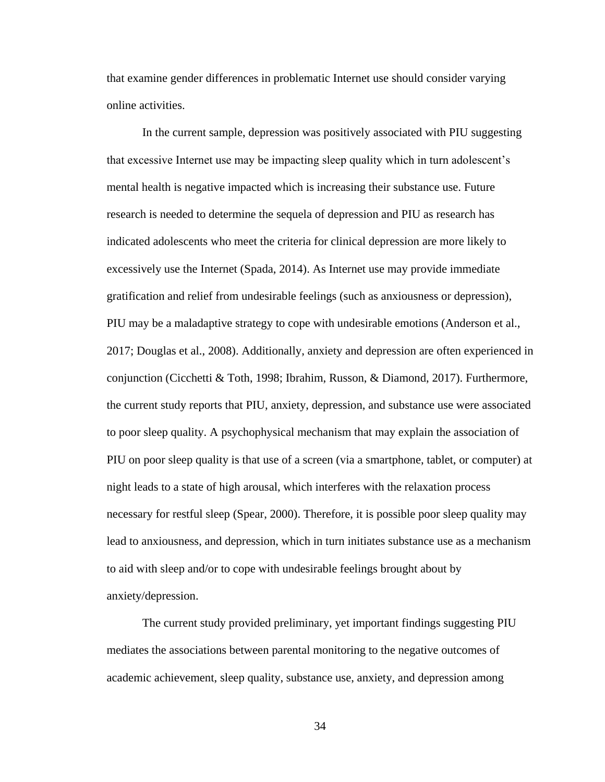that examine gender differences in problematic Internet use should consider varying online activities.

In the current sample, depression was positively associated with PIU suggesting that excessive Internet use may be impacting sleep quality which in turn adolescent's mental health is negative impacted which is increasing their substance use. Future research is needed to determine the sequela of depression and PIU as research has indicated adolescents who meet the criteria for clinical depression are more likely to excessively use the Internet (Spada, 2014). As Internet use may provide immediate gratification and relief from undesirable feelings (such as anxiousness or depression), PIU may be a maladaptive strategy to cope with undesirable emotions (Anderson et al., 2017; Douglas et al., 2008). Additionally, anxiety and depression are often experienced in conjunction (Cicchetti & Toth, 1998; Ibrahim, Russon, & Diamond, 2017). Furthermore, the current study reports that PIU, anxiety, depression, and substance use were associated to poor sleep quality. A psychophysical mechanism that may explain the association of PIU on poor sleep quality is that use of a screen (via a smartphone, tablet, or computer) at night leads to a state of high arousal, which interferes with the relaxation process necessary for restful sleep (Spear, 2000). Therefore, it is possible poor sleep quality may lead to anxiousness, and depression, which in turn initiates substance use as a mechanism to aid with sleep and/or to cope with undesirable feelings brought about by anxiety/depression.

The current study provided preliminary, yet important findings suggesting PIU mediates the associations between parental monitoring to the negative outcomes of academic achievement, sleep quality, substance use, anxiety, and depression among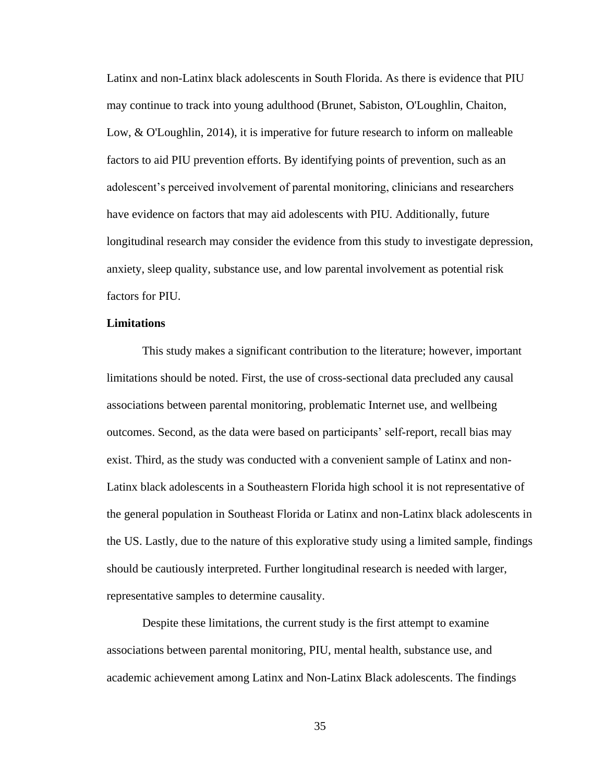Latinx and non-Latinx black adolescents in South Florida. As there is evidence that PIU may continue to track into young adulthood (Brunet, Sabiston, O'Loughlin, Chaiton, Low, & O'Loughlin, 2014), it is imperative for future research to inform on malleable factors to aid PIU prevention efforts. By identifying points of prevention, such as an adolescent's perceived involvement of parental monitoring, clinicians and researchers have evidence on factors that may aid adolescents with PIU. Additionally, future longitudinal research may consider the evidence from this study to investigate depression, anxiety, sleep quality, substance use, and low parental involvement as potential risk factors for PIU.

# **Limitations**

This study makes a significant contribution to the literature; however, important limitations should be noted. First, the use of cross-sectional data precluded any causal associations between parental monitoring, problematic Internet use, and wellbeing outcomes. Second, as the data were based on participants' self-report, recall bias may exist. Third, as the study was conducted with a convenient sample of Latinx and non-Latinx black adolescents in a Southeastern Florida high school it is not representative of the general population in Southeast Florida or Latinx and non-Latinx black adolescents in the US. Lastly, due to the nature of this explorative study using a limited sample, findings should be cautiously interpreted. Further longitudinal research is needed with larger, representative samples to determine causality.

Despite these limitations, the current study is the first attempt to examine associations between parental monitoring, PIU, mental health, substance use, and academic achievement among Latinx and Non-Latinx Black adolescents. The findings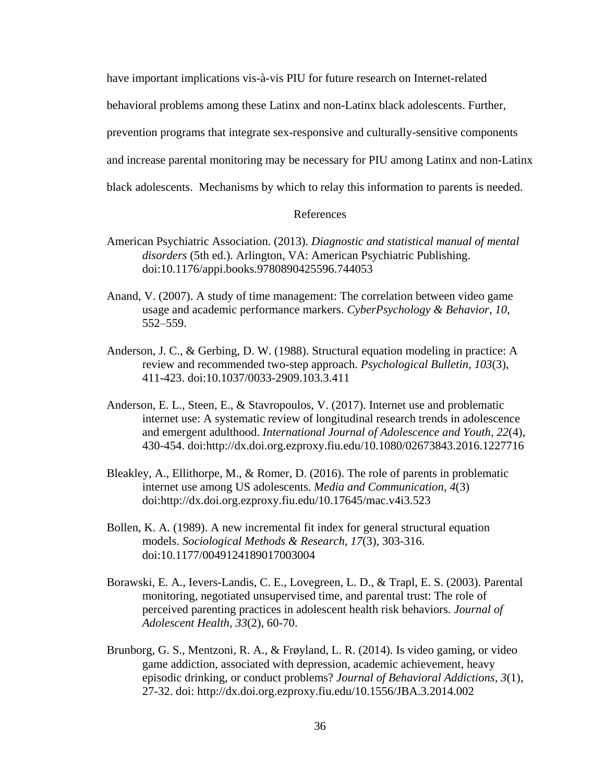have important implications vis-à-vis PIU for future research on Internet-related

behavioral problems among these Latinx and non-Latinx black adolescents. Further,

prevention programs that integrate sex-responsive and culturally-sensitive components

and increase parental monitoring may be necessary for PIU among Latinx and non-Latinx

black adolescents. Mechanisms by which to relay this information to parents is needed.

# References

- American Psychiatric Association. (2013). *Diagnostic and statistical manual of mental disorders* (5th ed.). Arlington, VA: American Psychiatric Publishing. doi:10.1176/appi.books.9780890425596.744053
- Anand, V. (2007). A study of time management: The correlation between video game usage and academic performance markers. *CyberPsychology & Behavior, 10,*  552–559.
- Anderson, J. C., & Gerbing, D. W. (1988). Structural equation modeling in practice: A review and recommended two-step approach. *Psychological Bulletin, 103*(3), 411-423. [doi:10.1037/0033-2909.103.3.411](http://psycnet.apa.org/doi/10.1037/0033-2909.103.3.411)
- Anderson, E. L., Steen, E., & Stavropoulos, V. (2017). Internet use and problematic internet use: A systematic review of longitudinal research trends in adolescence and emergent adulthood. *International Journal of Adolescence and Youth, 22*(4), 430-454. doi:http://dx.doi.org.ezproxy.fiu.edu/10.1080/02673843.2016.1227716
- Bleakley, A., Ellithorpe, M., & Romer, D. (2016). The role of parents in problematic internet use among US adolescents. *Media and Communication, 4*(3) doi:http://dx.doi.org.ezproxy.fiu.edu/10.17645/mac.v4i3.523
- Bollen, K. A. (1989). A new incremental fit index for general structural equation models. *Sociological Methods & Research, 17*(3), 303-316. [doi:10.1177/0049124189017003004](https://doi.org/10.1177/0049124189017003004)
- Borawski, E. A., Ievers-Landis, C. E., Lovegreen, L. D., & Trapl, E. S. (2003). Parental monitoring, negotiated unsupervised time, and parental trust: The role of perceived parenting practices in adolescent health risk behaviors. *Journal of Adolescent Health*, *33*(2), 60-70.
- Brunborg, G. S., Mentzoni, R. A., & Frøyland, L. R. (2014). Is video gaming, or video game addiction, associated with depression, academic achievement, heavy episodic drinking, or conduct problems? *Journal of Behavioral Addictions, 3*(1), 27-32. doi: http://dx.doi.org.ezproxy.fiu.edu/10.1556/JBA.3.2014.002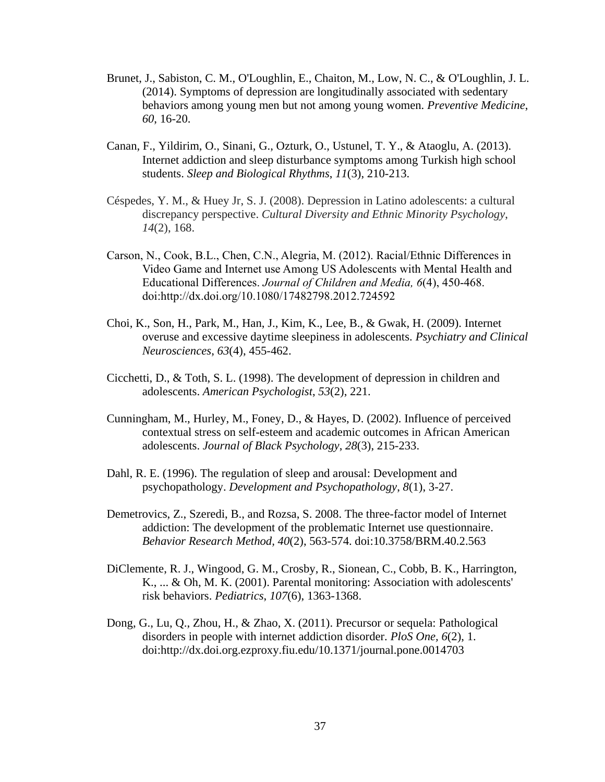- Brunet, J., Sabiston, C. M., O'Loughlin, E., Chaiton, M., Low, N. C., & O'Loughlin, J. L. (2014). Symptoms of depression are longitudinally associated with sedentary behaviors among young men but not among young women. *Preventive Medicine*, *60*, 16-20.
- Canan, F., Yildirim, O., Sinani, G., Ozturk, O., Ustunel, T. Y., & Ataoglu, A. (2013). Internet addiction and sleep disturbance symptoms among Turkish high school students. *Sleep and Biological Rhythms*, *11*(3), 210-213.
- Céspedes, Y. M., & Huey Jr, S. J. (2008). Depression in Latino adolescents: a cultural discrepancy perspective. *Cultural Diversity and Ethnic Minority Psychology*, *14*(2), 168.
- Carson, N., Cook, B.L., Chen, C.N., Alegria, M. (2012). Racial/Ethnic Differences in Video Game and Internet use Among US Adolescents with Mental Health and Educational Differences. *Journal of Children and Media, 6*(4), 450-468. doi:http://dx.doi.org/10.1080/17482798.2012.724592
- Choi, K., Son, H., Park, M., Han, J., Kim, K., Lee, B., & Gwak, H. (2009). Internet overuse and excessive daytime sleepiness in adolescents. *Psychiatry and Clinical Neurosciences*, *63*(4), 455-462.
- Cicchetti, D., & Toth, S. L. (1998). The development of depression in children and adolescents. *American Psychologist*, *53*(2), 221.
- Cunningham, M., Hurley, M., Foney, D., & Hayes, D. (2002). Influence of perceived contextual stress on self-esteem and academic outcomes in African American adolescents. *Journal of Black Psychology*, *28*(3), 215-233.
- Dahl, R. E. (1996). The regulation of sleep and arousal: Development and psychopathology. *Development and Psychopathology*, *8*(1), 3-27.
- Demetrovics, Z., Szeredi, B., and Rozsa, S. 2008. The three-factor model of Internet addiction: The development of the problematic Internet use questionnaire. *Behavior Research Method, 40*(2), 563-574. doi:10.3758/BRM.40.2.563
- DiClemente, R. J., Wingood, G. M., Crosby, R., Sionean, C., Cobb, B. K., Harrington, K., ... & Oh, M. K. (2001). Parental monitoring: Association with adolescents' risk behaviors. *Pediatrics*, *107*(6), 1363-1368.
- Dong, G., Lu, Q., Zhou, H., & Zhao, X. (2011). Precursor or sequela: Pathological disorders in people with internet addiction disorder. *PloS One, 6*(2), 1. doi:http://dx.doi.org.ezproxy.fiu.edu/10.1371/journal.pone.0014703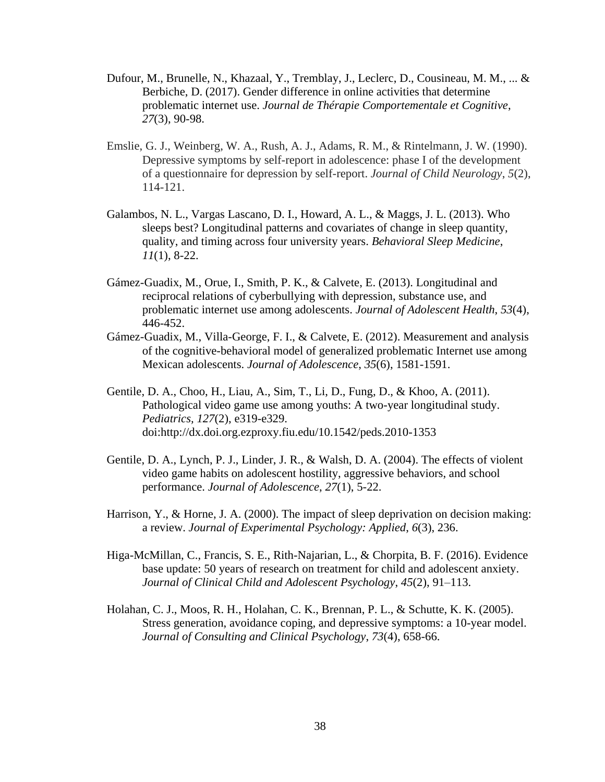- Dufour, M., Brunelle, N., Khazaal, Y., Tremblay, J., Leclerc, D., Cousineau, M. M., ... & Berbiche, D. (2017). Gender difference in online activities that determine problematic internet use. *Journal de Thérapie Comportementale et Cognitive*, *27*(3), 90-98.
- Emslie, G. J., Weinberg, W. A., Rush, A. J., Adams, R. M., & Rintelmann, J. W. (1990). Depressive symptoms by self-report in adolescence: phase I of the development of a questionnaire for depression by self-report. *Journal of Child Neurology*, *5*(2), 114-121.
- Galambos, N. L., Vargas Lascano, D. I., Howard, A. L., & Maggs, J. L. (2013). Who sleeps best? Longitudinal patterns and covariates of change in sleep quantity, quality, and timing across four university years. *Behavioral Sleep Medicine*, *11*(1), 8-22.
- Gámez-Guadix, M., Orue, I., Smith, P. K., & Calvete, E. (2013). Longitudinal and reciprocal relations of cyberbullying with depression, substance use, and problematic internet use among adolescents. *Journal of Adolescent Health*, *53*(4), 446-452.
- Gámez-Guadix, M., Villa-George, F. I., & Calvete, E. (2012). Measurement and analysis of the cognitive-behavioral model of generalized problematic Internet use among Mexican adolescents. *Journal of Adolescence*, *35*(6), 1581-1591.
- Gentile, D. A., Choo, H., Liau, A., Sim, T., Li, D., Fung, D., & Khoo, A. (2011). Pathological video game use among youths: A two-year longitudinal study. *Pediatrics, 127*(2), e319-e329. doi:http://dx.doi.org.ezproxy.fiu.edu/10.1542/peds.2010-1353
- Gentile, D. A., Lynch, P. J., Linder, J. R., & Walsh, D. A. (2004). The effects of violent video game habits on adolescent hostility, aggressive behaviors, and school performance. *Journal of Adolescence*, *27*(1), 5-22.
- Harrison, Y., & Horne, J. A. (2000). The impact of sleep deprivation on decision making: a review. *Journal of Experimental Psychology: Applied*, *6*(3), 236.
- Higa-McMillan, C., Francis, S. E., Rith-Najarian, L., & Chorpita, B. F. (2016). Evidence base update: 50 years of research on treatment for child and adolescent anxiety. *Journal of Clinical Child and Adolescent Psychology*, *45*(2), 91–113.
- Holahan, C. J., Moos, R. H., Holahan, C. K., Brennan, P. L., & Schutte, K. K. (2005). Stress generation, avoidance coping, and depressive symptoms: a 10-year model. *Journal of Consulting and Clinical Psychology*, *73*(4), 658-66.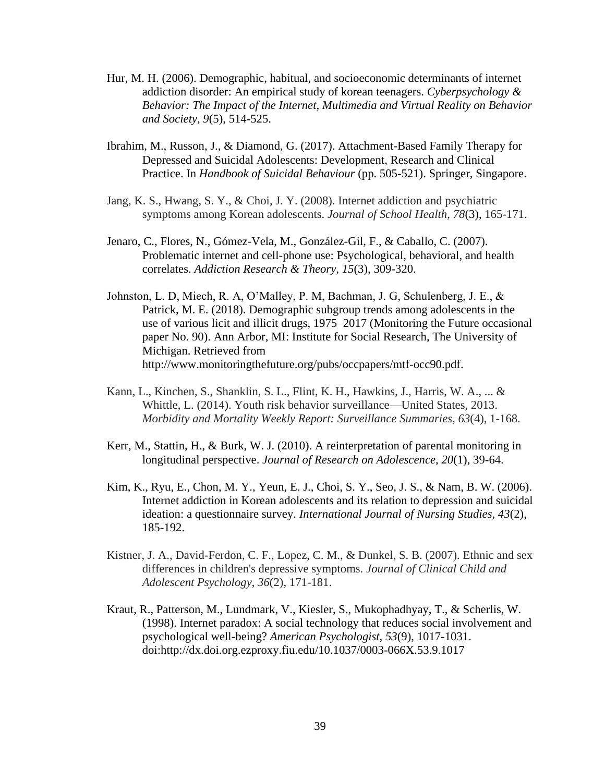- Hur, M. H. (2006). Demographic, habitual, and socioeconomic determinants of internet addiction disorder: An empirical study of korean teenagers. *Cyberpsychology & Behavior: The Impact of the Internet, Multimedia and Virtual Reality on Behavior and Society, 9*(5), 514-525.
- Ibrahim, M., Russon, J., & Diamond, G. (2017). Attachment-Based Family Therapy for Depressed and Suicidal Adolescents: Development, Research and Clinical Practice. In *Handbook of Suicidal Behaviour* (pp. 505-521). Springer, Singapore.
- Jang, K. S., Hwang, S. Y., & Choi, J. Y. (2008). Internet addiction and psychiatric symptoms among Korean adolescents. *Journal of School Health*, *78*(3), 165-171.
- Jenaro, C., Flores, N., Gómez-Vela, M., González-Gil, F., & Caballo, C. (2007). Problematic internet and cell-phone use: Psychological, behavioral, and health correlates. *Addiction Research & Theory*, *15*(3), 309-320.
- Johnston, L. D, Miech, R. A, O'Malley, P. M, Bachman, J. G, Schulenberg, J. E., & Patrick, M. E. (2018). Demographic subgroup trends among adolescents in the use of various licit and illicit drugs, 1975–2017 (Monitoring the Future occasional paper No. 90). Ann Arbor, MI: Institute for Social Research, The University of Michigan. Retrieved from http://www.monitoringthefuture.org/pubs/occpapers/mtf-occ90.pdf.
- Kann, L., Kinchen, S., Shanklin, S. L., Flint, K. H., Hawkins, J., Harris, W. A., ... & Whittle, L. (2014). Youth risk behavior surveillance—United States, 2013. *Morbidity and Mortality Weekly Report: Surveillance Summaries*, *63*(4), 1-168.
- Kerr, M., Stattin, H., & Burk, W. J. (2010). A reinterpretation of parental monitoring in longitudinal perspective. *Journal of Research on Adolescence*, *20*(1), 39-64.
- Kim, K., Ryu, E., Chon, M. Y., Yeun, E. J., Choi, S. Y., Seo, J. S., & Nam, B. W. (2006). Internet addiction in Korean adolescents and its relation to depression and suicidal ideation: a questionnaire survey. *International Journal of Nursing Studies, 43*(2), 185-192.
- Kistner, J. A., David-Ferdon, C. F., Lopez, C. M., & Dunkel, S. B. (2007). Ethnic and sex differences in children's depressive symptoms. *Journal of Clinical Child and Adolescent Psychology*, *36*(2), 171-181.
- Kraut, R., Patterson, M., Lundmark, V., Kiesler, S., Mukophadhyay, T., & Scherlis, W. (1998). Internet paradox: A social technology that reduces social involvement and psychological well-being? *American Psychologist, 53*(9), 1017-1031. doi:http://dx.doi.org.ezproxy.fiu.edu/10.1037/0003-066X.53.9.1017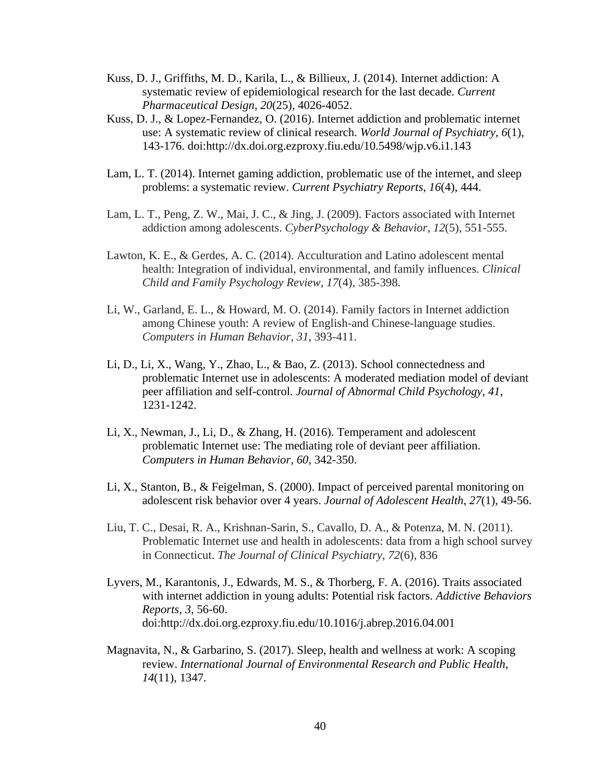- Kuss, D. J., Griffiths, M. D., Karila, L., & Billieux, J. (2014). Internet addiction: A systematic review of epidemiological research for the last decade. *Current Pharmaceutical Design, 20*(25), 4026-4052.
- Kuss, D. J., & Lopez-Fernandez, O. (2016). Internet addiction and problematic internet use: A systematic review of clinical research. *World Journal of Psychiatry, 6*(1), 143-176. doi:http://dx.doi.org.ezproxy.fiu.edu/10.5498/wjp.v6.i1.143
- Lam, L. T. (2014). Internet gaming addiction, problematic use of the internet, and sleep problems: a systematic review. *Current Psychiatry Reports*, *16*(4), 444.
- Lam, L. T., Peng, Z. W., Mai, J. C., & Jing, J. (2009). Factors associated with Internet addiction among adolescents. *CyberPsychology & Behavior*, *12*(5), 551-555.
- Lawton, K. E., & Gerdes, A. C. (2014). Acculturation and Latino adolescent mental health: Integration of individual, environmental, and family influences. *Clinical Child and Family Psychology Review*, *17*(4), 385-398.
- Li, W., Garland, E. L., & Howard, M. O. (2014). Family factors in Internet addiction among Chinese youth: A review of English-and Chinese-language studies. *Computers in Human Behavior*, *31*, 393-411.
- Li, D., Li, X., Wang, Y., Zhao, L., & Bao, Z. (2013). School connectedness and problematic Internet use in adolescents: A moderated mediation model of deviant peer affiliation and self-control. *Journal of Abnormal Child Psychology, 41*, 1231-1242.
- Li, X., Newman, J., Li, D., & Zhang, H. (2016). Temperament and adolescent problematic Internet use: The mediating role of deviant peer affiliation. *Computers in Human Behavior, 60,* 342-350.
- Li, X., Stanton, B., & Feigelman, S. (2000). Impact of perceived parental monitoring on adolescent risk behavior over 4 years. *Journal of Adolescent Health*, *27*(1), 49-56.
- Liu, T. C., Desai, R. A., Krishnan-Sarin, S., Cavallo, D. A., & Potenza, M. N. (2011). Problematic Internet use and health in adolescents: data from a high school survey in Connecticut. *The Journal of Clinical Psychiatry*, *72*(6), 836
- Lyvers, M., Karantonis, J., Edwards, M. S., & Thorberg, F. A. (2016). Traits associated with internet addiction in young adults: Potential risk factors. *Addictive Behaviors Reports, 3*, 56-60. doi:http://dx.doi.org.ezproxy.fiu.edu/10.1016/j.abrep.2016.04.001
- Magnavita, N., & Garbarino, S. (2017). Sleep, health and wellness at work: A scoping review. *International Journal of Environmental Research and Public Health*, *14*(11), 1347.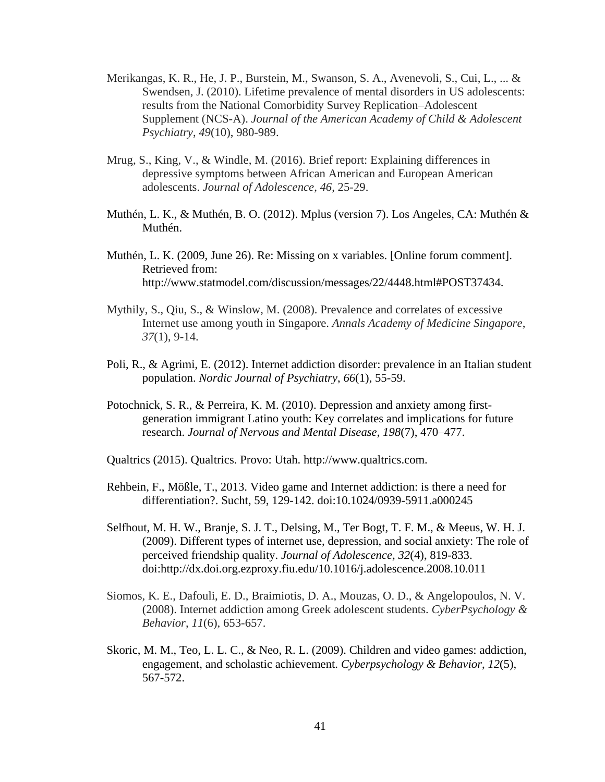- Merikangas, K. R., He, J. P., Burstein, M., Swanson, S. A., Avenevoli, S., Cui, L., ... & Swendsen, J. (2010). Lifetime prevalence of mental disorders in US adolescents: results from the National Comorbidity Survey Replication–Adolescent Supplement (NCS-A). *Journal of the American Academy of Child & Adolescent Psychiatry*, *49*(10), 980-989.
- Mrug, S., King, V., & Windle, M. (2016). Brief report: Explaining differences in depressive symptoms between African American and European American adolescents. *Journal of Adolescence*, *46*, 25-29.
- Muthén, L. K., & Muthén, B. O. (2012). Mplus (version 7). Los Angeles, CA: Muthén & Muthén.
- Muthén, L. K. (2009, June 26). Re: Missing on x variables. [Online forum comment]. Retrieved from: http://www.statmodel.com/discussion/messages/22/4448.html#POST37434.
- Mythily, S., Qiu, S., & Winslow, M. (2008). Prevalence and correlates of excessive Internet use among youth in Singapore. *Annals Academy of Medicine Singapore*, *37*(1), 9-14.
- Poli, R., & Agrimi, E. (2012). Internet addiction disorder: prevalence in an Italian student population. *Nordic Journal of Psychiatry*, *66*(1), 55-59.
- Potochnick, S. R., & Perreira, K. M. (2010). Depression and anxiety among firstgeneration immigrant Latino youth: Key correlates and implications for future research. *Journal of Nervous and Mental Disease*, *198*(7), 470–477.
- Qualtrics (2015). Qualtrics. Provo: Utah. http://www.qualtrics.com.
- Rehbein, F., Mößle, T., 2013. Video game and Internet addiction: is there a need for differentiation?. Sucht, 59, 129-142. doi:10.1024/0939-5911.a000245
- Selfhout, M. H. W., Branje, S. J. T., Delsing, M., Ter Bogt, T. F. M., & Meeus, W. H. J. (2009). Different types of internet use, depression, and social anxiety: The role of perceived friendship quality. *Journal of Adolescence, 32*(4), 819-833. doi:http://dx.doi.org.ezproxy.fiu.edu/10.1016/j.adolescence.2008.10.011
- Siomos, K. E., Dafouli, E. D., Braimiotis, D. A., Mouzas, O. D., & Angelopoulos, N. V. (2008). Internet addiction among Greek adolescent students. *CyberPsychology & Behavior*, *11*(6), 653-657.
- Skoric, M. M., Teo, L. L. C., & Neo, R. L. (2009). Children and video games: addiction, engagement, and scholastic achievement. *Cyberpsychology & Behavior*, *12*(5), 567-572.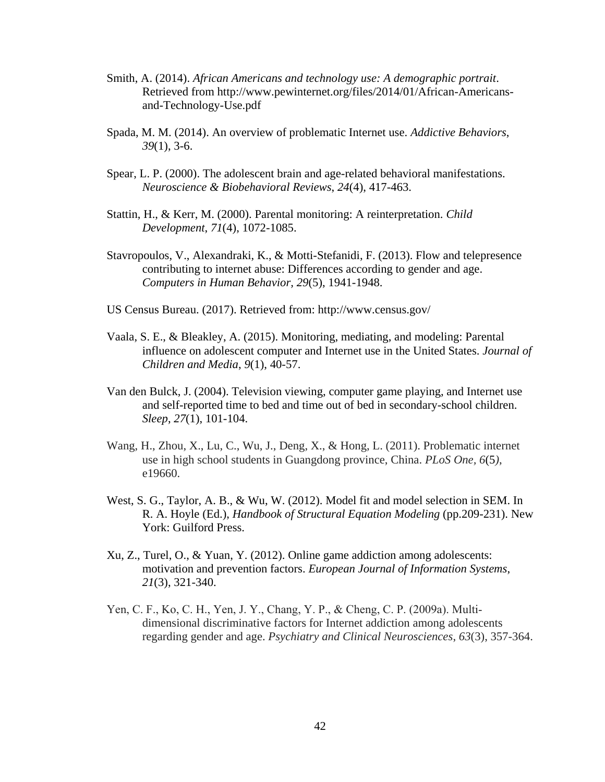- Smith, A. (2014). *African Americans and technology use: A demographic portrait*. Retrieved from http://www.pewinternet.org/files/2014/01/African-Americansand-Technology-Use.pdf
- Spada, M. M. (2014). An overview of problematic Internet use. *Addictive Behaviors*, *39*(1), 3-6.
- Spear, L. P. (2000). The adolescent brain and age-related behavioral manifestations. *Neuroscience & Biobehavioral Reviews*, *24*(4), 417-463.
- Stattin, H., & Kerr, M. (2000). Parental monitoring: A reinterpretation. *Child Development*, *71*(4), 1072-1085.
- Stavropoulos, V., Alexandraki, K., & Motti-Stefanidi, F. (2013). Flow and telepresence contributing to internet abuse: Differences according to gender and age. *Computers in Human Behavior, 29*(5), 1941-1948.
- US Census Bureau. (2017). Retrieved from: http://www.census.gov/
- Vaala, S. E., & Bleakley, A. (2015). Monitoring, mediating, and modeling: Parental influence on adolescent computer and Internet use in the United States. *Journal of Children and Media*, *9*(1), 40-57.
- Van den Bulck, J. (2004). Television viewing, computer game playing, and Internet use and self-reported time to bed and time out of bed in secondary-school children. *Sleep*, *27*(1), 101-104.
- Wang, H., Zhou, X., Lu, C., Wu, J., Deng, X., & Hong, L. (2011). Problematic internet use in high school students in Guangdong province, China. *PLoS One, 6*(5*)*, e19660.
- West, S. G., Taylor, A. B., & Wu, W. (2012). Model fit and model selection in SEM. In R. A. Hoyle (Ed.), *Handbook of Structural Equation Modeling* (pp.209-231). New York: Guilford Press.
- Xu, Z., Turel, O., & Yuan, Y. (2012). Online game addiction among adolescents: motivation and prevention factors. *European Journal of Information Systems*, *21*(3), 321-340.
- Yen, C. F., Ko, C. H., Yen, J. Y., Chang, Y. P., & Cheng, C. P. (2009a). Multi‐ dimensional discriminative factors for Internet addiction among adolescents regarding gender and age. *Psychiatry and Clinical Neurosciences*, *63*(3), 357-364.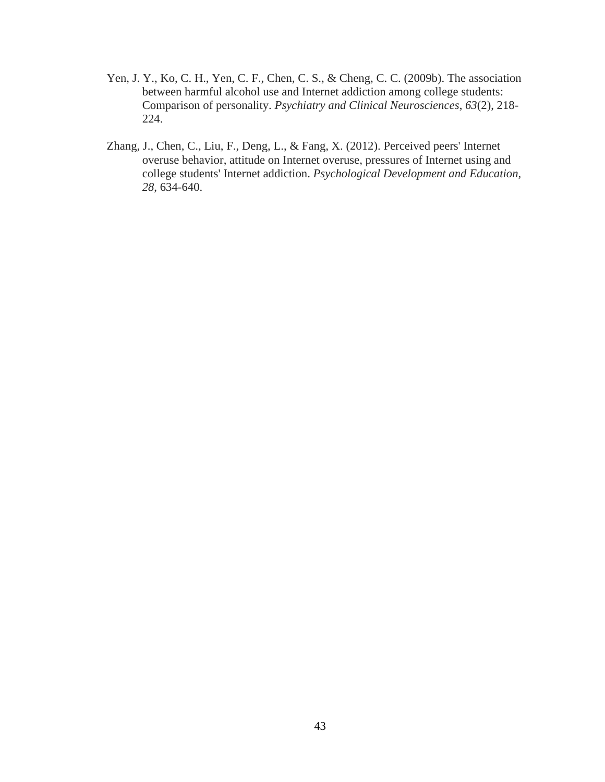- Yen, J. Y., Ko, C. H., Yen, C. F., Chen, C. S., & Cheng, C. C. (2009b). The association between harmful alcohol use and Internet addiction among college students: Comparison of personality. *Psychiatry and Clinical Neurosciences*, *63*(2), 218- 224.
- Zhang, J., Chen, C., Liu, F., Deng, L., & Fang, X. (2012). Perceived peers' Internet overuse behavior, attitude on Internet overuse, pressures of Internet using and college students' Internet addiction. *Psychological Development and Education, 28*, 634-640.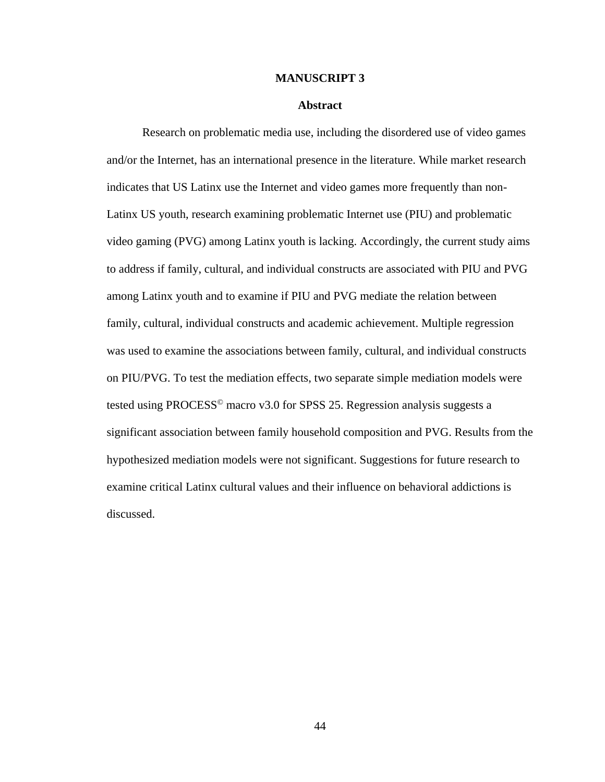#### **MANUSCRIPT 3**

### **Abstract**

Research on problematic media use, including the disordered use of video games and/or the Internet, has an international presence in the literature. While market research indicates that US Latinx use the Internet and video games more frequently than non-Latinx US youth, research examining problematic Internet use (PIU) and problematic video gaming (PVG) among Latinx youth is lacking. Accordingly, the current study aims to address if family, cultural, and individual constructs are associated with PIU and PVG among Latinx youth and to examine if PIU and PVG mediate the relation between family, cultural, individual constructs and academic achievement. Multiple regression was used to examine the associations between family, cultural, and individual constructs on PIU/PVG. To test the mediation effects, two separate simple mediation models were tested using PROCESS<sup>®</sup> macro v3.0 for SPSS 25. Regression analysis suggests a significant association between family household composition and PVG. Results from the hypothesized mediation models were not significant. Suggestions for future research to examine critical Latinx cultural values and their influence on behavioral addictions is discussed.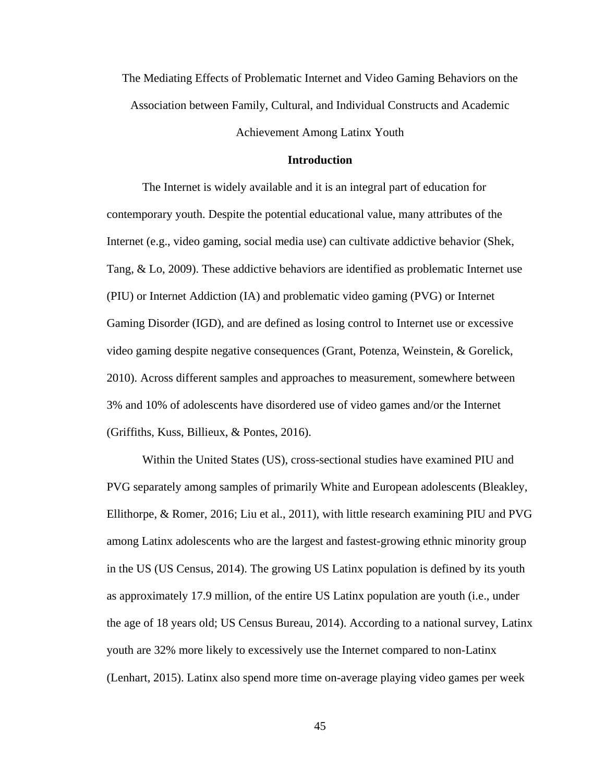The Mediating Effects of Problematic Internet and Video Gaming Behaviors on the Association between Family, Cultural, and Individual Constructs and Academic

Achievement Among Latinx Youth

# **Introduction**

The Internet is widely available and it is an integral part of education for contemporary youth. Despite the potential educational value, many attributes of the Internet (e.g., video gaming, social media use) can cultivate addictive behavior (Shek, Tang, & Lo, 2009). These addictive behaviors are identified as problematic Internet use (PIU) or Internet Addiction (IA) and problematic video gaming (PVG) or Internet Gaming Disorder (IGD), and are defined as losing control to Internet use or excessive video gaming despite negative consequences (Grant, Potenza, Weinstein, & Gorelick, 2010). Across different samples and approaches to measurement, somewhere between 3% and 10% of adolescents have disordered use of video games and/or the Internet (Griffiths, Kuss, Billieux, & Pontes, 2016).

Within the United States (US), cross-sectional studies have examined PIU and PVG separately among samples of primarily White and European adolescents (Bleakley, Ellithorpe, & Romer, 2016; Liu et al., 2011), with little research examining PIU and PVG among Latinx adolescents who are the largest and fastest-growing ethnic minority group in the US (US Census, 2014). The growing US Latinx population is defined by its youth as approximately 17.9 million, of the entire US Latinx population are youth (i.e., under the age of 18 years old; US Census Bureau, 2014). According to a national survey, Latinx youth are 32% more likely to excessively use the Internet compared to non-Latinx (Lenhart, 2015). Latinx also spend more time on-average playing video games per week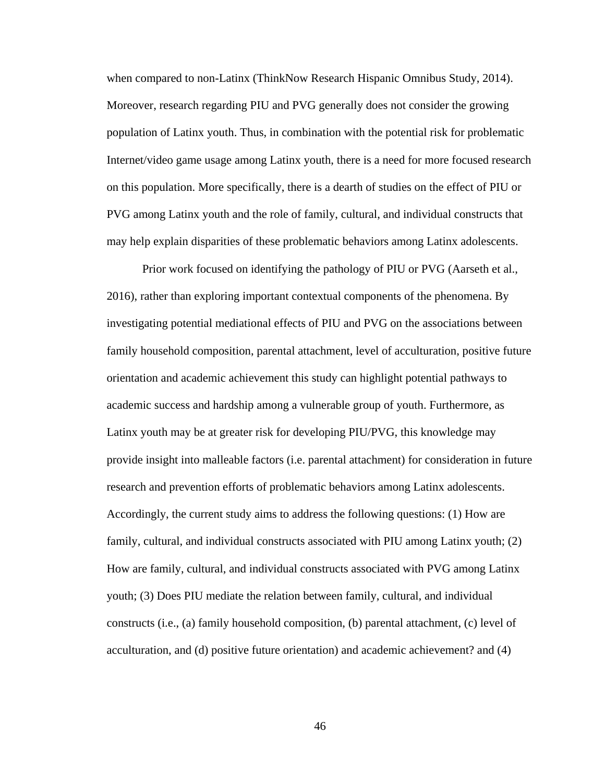when compared to non-Latinx (ThinkNow Research Hispanic Omnibus Study, 2014). Moreover, research regarding PIU and PVG generally does not consider the growing population of Latinx youth. Thus, in combination with the potential risk for problematic Internet/video game usage among Latinx youth, there is a need for more focused research on this population. More specifically, there is a dearth of studies on the effect of PIU or PVG among Latinx youth and the role of family, cultural, and individual constructs that may help explain disparities of these problematic behaviors among Latinx adolescents.

Prior work focused on identifying the pathology of PIU or PVG (Aarseth et al., 2016), rather than exploring important contextual components of the phenomena. By investigating potential mediational effects of PIU and PVG on the associations between family household composition, parental attachment, level of acculturation, positive future orientation and academic achievement this study can highlight potential pathways to academic success and hardship among a vulnerable group of youth. Furthermore, as Latinx youth may be at greater risk for developing PIU/PVG, this knowledge may provide insight into malleable factors (i.e. parental attachment) for consideration in future research and prevention efforts of problematic behaviors among Latinx adolescents. Accordingly, the current study aims to address the following questions: (1) How are family, cultural, and individual constructs associated with PIU among Latinx youth; (2) How are family, cultural, and individual constructs associated with PVG among Latinx youth; (3) Does PIU mediate the relation between family, cultural, and individual constructs (i.e., (a) family household composition, (b) parental attachment, (c) level of acculturation, and (d) positive future orientation) and academic achievement? and (4)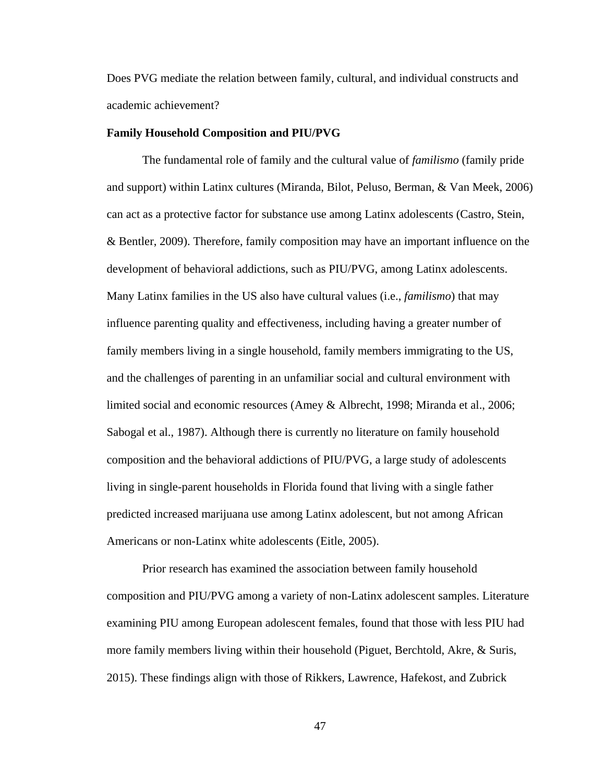Does PVG mediate the relation between family, cultural, and individual constructs and academic achievement?

### **Family Household Composition and PIU/PVG**

The fundamental role of family and the cultural value of *familismo* (family pride and support) within Latinx cultures (Miranda, Bilot, Peluso, Berman, & Van Meek, 2006) can act as a protective factor for substance use among Latinx adolescents (Castro, Stein, & Bentler, 2009). Therefore, family composition may have an important influence on the development of behavioral addictions, such as PIU/PVG, among Latinx adolescents. Many Latinx families in the US also have cultural values (i.e., *familismo*) that may influence parenting quality and effectiveness, including having a greater number of family members living in a single household, family members immigrating to the US, and the challenges of parenting in an unfamiliar social and cultural environment with limited social and economic resources (Amey & Albrecht, 1998; Miranda et al., 2006; Sabogal et al., 1987). Although there is currently no literature on family household composition and the behavioral addictions of PIU/PVG, a large study of adolescents living in single-parent households in Florida found that living with a single father predicted increased marijuana use among Latinx adolescent, but not among African Americans or non-Latinx white adolescents (Eitle, 2005).

Prior research has examined the association between family household composition and PIU/PVG among a variety of non-Latinx adolescent samples. Literature examining PIU among European adolescent females, found that those with less PIU had more family members living within their household (Piguet, Berchtold, Akre, & Suris, 2015). These findings align with those of Rikkers, Lawrence, Hafekost, and Zubrick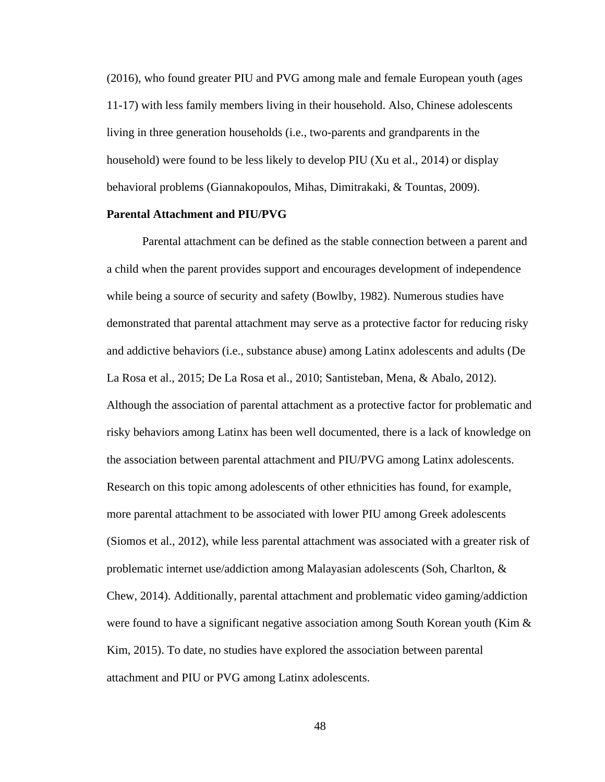(2016), who found greater PIU and PVG among male and female European youth (ages 11-17) with less family members living in their household. Also, Chinese adolescents living in three generation households (i.e., two-parents and grandparents in the household) were found to be less likely to develop PIU (Xu et al., 2014) or display behavioral problems (Giannakopoulos, Mihas, Dimitrakaki, & Tountas, 2009).

### **Parental Attachment and PIU/PVG**

Parental attachment can be defined as the stable connection between a parent and a child when the parent provides support and encourages development of independence while being a source of security and safety (Bowlby, 1982). Numerous studies have demonstrated that parental attachment may serve as a protective factor for reducing risky and addictive behaviors (i.e., substance abuse) among Latinx adolescents and adults (De La Rosa et al., 2015; De La Rosa et al., 2010; Santisteban, Mena, & Abalo, 2012). Although the association of parental attachment as a protective factor for problematic and risky behaviors among Latinx has been well documented, there is a lack of knowledge on the association between parental attachment and PIU/PVG among Latinx adolescents. Research on this topic among adolescents of other ethnicities has found, for example, more parental attachment to be associated with lower PIU among Greek adolescents (Siomos et al., 2012), while less parental attachment was associated with a greater risk of problematic internet use/addiction among Malayasian adolescents (Soh, Charlton, & Chew, 2014). Additionally, parental attachment and problematic video gaming/addiction were found to have a significant negative association among South Korean youth (Kim  $\&$ Kim, 2015). To date, no studies have explored the association between parental attachment and PIU or PVG among Latinx adolescents.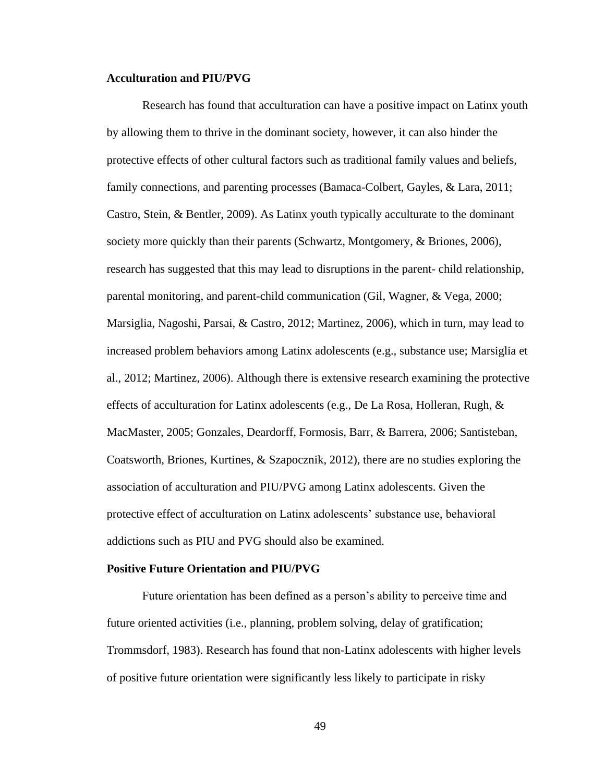# **Acculturation and PIU/PVG**

Research has found that acculturation can have a positive impact on Latinx youth by allowing them to thrive in the dominant society, however, it can also hinder the protective effects of other cultural factors such as traditional family values and beliefs, family connections, and parenting processes (Bamaca-Colbert, Gayles, & Lara, 2011; Castro, Stein, & Bentler, 2009). As Latinx youth typically acculturate to the dominant society more quickly than their parents (Schwartz, Montgomery, & Briones, 2006), research has suggested that this may lead to disruptions in the parent- child relationship, parental monitoring, and parent-child communication (Gil, Wagner, & Vega, 2000; Marsiglia, Nagoshi, Parsai, & Castro, 2012; Martinez, 2006), which in turn, may lead to increased problem behaviors among Latinx adolescents (e.g., substance use; Marsiglia et al., 2012; Martinez, 2006). Although there is extensive research examining the protective effects of acculturation for Latinx adolescents (e.g., De La Rosa, Holleran, Rugh, & MacMaster, 2005; Gonzales, Deardorff, Formosis, Barr, & Barrera, 2006; Santisteban, Coatsworth, Briones, Kurtines, & Szapocznik, 2012), there are no studies exploring the association of acculturation and PIU/PVG among Latinx adolescents. Given the protective effect of acculturation on Latinx adolescents' substance use, behavioral addictions such as PIU and PVG should also be examined.

#### **Positive Future Orientation and PIU/PVG**

Future orientation has been defined as a person's ability to perceive time and future oriented activities (i.e., planning, problem solving, delay of gratification; Trommsdorf, 1983). Research has found that non-Latinx adolescents with higher levels of positive future orientation were significantly less likely to participate in risky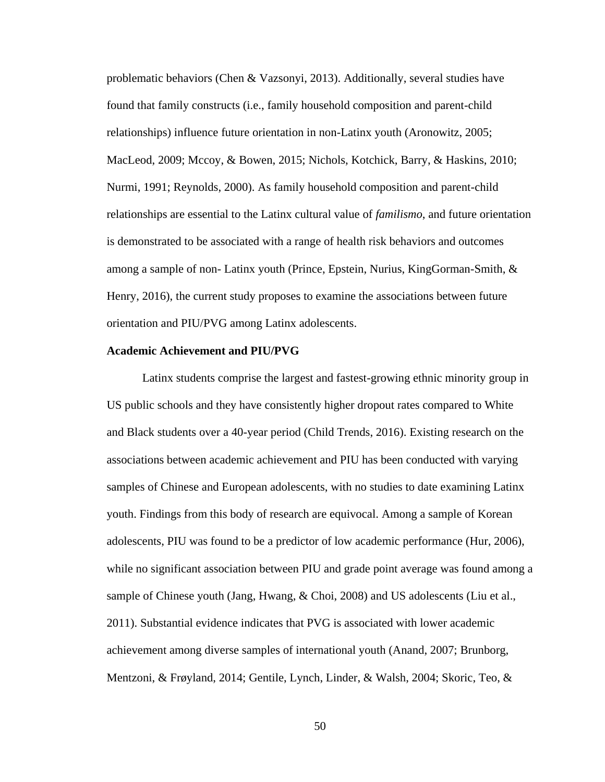problematic behaviors (Chen & Vazsonyi, 2013). Additionally, several studies have found that family constructs (i.e., family household composition and parent-child relationships) influence future orientation in non-Latinx youth (Aronowitz, 2005; MacLeod, 2009; Mccoy, & Bowen, 2015; Nichols, Kotchick, Barry, & Haskins, 2010; Nurmi, 1991; Reynolds, 2000). As family household composition and parent-child relationships are essential to the Latinx cultural value of *familismo*, and future orientation is demonstrated to be associated with a range of health risk behaviors and outcomes among a sample of non- Latinx youth (Prince, Epstein, Nurius, KingGorman-Smith, & Henry, 2016), the current study proposes to examine the associations between future orientation and PIU/PVG among Latinx adolescents.

#### **Academic Achievement and PIU/PVG**

Latinx students comprise the largest and fastest-growing ethnic minority group in US public schools and they have consistently higher dropout rates compared to White and Black students over a 40-year period (Child Trends, 2016). Existing research on the associations between academic achievement and PIU has been conducted with varying samples of Chinese and European adolescents, with no studies to date examining Latinx youth. Findings from this body of research are equivocal. Among a sample of Korean adolescents, PIU was found to be a predictor of low academic performance (Hur, 2006), while no significant association between PIU and grade point average was found among a sample of Chinese youth (Jang, Hwang, & Choi, 2008) and US adolescents (Liu et al., 2011). Substantial evidence indicates that PVG is associated with lower academic achievement among diverse samples of international youth (Anand, 2007; Brunborg, Mentzoni, & Frøyland, 2014; Gentile, Lynch, Linder, & Walsh, 2004; Skoric, Teo, &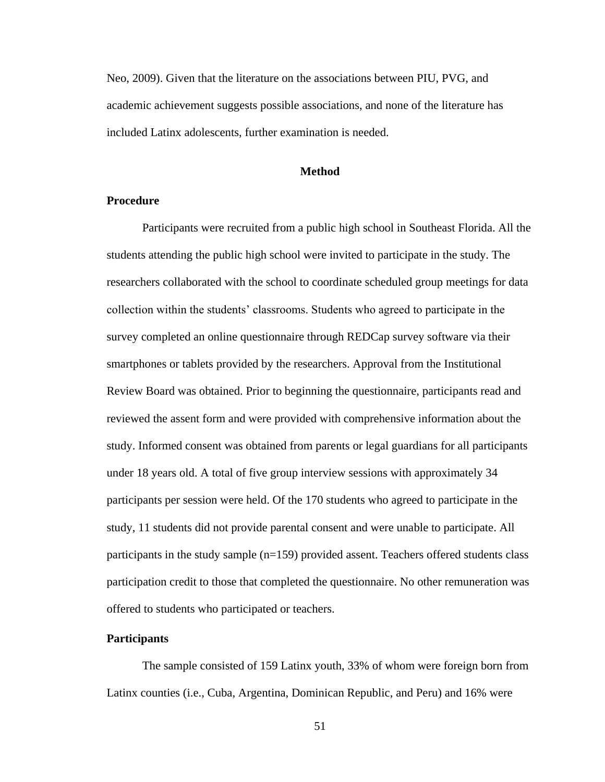Neo, 2009). Given that the literature on the associations between PIU, PVG, and academic achievement suggests possible associations, and none of the literature has included Latinx adolescents, further examination is needed.

### **Method**

# **Procedure**

Participants were recruited from a public high school in Southeast Florida. All the students attending the public high school were invited to participate in the study. The researchers collaborated with the school to coordinate scheduled group meetings for data collection within the students' classrooms. Students who agreed to participate in the survey completed an online questionnaire through REDCap survey software via their smartphones or tablets provided by the researchers. Approval from the Institutional Review Board was obtained. Prior to beginning the questionnaire, participants read and reviewed the assent form and were provided with comprehensive information about the study. Informed consent was obtained from parents or legal guardians for all participants under 18 years old. A total of five group interview sessions with approximately 34 participants per session were held. Of the 170 students who agreed to participate in the study, 11 students did not provide parental consent and were unable to participate. All participants in the study sample (n=159) provided assent. Teachers offered students class participation credit to those that completed the questionnaire. No other remuneration was offered to students who participated or teachers.

#### **Participants**

The sample consisted of 159 Latinx youth, 33% of whom were foreign born from Latinx counties (i.e., Cuba, Argentina, Dominican Republic, and Peru) and 16% were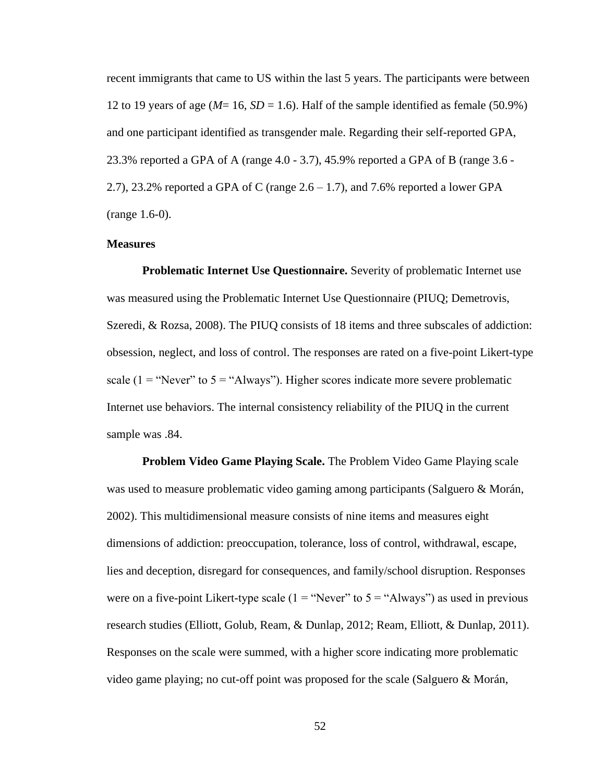recent immigrants that came to US within the last 5 years. The participants were between 12 to 19 years of age ( $M=16$ ,  $SD=1.6$ ). Half of the sample identified as female (50.9%) and one participant identified as transgender male. Regarding their self-reported GPA, 23.3% reported a GPA of A (range 4.0 - 3.7), 45.9% reported a GPA of B (range 3.6 - 2.7), 23.2% reported a GPA of C (range  $2.6 - 1.7$ ), and 7.6% reported a lower GPA (range 1.6-0).

# **Measures**

**Problematic Internet Use Questionnaire.** Severity of problematic Internet use was measured using the Problematic Internet Use Questionnaire (PIUQ; Demetrovis, Szeredi, & Rozsa, 2008). The PIUQ consists of 18 items and three subscales of addiction: obsession, neglect, and loss of control. The responses are rated on a five-point Likert-type scale ( $1 =$  "Never" to  $5 =$  "Always"). Higher scores indicate more severe problematic Internet use behaviors. The internal consistency reliability of the PIUQ in the current sample was .84.

**Problem Video Game Playing Scale.** The Problem Video Game Playing scale was used to measure problematic video gaming among participants (Salguero & Morán, 2002). This multidimensional measure consists of nine items and measures eight dimensions of addiction: preoccupation, tolerance, loss of control, withdrawal, escape, lies and deception, disregard for consequences, and family/school disruption. Responses were on a five-point Likert-type scale  $(1 -$ "Never" to  $5 -$ "Always") as used in previous research studies (Elliott, Golub, Ream, & Dunlap, 2012; Ream, Elliott, & Dunlap, 2011). Responses on the scale were summed, with a higher score indicating more problematic video game playing; no cut-off point was proposed for the scale (Salguero & Morán,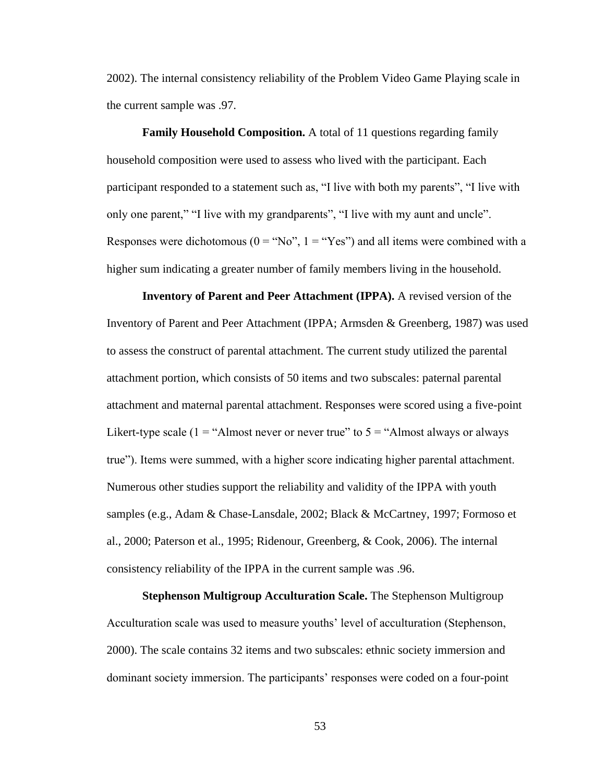2002). The internal consistency reliability of the Problem Video Game Playing scale in the current sample was .97.

**Family Household Composition.** A total of 11 questions regarding family household composition were used to assess who lived with the participant. Each participant responded to a statement such as, "I live with both my parents", "I live with only one parent," "I live with my grandparents", "I live with my aunt and uncle". Responses were dichotomous ( $0 = "No", 1 = "Yes"\rangle$ ) and all items were combined with a higher sum indicating a greater number of family members living in the household.

**Inventory of Parent and Peer Attachment (IPPA).** A revised version of the Inventory of Parent and Peer Attachment (IPPA; Armsden & Greenberg, 1987) was used to assess the construct of parental attachment. The current study utilized the parental attachment portion, which consists of 50 items and two subscales: paternal parental attachment and maternal parental attachment. Responses were scored using a five-point Likert-type scale  $(1 - "Almost never or never true" to 5 - "Almost always or always$ true"). Items were summed, with a higher score indicating higher parental attachment. Numerous other studies support the reliability and validity of the IPPA with youth samples (e.g., Adam & Chase-Lansdale, 2002; Black & McCartney, 1997; Formoso et al., 2000; Paterson et al., 1995; Ridenour, Greenberg, & Cook, 2006). The internal consistency reliability of the IPPA in the current sample was .96.

**Stephenson Multigroup Acculturation Scale.** The Stephenson Multigroup Acculturation scale was used to measure youths' level of acculturation (Stephenson, 2000). The scale contains 32 items and two subscales: ethnic society immersion and dominant society immersion. The participants' responses were coded on a four-point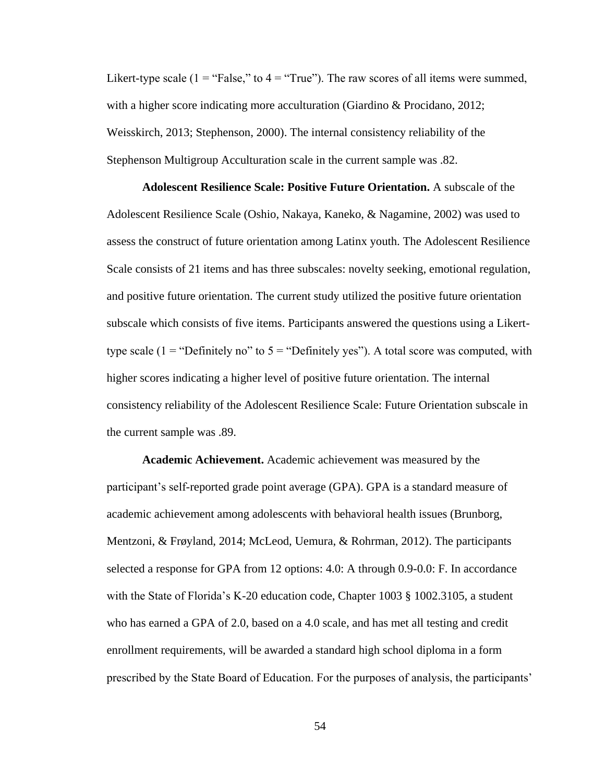Likert-type scale ( $1 =$  "False," to  $4 =$  "True"). The raw scores of all items were summed, with a higher score indicating more acculturation (Giardino & Procidano, 2012; Weisskirch, 2013; Stephenson, 2000). The internal consistency reliability of the Stephenson Multigroup Acculturation scale in the current sample was .82.

**Adolescent Resilience Scale: Positive Future Orientation.** A subscale of the Adolescent Resilience Scale (Oshio, Nakaya, Kaneko, & Nagamine, 2002) was used to assess the construct of future orientation among Latinx youth. The Adolescent Resilience Scale consists of 21 items and has three subscales: novelty seeking, emotional regulation, and positive future orientation. The current study utilized the positive future orientation subscale which consists of five items. Participants answered the questions using a Likerttype scale ( $1 =$  "Definitely no" to  $5 =$  "Definitely yes"). A total score was computed, with higher scores indicating a higher level of positive future orientation. The internal consistency reliability of the Adolescent Resilience Scale: Future Orientation subscale in the current sample was .89.

**Academic Achievement.** Academic achievement was measured by the participant's self-reported grade point average (GPA). GPA is a standard measure of academic achievement among adolescents with behavioral health issues (Brunborg, Mentzoni, & Frøyland, 2014; McLeod, Uemura, & Rohrman, 2012). The participants selected a response for GPA from 12 options: 4.0: A through 0.9-0.0: F. In accordance with the State of Florida's K-20 education code, Chapter 1003 § [1002.3105,](http://www.leg.state.fl.us/Statutes/index.cfm?App_mode=Display_Statute&Search_String=&URL=1000-1099/1002/Sections/1002.3105.html) a student who has earned a GPA of 2.0, based on a 4.0 scale, and has met all testing and credit enrollment requirements, will be awarded a standard high school diploma in a form prescribed by the State Board of Education. For the purposes of analysis, the participants'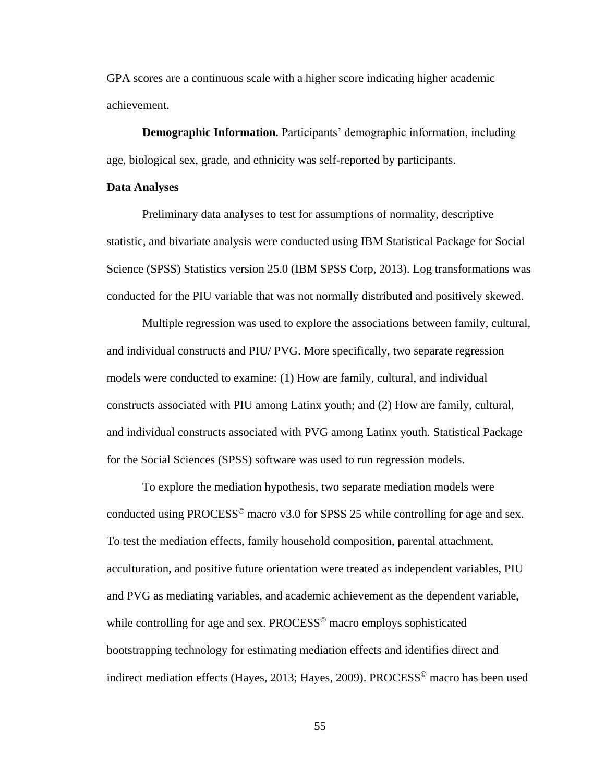GPA scores are a continuous scale with a higher score indicating higher academic achievement.

**Demographic Information.** Participants' demographic information, including age, biological sex, grade, and ethnicity was self-reported by participants.

#### **Data Analyses**

Preliminary data analyses to test for assumptions of normality, descriptive statistic, and bivariate analysis were conducted using IBM Statistical Package for Social Science (SPSS) Statistics version 25.0 (IBM SPSS Corp, 2013). Log transformations was conducted for the PIU variable that was not normally distributed and positively skewed.

Multiple regression was used to explore the associations between family, cultural, and individual constructs and PIU/ PVG. More specifically, two separate regression models were conducted to examine: (1) How are family, cultural, and individual constructs associated with PIU among Latinx youth; and (2) How are family, cultural, and individual constructs associated with PVG among Latinx youth. Statistical Package for the Social Sciences (SPSS) software was used to run regression models.

To explore the mediation hypothesis, two separate mediation models were conducted using PROCESS<sup> $\circ$ </sup> macro v3.0 for SPSS 25 while controlling for age and sex. To test the mediation effects, family household composition, parental attachment, acculturation, and positive future orientation were treated as independent variables, PIU and PVG as mediating variables, and academic achievement as the dependent variable, while controlling for age and sex. PROCESS<sup>©</sup> macro employs sophisticated bootstrapping technology for estimating mediation effects and identifies direct and indirect mediation effects (Hayes, 2013; Hayes, 2009). PROCESS<sup>©</sup> macro has been used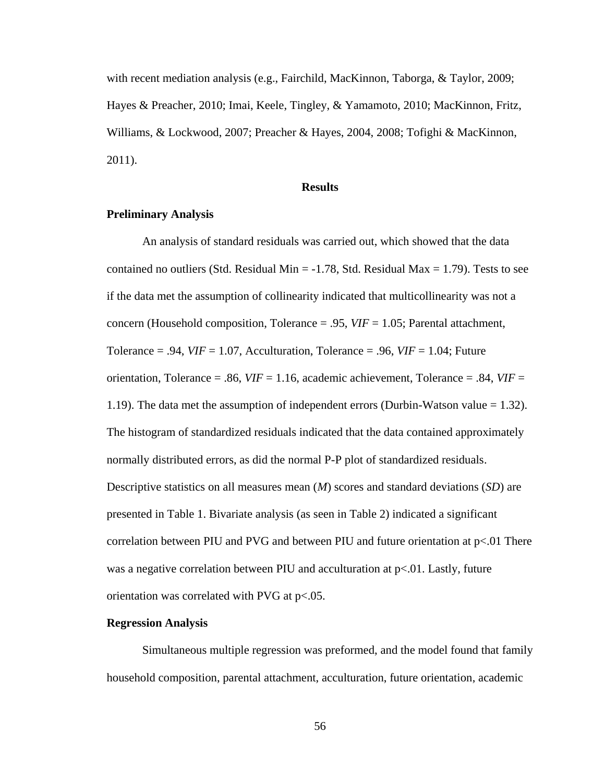with recent mediation analysis (e.g., Fairchild, MacKinnon, Taborga, & Taylor, 2009; Hayes & Preacher, 2010; Imai, Keele, Tingley, & Yamamoto, 2010; MacKinnon, Fritz, Williams, & Lockwood, 2007; Preacher & Hayes, 2004, 2008; Tofighi & MacKinnon, 2011).

### **Results**

# **Preliminary Analysis**

An analysis of standard residuals was carried out, which showed that the data contained no outliers (Std. Residual Min  $= -1.78$ , Std. Residual Max  $= 1.79$ ). Tests to see if the data met the assumption of collinearity indicated that multicollinearity was not a concern (Household composition, Tolerance = .95, *VIF* = 1.05; Parental attachment, Tolerance  $= .94$ , *VIF*  $= 1.07$ , Acculturation, Tolerance  $= .96$ , *VIF*  $= 1.04$ ; Future orientation, Tolerance = .86, *VIF* = 1.16, academic achievement, Tolerance = .84, *VIF* = 1.19). The data met the assumption of independent errors (Durbin-Watson value = 1.32). The histogram of standardized residuals indicated that the data contained approximately normally distributed errors, as did the normal P-P plot of standardized residuals. Descriptive statistics on all measures mean (*M*) scores and standard deviations (*SD*) are presented in Table 1. Bivariate analysis (as seen in Table 2) indicated a significant correlation between PIU and PVG and between PIU and future orientation at  $p<01$  There was a negative correlation between PIU and acculturation at  $p<0.01$ . Lastly, future orientation was correlated with PVG at p<.05.

#### **Regression Analysis**

Simultaneous multiple regression was preformed, and the model found that family household composition, parental attachment, acculturation, future orientation, academic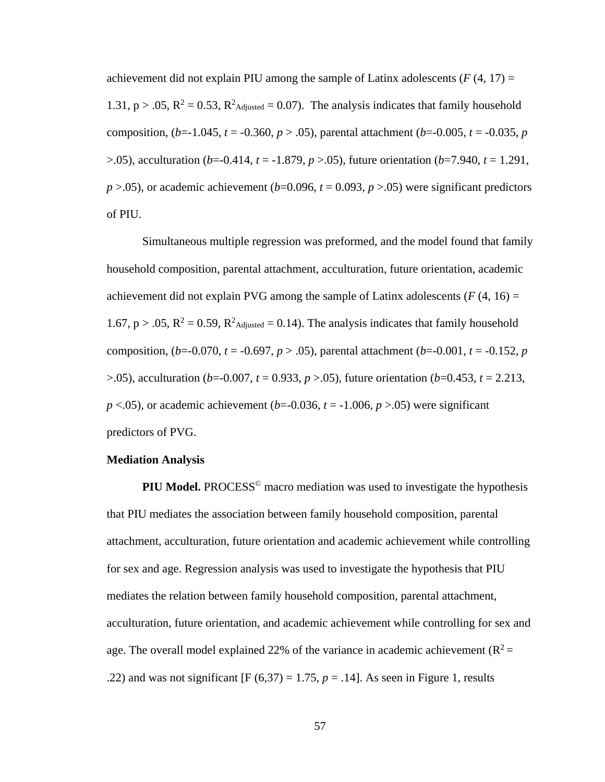achievement did not explain PIU among the sample of Latinx adolescents  $(F(4, 17)) =$ 1.31,  $p > .05$ ,  $R^2 = 0.53$ ,  $R^2$ Adjusted = 0.07). The analysis indicates that family household composition,  $(b=1.045, t=0.360, p>0.05)$ , parental attachment  $(b=0.005, t=0.035, p)$ >.05), acculturation (*b*=-0.414, *t* = -1.879, *p* >.05), future orientation (*b*=7.940, *t* = 1.291,  $p > 0.05$ ), or academic achievement ( $b=0.096$ ,  $t=0.093$ ,  $p > 0.05$ ) were significant predictors of PIU.

Simultaneous multiple regression was preformed, and the model found that family household composition, parental attachment, acculturation, future orientation, academic achievement did not explain PVG among the sample of Latinx adolescents  $(F(4, 16) =$ 1.67,  $p > .05$ ,  $R^2 = 0.59$ ,  $R^2$ <sub>Adjusted</sub> = 0.14). The analysis indicates that family household composition,  $(b=-0.070, t=-0.697, p>0.05)$ , parental attachment  $(b=-0.001, t=-0.152, p$ >.05), acculturation (*b*=-0.007, *t* = 0.933, *p* >.05), future orientation (*b*=0.453, *t* = 2.213,  $p$  <.05), or academic achievement ( $b$ =-0.036,  $t$  = -1.006,  $p$  >.05) were significant predictors of PVG.

# **Mediation Analysis**

**PIU Model.** PROCESS<sup>©</sup> macro mediation was used to investigate the hypothesis that PIU mediates the association between family household composition, parental attachment, acculturation, future orientation and academic achievement while controlling for sex and age. Regression analysis was used to investigate the hypothesis that PIU mediates the relation between family household composition, parental attachment, acculturation, future orientation, and academic achievement while controlling for sex and age. The overall model explained 22% of the variance in academic achievement ( $R^2$  = .22) and was not significant  $[F(6,37) = 1.75, p = .14]$ . As seen in Figure 1, results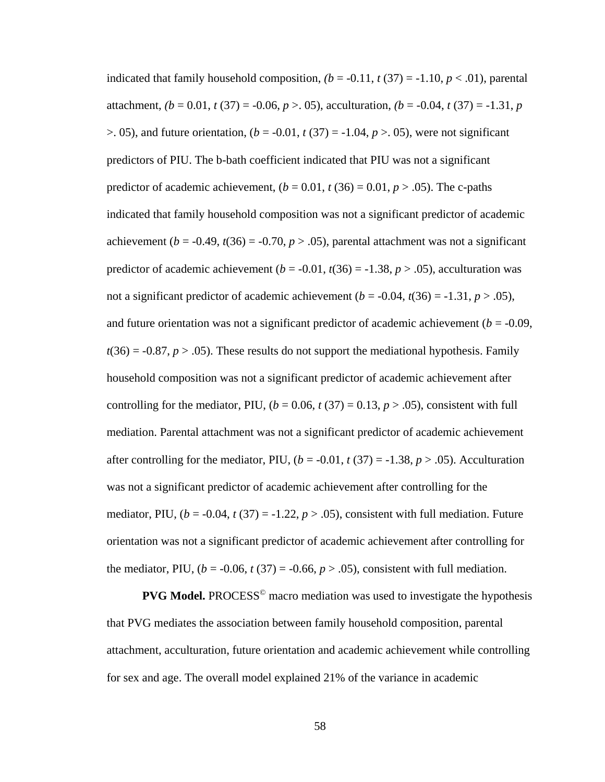indicated that family household composition,  $(b = -0.11, t(37) = -1.10, p < 0.01)$ , parental attachment,  $(b = 0.01, t(37) = -0.06, p > 0.05)$ , acculturation,  $(b = -0.04, t(37) = -1.31, p$  $> 0.05$ , and future orientation,  $(b = -0.01, t(37)) = -1.04, p > 0.05$ , were not significant predictors of PIU. The b-bath coefficient indicated that PIU was not a significant predictor of academic achievement,  $(b = 0.01, t(36) = 0.01, p > .05)$ . The c-paths indicated that family household composition was not a significant predictor of academic achievement ( $b = -0.49$ ,  $t(36) = -0.70$ ,  $p > .05$ ), parental attachment was not a significant predictor of academic achievement ( $b = -0.01$ ,  $t(36) = -1.38$ ,  $p > .05$ ), acculturation was not a significant predictor of academic achievement ( $b = -0.04$ ,  $t(36) = -1.31$ ,  $p > .05$ ), and future orientation was not a significant predictor of academic achievement ( $b = -0.09$ ,  $t(36) = -0.87$ ,  $p > .05$ ). These results do not support the mediational hypothesis. Family household composition was not a significant predictor of academic achievement after controlling for the mediator, PIU,  $(b = 0.06, t(37) = 0.13, p > .05)$ , consistent with full mediation. Parental attachment was not a significant predictor of academic achievement after controlling for the mediator, PIU,  $(b = -0.01, t(37) = -1.38, p > .05)$ . Acculturation was not a significant predictor of academic achievement after controlling for the mediator, PIU,  $(b = -0.04, t(37)) = -1.22, p > 0.05$ , consistent with full mediation. Future orientation was not a significant predictor of academic achievement after controlling for the mediator, PIU,  $(b = -0.06, t(37) = -0.66, p > .05)$ , consistent with full mediation.

**PVG Model.** PROCESS<sup>©</sup> macro mediation was used to investigate the hypothesis that PVG mediates the association between family household composition, parental attachment, acculturation, future orientation and academic achievement while controlling for sex and age. The overall model explained 21% of the variance in academic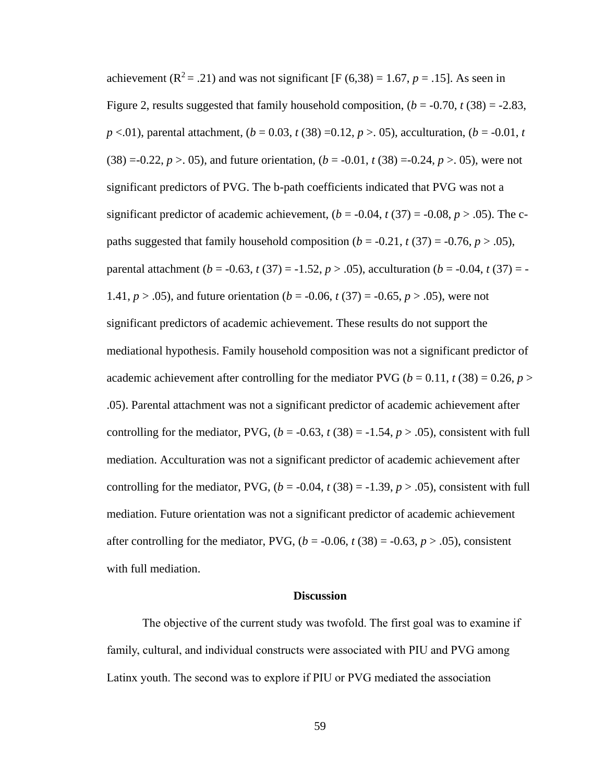achievement ( $\mathbb{R}^2$  = .21) and was not significant [F (6,38) = 1.67, *p* = .15]. As seen in Figure 2, results suggested that family household composition,  $(b = -0.70, t(38)) = -2.83$ , *p* <.01), parental attachment,  $(b = 0.03, t(38) = 0.12, p > 0.05)$ , acculturation,  $(b = -0.01, t$  $(38) = 0.22, p > 0.05$ , and future orientation,  $(b = 0.01, t(38)) = 0.24, p > 0.05$ , were not significant predictors of PVG. The b-path coefficients indicated that PVG was not a significant predictor of academic achievement,  $(b = -0.04, t(37) = -0.08, p > .05)$ . The cpaths suggested that family household composition  $(b = -0.21, t(37) = -0.76, p > .05)$ , parental attachment ( $b = -0.63$ ,  $t(37) = -1.52$ ,  $p > .05$ ), acculturation ( $b = -0.04$ ,  $t(37) = -1.52$ 1.41,  $p > .05$ ), and future orientation ( $b = -0.06$ ,  $t(37) = -0.65$ ,  $p > .05$ ), were not significant predictors of academic achievement. These results do not support the mediational hypothesis. Family household composition was not a significant predictor of academic achievement after controlling for the mediator PVG ( $b = 0.11$ ,  $t(38) = 0.26$ ,  $p >$ .05). Parental attachment was not a significant predictor of academic achievement after controlling for the mediator, PVG,  $(b = -0.63, t(38)) = -1.54, p > .05$ , consistent with full mediation. Acculturation was not a significant predictor of academic achievement after controlling for the mediator, PVG,  $(b = -0.04, t(38)) = -1.39, p > .05$ , consistent with full mediation. Future orientation was not a significant predictor of academic achievement after controlling for the mediator, PVG,  $(b = -0.06, t(38) = -0.63, p > .05)$ , consistent with full mediation.

### **Discussion**

The objective of the current study was twofold. The first goal was to examine if family, cultural, and individual constructs were associated with PIU and PVG among Latinx youth. The second was to explore if PIU or PVG mediated the association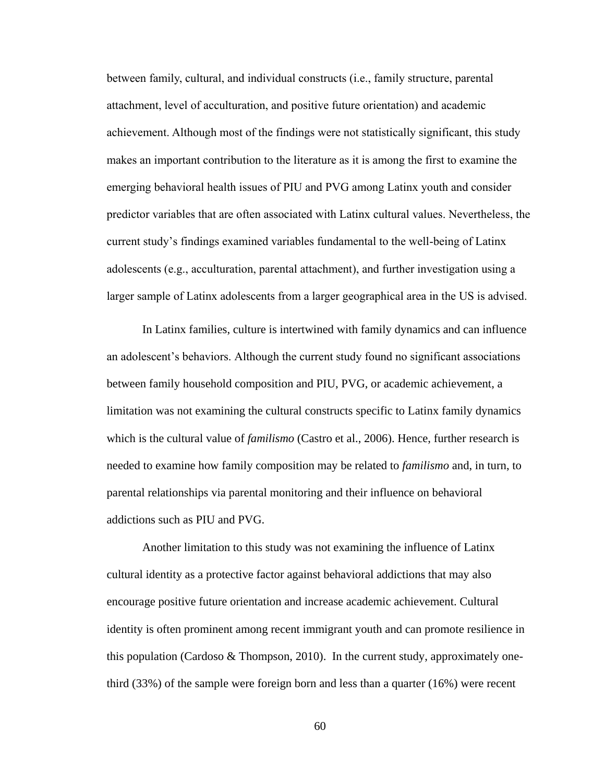between family, cultural, and individual constructs (i.e., family structure, parental attachment, level of acculturation, and positive future orientation) and academic achievement. Although most of the findings were not statistically significant, this study makes an important contribution to the literature as it is among the first to examine the emerging behavioral health issues of PIU and PVG among Latinx youth and consider predictor variables that are often associated with Latinx cultural values. Nevertheless, the current study's findings examined variables fundamental to the well-being of Latinx adolescents (e.g., acculturation, parental attachment), and further investigation using a larger sample of Latinx adolescents from a larger geographical area in the US is advised.

In Latinx families, culture is intertwined with family dynamics and can influence an adolescent's behaviors. Although the current study found no significant associations between family household composition and PIU, PVG, or academic achievement, a limitation was not examining the cultural constructs specific to Latinx family dynamics which is the cultural value of *familismo* (Castro et al., 2006). Hence, further research is needed to examine how family composition may be related to *familismo* and, in turn, to parental relationships via parental monitoring and their influence on behavioral addictions such as PIU and PVG.

Another limitation to this study was not examining the influence of Latinx cultural identity as a protective factor against behavioral addictions that may also encourage positive future orientation and increase academic achievement. Cultural identity is often prominent among recent immigrant youth and can promote resilience in this population (Cardoso  $\&$  Thompson, 2010). In the current study, approximately onethird (33%) of the sample were foreign born and less than a quarter (16%) were recent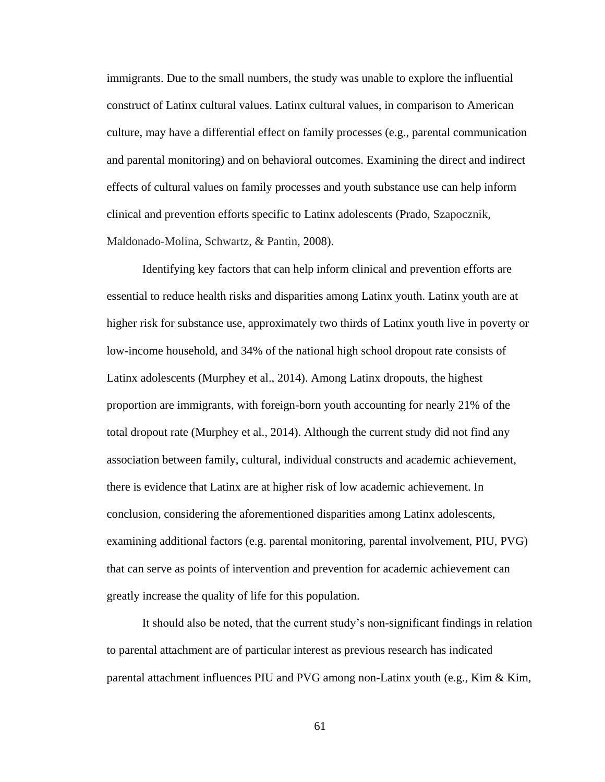immigrants. Due to the small numbers, the study was unable to explore the influential construct of Latinx cultural values. Latinx cultural values, in comparison to American culture, may have a differential effect on family processes (e.g., parental communication and parental monitoring) and on behavioral outcomes. Examining the direct and indirect effects of cultural values on family processes and youth substance use can help inform clinical and prevention efforts specific to Latinx adolescents (Prado, Szapocznik, Maldonado-Molina, Schwartz, & Pantin, 2008).

Identifying key factors that can help inform clinical and prevention efforts are essential to reduce health risks and disparities among Latinx youth. Latinx youth are at higher risk for substance use, approximately two thirds of Latinx youth live in poverty or low-income household, and 34% of the national high school dropout rate consists of Latinx adolescents (Murphey et al., 2014). Among Latinx dropouts, the highest proportion are immigrants, with foreign-born youth accounting for nearly 21% of the total dropout rate (Murphey et al., 2014). Although the current study did not find any association between family, cultural, individual constructs and academic achievement, there is evidence that Latinx are at higher risk of low academic achievement. In conclusion, considering the aforementioned disparities among Latinx adolescents, examining additional factors (e.g. parental monitoring, parental involvement, PIU, PVG) that can serve as points of intervention and prevention for academic achievement can greatly increase the quality of life for this population.

It should also be noted, that the current study's non-significant findings in relation to parental attachment are of particular interest as previous research has indicated parental attachment influences PIU and PVG among non-Latinx youth (e.g., Kim & Kim,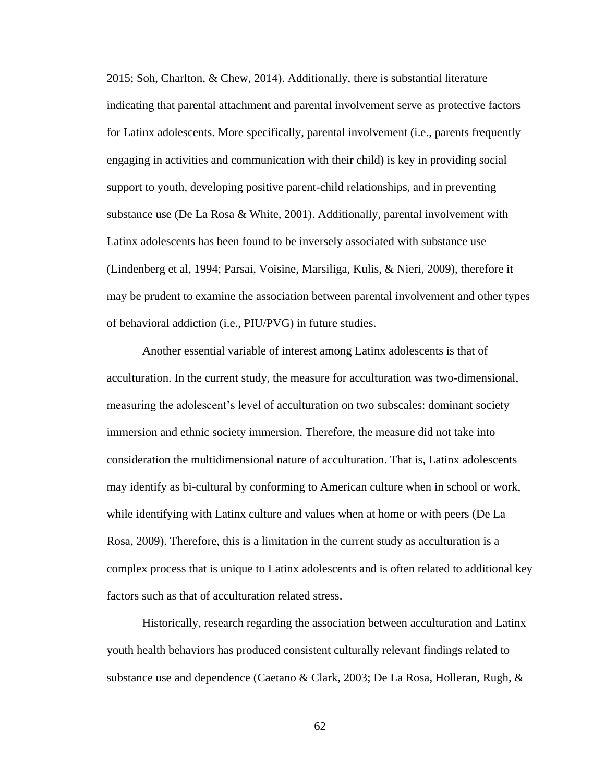2015; Soh, Charlton, & Chew, 2014). Additionally, there is substantial literature indicating that parental attachment and parental involvement serve as protective factors for Latinx adolescents. More specifically, parental involvement (i.e., parents frequently engaging in activities and communication with their child) is key in providing social support to youth, developing positive parent-child relationships, and in preventing substance use (De La Rosa & White, 2001). Additionally, parental involvement with Latinx adolescents has been found to be inversely associated with substance use (Lindenberg et al, 1994; Parsai, Voisine, Marsiliga, Kulis, & Nieri, 2009), therefore it may be prudent to examine the association between parental involvement and other types of behavioral addiction (i.e., PIU/PVG) in future studies.

Another essential variable of interest among Latinx adolescents is that of acculturation. In the current study, the measure for acculturation was two-dimensional, measuring the adolescent's level of acculturation on two subscales: dominant society immersion and ethnic society immersion. Therefore, the measure did not take into consideration the multidimensional nature of acculturation. That is, Latinx adolescents may identify as bi-cultural by conforming to American culture when in school or work, while identifying with Latinx culture and values when at home or with peers (De La Rosa, 2009). Therefore, this is a limitation in the current study as acculturation is a complex process that is unique to Latinx adolescents and is often related to additional key factors such as that of acculturation related stress.

Historically, research regarding the association between acculturation and Latinx youth health behaviors has produced consistent culturally relevant findings related to substance use and dependence (Caetano & Clark, 2003; De La Rosa, Holleran, Rugh, &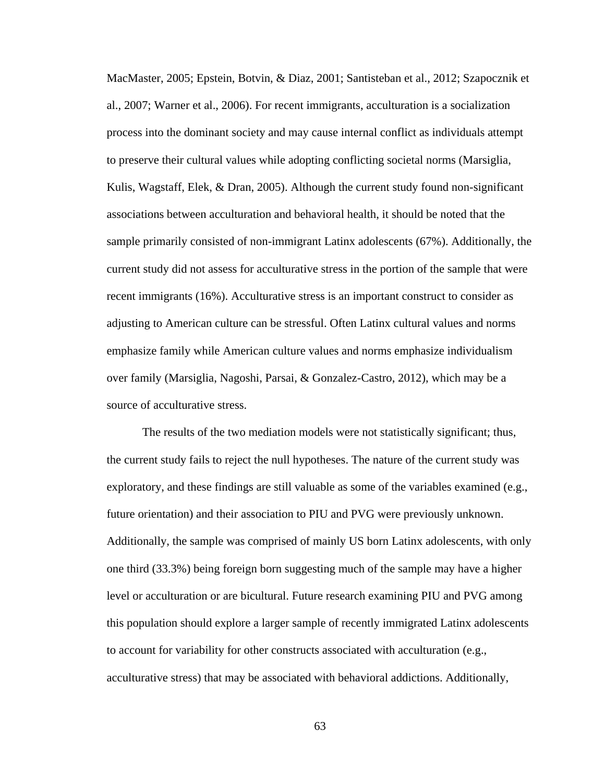MacMaster, 2005; Epstein, Botvin, & Diaz, 2001; Santisteban et al., 2012; Szapocznik et al., 2007; Warner et al., 2006). For recent immigrants, acculturation is a socialization process into the dominant society and may cause internal conflict as individuals attempt to preserve their cultural values while adopting conflicting societal norms (Marsiglia, Kulis, Wagstaff, Elek, & Dran, 2005). Although the current study found non-significant associations between acculturation and behavioral health, it should be noted that the sample primarily consisted of non-immigrant Latinx adolescents (67%). Additionally, the current study did not assess for acculturative stress in the portion of the sample that were recent immigrants (16%). Acculturative stress is an important construct to consider as adjusting to American culture can be stressful. Often Latinx cultural values and norms emphasize family while American culture values and norms emphasize individualism over family (Marsiglia, Nagoshi, Parsai, & Gonzalez-Castro, 2012), which may be a source of acculturative stress.

The results of the two mediation models were not statistically significant; thus, the current study fails to reject the null hypotheses. The nature of the current study was exploratory, and these findings are still valuable as some of the variables examined (e.g., future orientation) and their association to PIU and PVG were previously unknown. Additionally, the sample was comprised of mainly US born Latinx adolescents, with only one third (33.3%) being foreign born suggesting much of the sample may have a higher level or acculturation or are bicultural. Future research examining PIU and PVG among this population should explore a larger sample of recently immigrated Latinx adolescents to account for variability for other constructs associated with acculturation (e.g., acculturative stress) that may be associated with behavioral addictions. Additionally,

63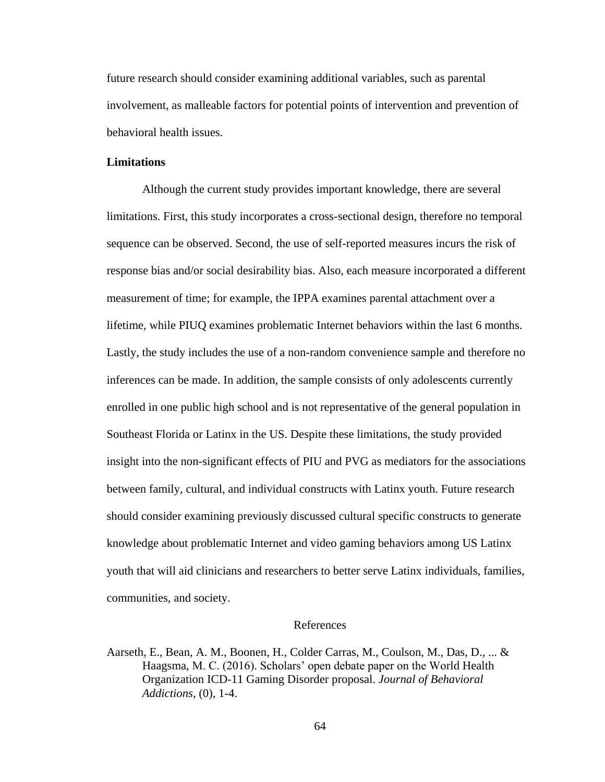future research should consider examining additional variables, such as parental involvement, as malleable factors for potential points of intervention and prevention of behavioral health issues.

#### **Limitations**

Although the current study provides important knowledge, there are several limitations. First, this study incorporates a cross-sectional design, therefore no temporal sequence can be observed. Second, the use of self-reported measures incurs the risk of response bias and/or social desirability bias. Also, each measure incorporated a different measurement of time; for example, the IPPA examines parental attachment over a lifetime, while PIUQ examines problematic Internet behaviors within the last 6 months. Lastly, the study includes the use of a non-random convenience sample and therefore no inferences can be made. In addition, the sample consists of only adolescents currently enrolled in one public high school and is not representative of the general population in Southeast Florida or Latinx in the US. Despite these limitations, the study provided insight into the non-significant effects of PIU and PVG as mediators for the associations between family, cultural, and individual constructs with Latinx youth. Future research should consider examining previously discussed cultural specific constructs to generate knowledge about problematic Internet and video gaming behaviors among US Latinx youth that will aid clinicians and researchers to better serve Latinx individuals, families, communities, and society.

### References

Aarseth, E., Bean, A. M., Boonen, H., Colder Carras, M., Coulson, M., Das, D., ... & Haagsma, M. C. (2016). Scholars' open debate paper on the World Health Organization ICD-11 Gaming Disorder proposal. *Journal of Behavioral Addictions*, (0), 1-4.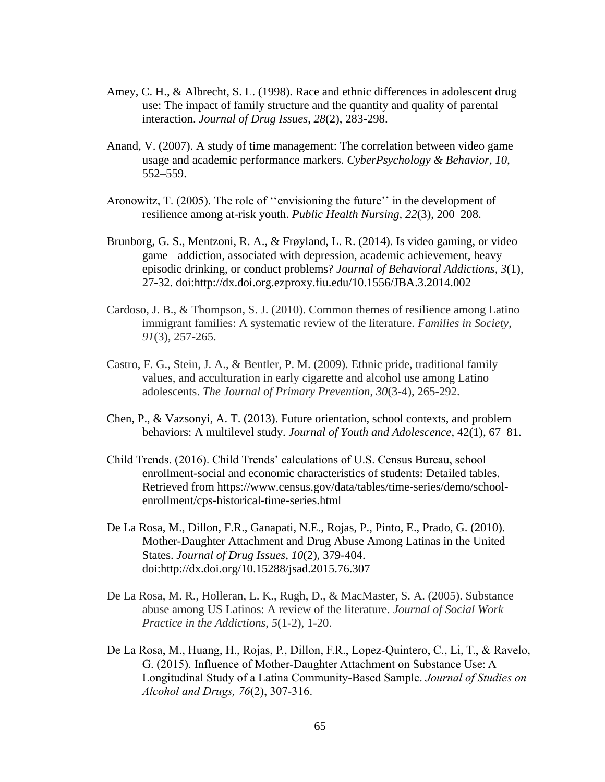- Amey, C. H., & Albrecht, S. L. (1998). Race and ethnic differences in adolescent drug use: The impact of family structure and the quantity and quality of parental interaction. *Journal of Drug Issues*, *28*(2), 283-298.
- Anand, V. (2007). A study of time management: The correlation between video game usage and academic performance markers. *CyberPsychology & Behavior, 10,*  552–559.
- Aronowitz, T. (2005). The role of ''envisioning the future'' in the development of resilience among at-risk youth. *Public Health Nursing, 22*(3), 200–208.
- Brunborg, G. S., Mentzoni, R. A., & Frøyland, L. R. (2014). Is video gaming, or video game addiction, associated with depression, academic achievement, heavy episodic drinking, or conduct problems? *Journal of Behavioral Addictions, 3*(1), 27-32. doi:http://dx.doi.org.ezproxy.fiu.edu/10.1556/JBA.3.2014.002
- Cardoso, J. B., & Thompson, S. J. (2010). Common themes of resilience among Latino immigrant families: A systematic review of the literature. *Families in Society*, *91*(3), 257-265.
- Castro, F. G., Stein, J. A., & Bentler, P. M. (2009). Ethnic pride, traditional family values, and acculturation in early cigarette and alcohol use among Latino adolescents. *The Journal of Primary Prevention*, *30*(3-4), 265-292.
- Chen, P., & Vazsonyi, A. T. (2013). Future orientation, school contexts, and problem behaviors: A multilevel study. *Journal of Youth and Adolescence*, 42(1), 67–81.
- Child Trends. (2016). Child Trends' calculations of U.S. Census Bureau, school enrollment-social and economic characteristics of students: Detailed tables. Retrieved from https://www.census.gov/data/tables/time-series/demo/schoolenrollment/cps-historical-time-series.html
- De La Rosa, M., Dillon, F.R., Ganapati, N.E., Rojas, P., Pinto, E., Prado, G. (2010). Mother-Daughter Attachment and Drug Abuse Among Latinas in the United States. *Journal of Drug Issues, 10*(2), 379-404. doi:http://dx.doi.org/10.15288/jsad.2015.76.307
- De La Rosa, M. R., Holleran, L. K., Rugh, D., & MacMaster, S. A. (2005). Substance abuse among US Latinos: A review of the literature. *Journal of Social Work Practice in the Addictions*, *5*(1-2), 1-20.
- De La Rosa, M., Huang, H., Rojas, P., Dillon, F.R., Lopez-Quintero, C., Li, T., & Ravelo, G. (2015). Influence of Mother-Daughter Attachment on Substance Use: A Longitudinal Study of a Latina Community-Based Sample. *Journal of Studies on Alcohol and Drugs, 76*(2), 307-316.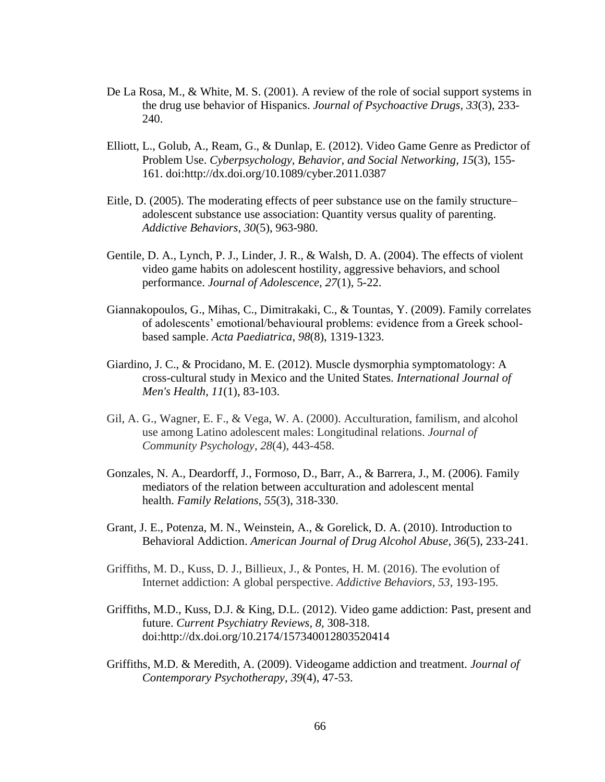- De La Rosa, M., & White, M. S. (2001). A review of the role of social support systems in the drug use behavior of Hispanics. *Journal of Psychoactive Drugs, 33*(3), 233- 240.
- Elliott, L., Golub, A., Ream, G., & Dunlap, E. (2012). Video Game Genre as Predictor of Problem Use. *Cyberpsychology, Behavior, and Social Networking, 15*(3), 155- 161. doi:http://dx.doi.org/10.1089/cyber.2011.0387
- Eitle, D. (2005). The moderating effects of peer substance use on the family structure– adolescent substance use association: Quantity versus quality of parenting. *Addictive Behaviors*, *30*(5), 963-980.
- Gentile, D. A., Lynch, P. J., Linder, J. R., & Walsh, D. A. (2004). The effects of violent video game habits on adolescent hostility, aggressive behaviors, and school performance. *Journal of Adolescence*, *27*(1), 5-22.
- Giannakopoulos, G., Mihas, C., Dimitrakaki, C., & Tountas, Y. (2009). Family correlates of adolescents' emotional/behavioural problems: evidence from a Greek school‐ based sample. *Acta Paediatrica*, *98*(8), 1319-1323.
- Giardino, J. C., & Procidano, M. E. (2012). Muscle dysmorphia symptomatology: A cross-cultural study in Mexico and the United States. *International Journal of Men's Health, 11*(1), 83-103.
- Gil, A. G., Wagner, E. F., & Vega, W. A. (2000). Acculturation, familism, and alcohol use among Latino adolescent males: Longitudinal relations. *Journal of Community Psychology*, *28*(4), 443-458.
- Gonzales, N. A., Deardorff, J., Formoso, D., Barr, A., & Barrera, J., M. (2006). Family mediators of the relation between acculturation and adolescent mental health. *Family Relations, 55*(3), 318-330.
- Grant, J. E., Potenza, M. N., Weinstein, A., & Gorelick, D. A. (2010). Introduction to Behavioral Addiction. *American Journal of Drug Alcohol Abuse, 36*(5), 233-241.
- Griffiths, M. D., Kuss, D. J., Billieux, J., & Pontes, H. M. (2016). The evolution of Internet addiction: A global perspective. *Addictive Behaviors*, *53*, 193-195.
- Griffiths, M.D., Kuss, D.J. & King, D.L. (2012). Video game addiction: Past, present and future. *Current Psychiatry Reviews, 8,* 308-318. doi:http://dx.doi.org/10.2174/157340012803520414
- Griffiths, M.D. & Meredith, A. (2009). Videogame addiction and treatment. *Journal of Contemporary Psychotherapy*, *39*(4), 47-53.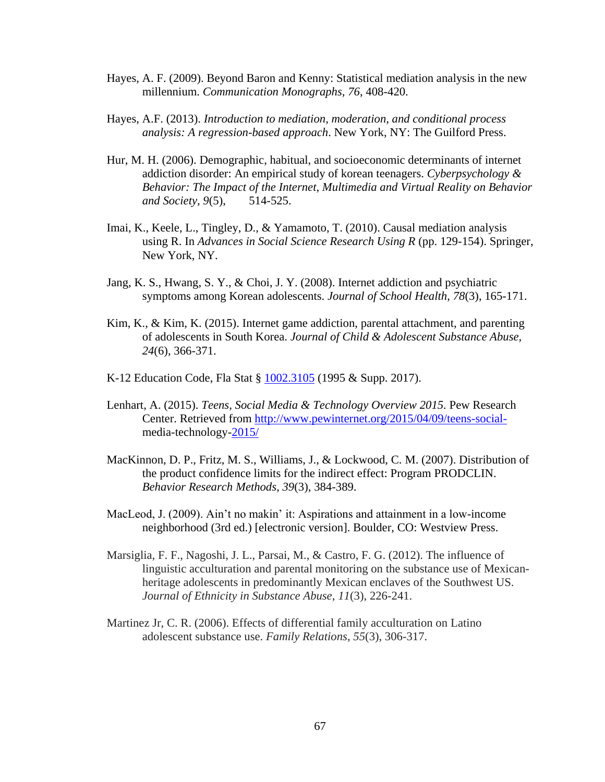- Hayes, A. F. (2009). Beyond Baron and Kenny: Statistical mediation analysis in the new millennium. *Communication Monographs, 76*, 408-420.
- Hayes, A.F. (2013). *Introduction to mediation, moderation, and conditional process analysis: A regression-based approach*. New York, NY: The Guilford Press.
- Hur, M. H. (2006). Demographic, habitual, and socioeconomic determinants of internet addiction disorder: An empirical study of korean teenagers. *Cyberpsychology & Behavior: The Impact of the Internet, Multimedia and Virtual Reality on Behavior and Society, 9*(5), 514-525.
- Imai, K., Keele, L., Tingley, D., & Yamamoto, T. (2010). Causal mediation analysis using R. In *Advances in Social Science Research Using R* (pp. 129-154). Springer, New York, NY.
- Jang, K. S., Hwang, S. Y., & Choi, J. Y. (2008). Internet addiction and psychiatric symptoms among Korean adolescents. *Journal of School Health*, *78*(3), 165-171.
- Kim, K., & Kim, K. (2015). Internet game addiction, parental attachment, and parenting of adolescents in South Korea. *Journal of Child & Adolescent Substance Abuse, 24*(6), 366-371.
- K-12 Education Code, Fla Stat § [1002.3105](http://www.leg.state.fl.us/Statutes/index.cfm?App_mode=Display_Statute&Search_String=&URL=1000-1099/1002/Sections/1002.3105.html) (1995 & Supp. 2017).
- Lenhart, A. (2015). *Teens, Social Media & Technology Overview 2015.* Pew Research Center. Retrieved from [http://www.pewinternet.org/2015/04/09/teens-social](http://www.pewinternet.org/2015/04/09/teens-social-)media-technology-2015/
- MacKinnon, D. P., Fritz, M. S., Williams, J., & Lockwood, C. M. (2007). Distribution of the product confidence limits for the indirect effect: Program PRODCLIN. *Behavior Research Methods*, *39*(3), 384-389.
- MacLeod, J. (2009). Ain't no makin' it: Aspirations and attainment in a low-income neighborhood (3rd ed.) [electronic version]. Boulder, CO: Westview Press.
- Marsiglia, F. F., Nagoshi, J. L., Parsai, M., & Castro, F. G. (2012). The influence of linguistic acculturation and parental monitoring on the substance use of Mexicanheritage adolescents in predominantly Mexican enclaves of the Southwest US. *Journal of Ethnicity in Substance Abuse*, *11*(3), 226-241.
- Martinez Jr, C. R. (2006). Effects of differential family acculturation on Latino adolescent substance use. *Family Relations*, *55*(3), 306-317.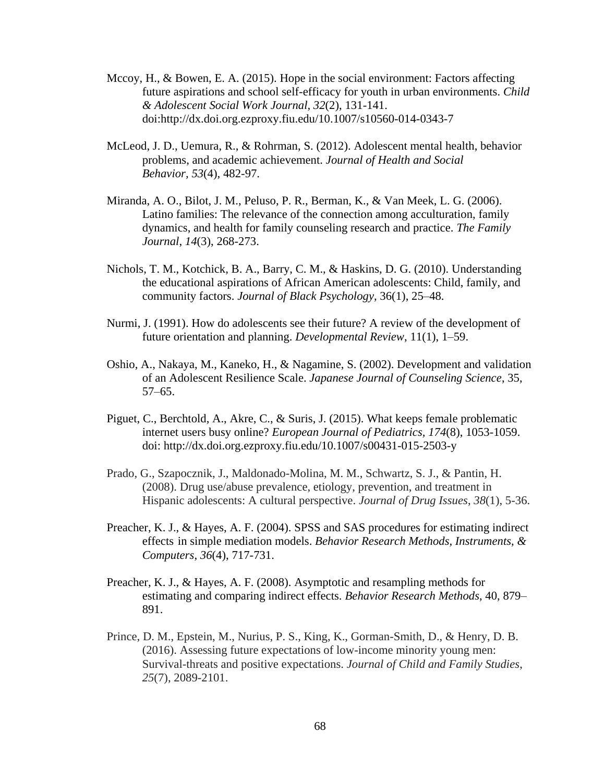- Mccoy, H., & Bowen, E. A. (2015). Hope in the social environment: Factors affecting future aspirations and school self-efficacy for youth in urban environments. *Child & Adolescent Social Work Journal, 32*(2), 131-141. doi:http://dx.doi.org.ezproxy.fiu.edu/10.1007/s10560-014-0343-7
- McLeod, J. D., Uemura, R., & Rohrman, S. (2012). Adolescent mental health, behavior problems, and academic achievement. *Journal of Health and Social Behavior, 53*(4), 482-97.
- Miranda, A. O., Bilot, J. M., Peluso, P. R., Berman, K., & Van Meek, L. G. (2006). Latino families: The relevance of the connection among acculturation, family dynamics, and health for family counseling research and practice. *The Family Journal*, *14*(3), 268-273.
- Nichols, T. M., Kotchick, B. A., Barry, C. M., & Haskins, D. G. (2010). Understanding the educational aspirations of African American adolescents: Child, family, and community factors. *Journal of Black Psychology*, 36(1), 25–48.
- Nurmi, J. (1991). How do adolescents see their future? A review of the development of future orientation and planning. *Developmental Review*, 11(1), 1–59.
- Oshio, A., Nakaya, M., Kaneko, H., & Nagamine, S. (2002). Development and validation of an Adolescent Resilience Scale. *Japanese Journal of Counseling Science*, 35, 57–65.
- Piguet, C., Berchtold, A., Akre, C., & Suris, J. (2015). What keeps female problematic internet users busy online? *European Journal of Pediatrics, 174*(8), 1053-1059. doi: http://dx.doi.org.ezproxy.fiu.edu/10.1007/s00431-015-2503-y
- Prado, G., Szapocznik, J., Maldonado-Molina, M. M., Schwartz, S. J., & Pantin, H. (2008). Drug use/abuse prevalence, etiology, prevention, and treatment in Hispanic adolescents: A cultural perspective. *Journal of Drug Issues*, *38*(1), 5-36.
- Preacher, K. J., & Hayes, A. F. (2004). SPSS and SAS procedures for estimating indirect effects in simple mediation models. *Behavior Research Methods, Instruments, & Computers*, *36*(4), 717-731.
- Preacher, K. J., & Hayes, A. F. (2008). Asymptotic and resampling methods for estimating and comparing indirect effects. *Behavior Research Methods*, 40, 879– 891.
- Prince, D. M., Epstein, M., Nurius, P. S., King, K., Gorman-Smith, D., & Henry, D. B. (2016). Assessing future expectations of low-income minority young men: Survival-threats and positive expectations. *Journal of Child and Family Studies*, *25*(7), 2089-2101.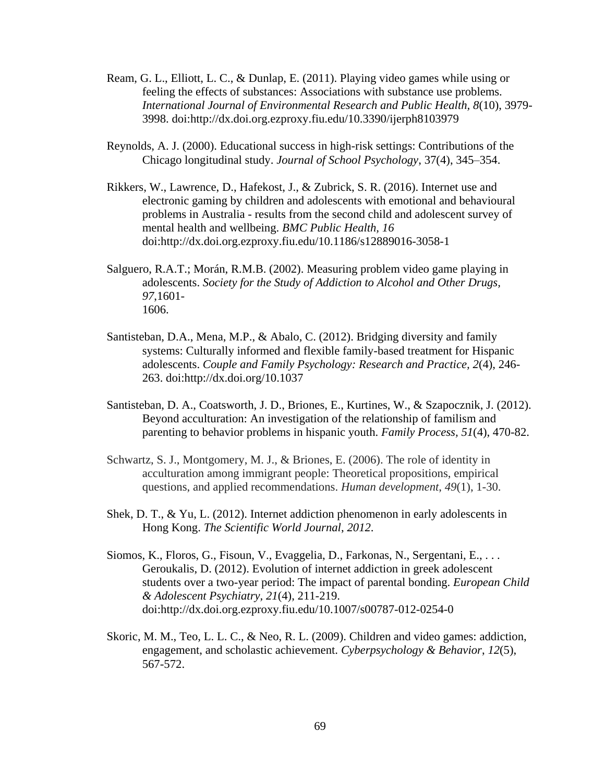- Ream, G. L., Elliott, L. C., & Dunlap, E. (2011). Playing video games while using or feeling the effects of substances: Associations with substance use problems. *International Journal of Environmental Research and Public Health, 8*(10), 3979- 3998. doi:http://dx.doi.org.ezproxy.fiu.edu/10.3390/ijerph8103979
- Reynolds, A. J. (2000). Educational success in high-risk settings: Contributions of the Chicago longitudinal study. *Journal of School Psychology*, 37(4), 345–354.
- Rikkers, W., Lawrence, D., Hafekost, J., & Zubrick, S. R. (2016). Internet use and electronic gaming by children and adolescents with emotional and behavioural problems in Australia - results from the second child and adolescent survey of mental health and wellbeing. *BMC Public Health, 16*  doi:http://dx.doi.org.ezproxy.fiu.edu/10.1186/s12889016-3058-1
- Salguero, R.A.T.; Morán, R.M.B. (2002). Measuring problem video game playing in adolescents. *Society for the Study of Addiction to Alcohol and Other Drugs, 97*,1601- 1606.
- Santisteban, D.A., Mena, M.P., & Abalo, C. (2012). Bridging diversity and family systems: Culturally informed and flexible family-based treatment for Hispanic adolescents. *Couple and Family Psychology: Research and Practice, 2*(4), 246- 263. doi:http://dx.doi.org/10.1037
- Santisteban, D. A., Coatsworth, J. D., Briones, E., Kurtines, W., & Szapocznik, J. (2012). Beyond acculturation: An investigation of the relationship of familism and parenting to behavior problems in hispanic youth. *Family Process, 51*(4), 470-82.
- Schwartz, S. J., Montgomery, M. J., & Briones, E. (2006). The role of identity in acculturation among immigrant people: Theoretical propositions, empirical questions, and applied recommendations. *Human development*, *49*(1), 1-30.
- Shek, D. T., & Yu, L. (2012). Internet addiction phenomenon in early adolescents in Hong Kong. *The Scientific World Journal*, *2012*.
- Siomos, K., Floros, G., Fisoun, V., Evaggelia, D., Farkonas, N., Sergentani, E., . . . Geroukalis, D. (2012). Evolution of internet addiction in greek adolescent students over a two-year period: The impact of parental bonding. *European Child & Adolescent Psychiatry, 21*(4), 211-219. doi:http://dx.doi.org.ezproxy.fiu.edu/10.1007/s00787-012-0254-0
- Skoric, M. M., Teo, L. L. C., & Neo, R. L. (2009). Children and video games: addiction, engagement, and scholastic achievement. *Cyberpsychology & Behavior*, *12*(5), 567-572.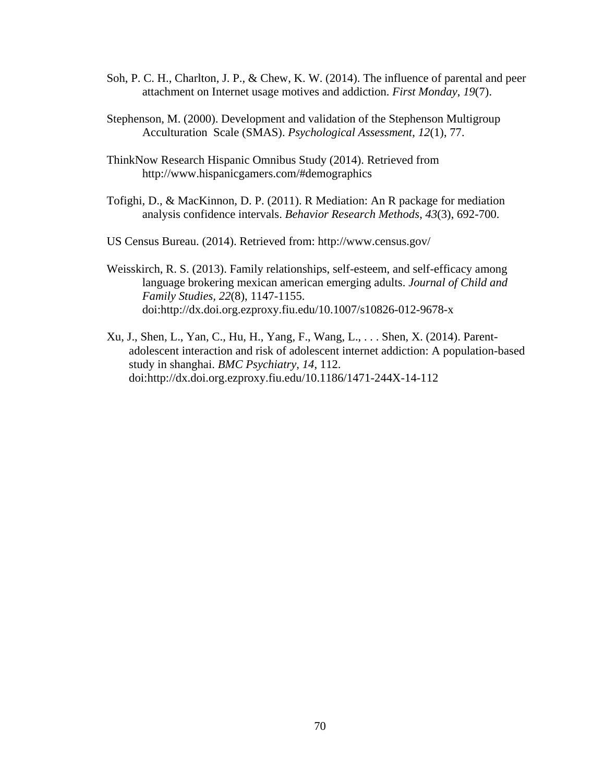- Soh, P. C. H., Charlton, J. P., & Chew, K. W. (2014). The influence of parental and peer attachment on Internet usage motives and addiction. *First Monday*, *19*(7).
- Stephenson, M. (2000). Development and validation of the Stephenson Multigroup Acculturation Scale (SMAS). *Psychological Assessment*, *12*(1), 77.
- ThinkNow Research Hispanic Omnibus Study (2014). Retrieved from http://www.hispanicgamers.com/#demographics
- Tofighi, D., & MacKinnon, D. P. (2011). R Mediation: An R package for mediation analysis confidence intervals. *Behavior Research Methods*, *43*(3), 692-700.

US Census Bureau. (2014). Retrieved from: http://www.census.gov/

- Weisskirch, R. S. (2013). Family relationships, self-esteem, and self-efficacy among language brokering mexican american emerging adults. *Journal of Child and Family Studies, 22*(8), 1147-1155. doi:http://dx.doi.org.ezproxy.fiu.edu/10.1007/s10826-012-9678-x
- Xu, J., Shen, L., Yan, C., Hu, H., Yang, F., Wang, L., . . . Shen, X. (2014). Parentadolescent interaction and risk of adolescent internet addiction: A population-based study in shanghai. *BMC Psychiatry, 14*, 112. doi:http://dx.doi.org.ezproxy.fiu.edu/10.1186/1471-244X-14-112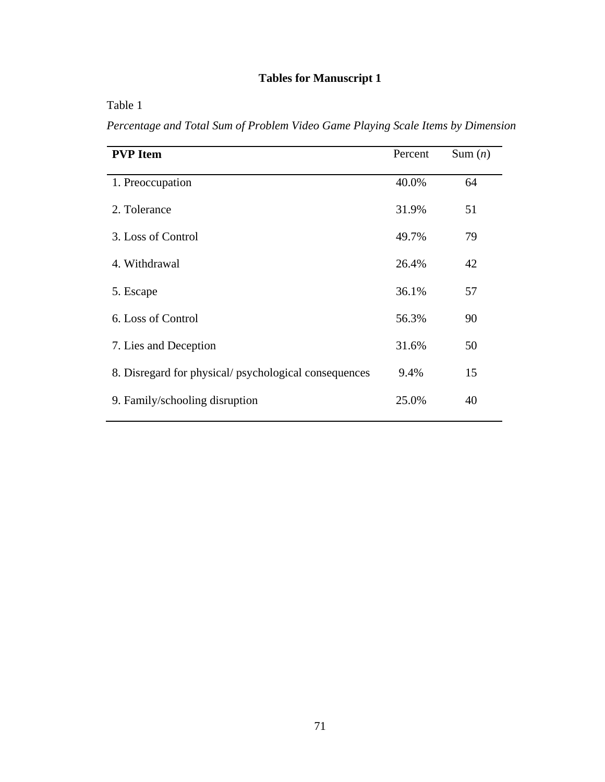# **Tables for Manuscript 1**

| ani |
|-----|
|-----|

*Percentage and Total Sum of Problem Video Game Playing Scale Items by Dimension*

| <b>PVP</b> Item                                      | Percent | Sum $(n)$ |
|------------------------------------------------------|---------|-----------|
| 1. Preoccupation                                     | 40.0%   | 64        |
| 2. Tolerance                                         | 31.9%   | 51        |
| 3. Loss of Control                                   | 49.7%   | 79        |
| 4. Withdrawal                                        | 26.4%   | 42        |
| 5. Escape                                            | 36.1%   | 57        |
| 6. Loss of Control                                   | 56.3%   | 90        |
| 7. Lies and Deception                                | 31.6%   | 50        |
| 8. Disregard for physical/psychological consequences | 9.4%    | 15        |
| 9. Family/schooling disruption                       | 25.0%   | 40        |
|                                                      |         |           |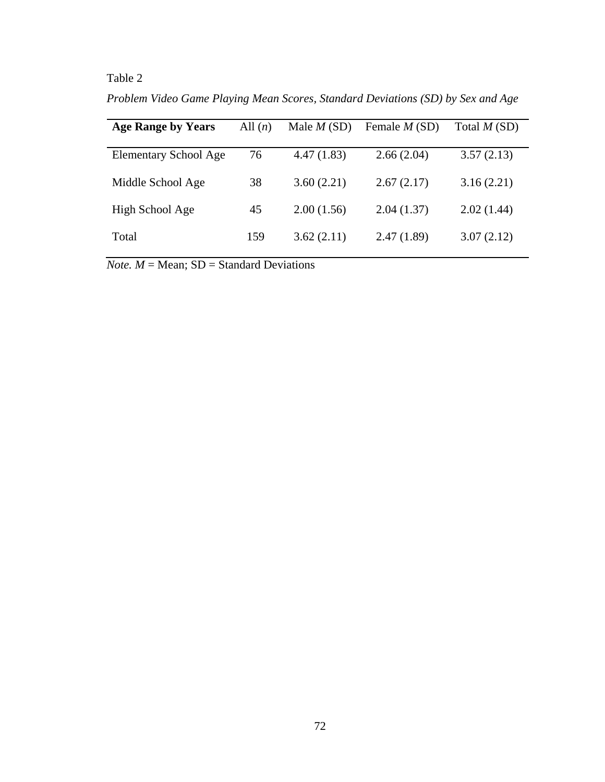# Table 2

*Problem Video Game Playing Mean Scores, Standard Deviations (SD) by Sex and Age*

| <b>Age Range by Years</b>    | All $(n)$ | Male $M(SD)$ | Female $M(SD)$ | Total $M(SD)$ |
|------------------------------|-----------|--------------|----------------|---------------|
| <b>Elementary School Age</b> | 76        | 4.47(1.83)   | 2.66(2.04)     | 3.57(2.13)    |
| Middle School Age            | 38        | 3.60(2.21)   | 2.67(2.17)     | 3.16(2.21)    |
| High School Age              | 45        | 2.00(1.56)   | 2.04(1.37)     | 2.02(1.44)    |
| Total                        | 159       | 3.62(2.11)   | 2.47(1.89)     | 3.07(2.12)    |

 $$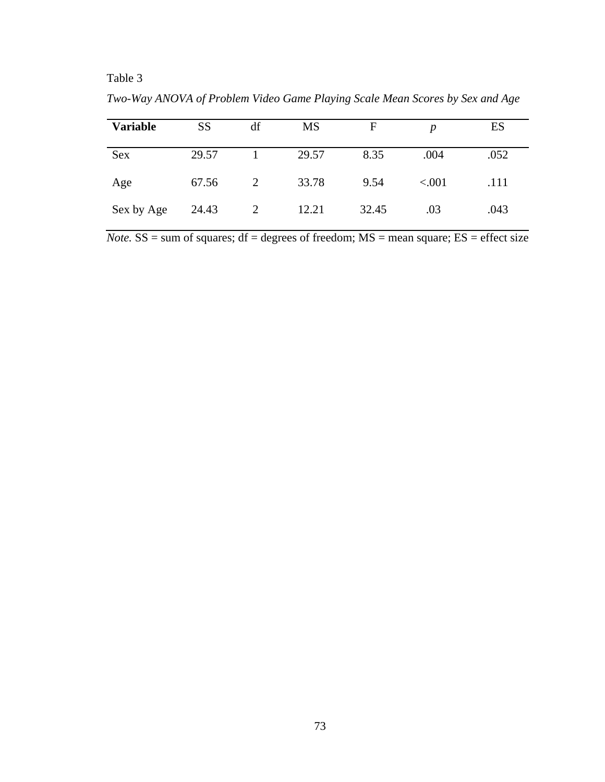# Table 3

**Variable** SS df MS F *p* ES Sex 29.57 1 29.57 8.35 .004 .052 Age 67.56 2 33.78 9.54 <.001 .111 Sex by Age 24.43 2 12.21 32.45 .03 .043

*Two-Way ANOVA of Problem Video Game Playing Scale Mean Scores by Sex and Age*

*Note.*  $SS = sum$  of squares;  $df = degrees$  of freedom;  $MS = mean$  square;  $ES = effect$  size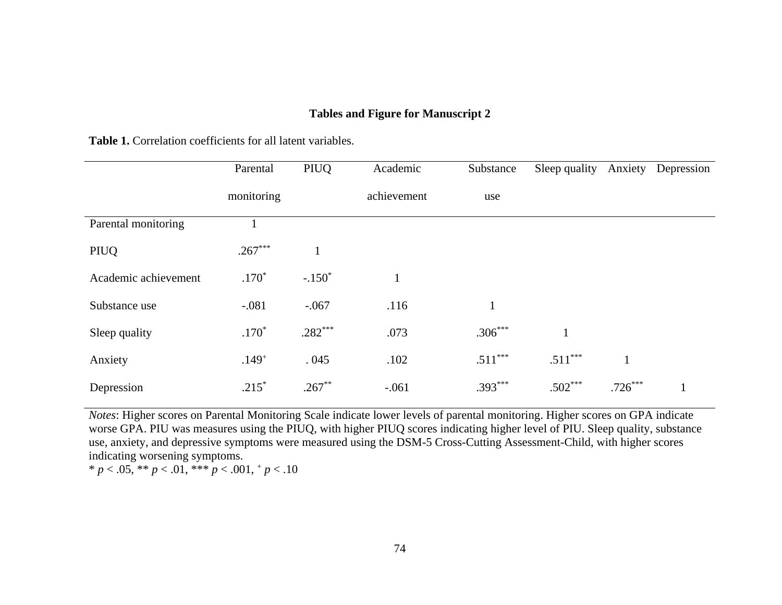## **Tables and Figure for Manuscript 2**

|                      | Parental   | PIUQ      | Academic    | Substance    | Sleep quality | Anxiety      | Depression |
|----------------------|------------|-----------|-------------|--------------|---------------|--------------|------------|
|                      | monitoring |           | achievement | use          |               |              |            |
| Parental monitoring  |            |           |             |              |               |              |            |
| PIUQ                 | $.267***$  |           |             |              |               |              |            |
| Academic achievement | $.170*$    | $-.150*$  |             |              |               |              |            |
| Substance use        | $-.081$    | $-.067$   | .116        | $\mathbf{1}$ |               |              |            |
| Sleep quality        | $.170*$    | $.282***$ | .073        | $.306***$    |               |              |            |
| Anxiety              | $.149^{+}$ | .045      | .102        | $.511***$    | $.511***$     | $\mathbf{1}$ |            |
| Depression           | $.215*$    | $.267***$ | $-.061$     | $.393***$    | $.502***$     | $.726***$    |            |

Table 1. Correlation coefficients for all latent variables.

*Notes*: Higher scores on Parental Monitoring Scale indicate lower levels of parental monitoring. Higher scores on GPA indicate worse GPA. PIU was measures using the PIUQ, with higher PIUQ scores indicating higher level of PIU. Sleep quality, substance use, anxiety, and depressive symptoms were measured using the DSM-5 Cross-Cutting Assessment-Child, with higher scores indicating worsening symptoms.

\*  $p < .05$ , \*\*  $p < .01$ , \*\*\*  $p < .001$ , +  $p < .10$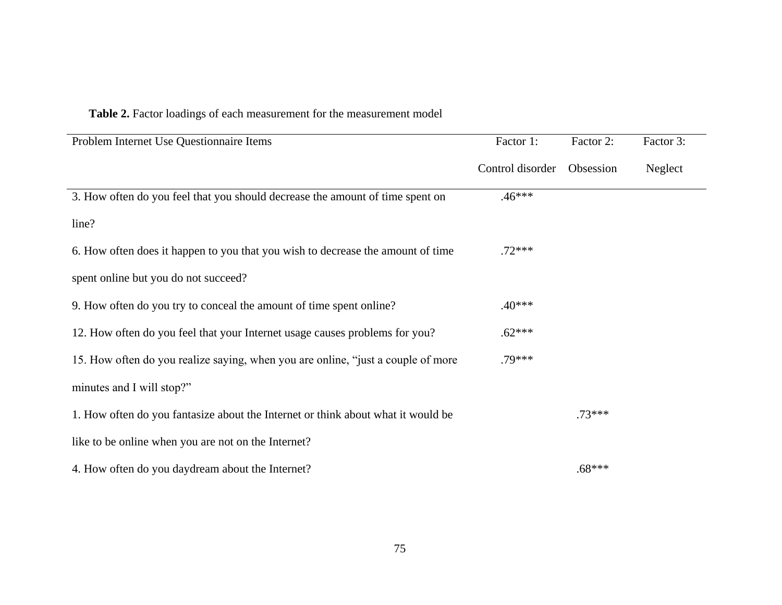# **Table 2.** Factor loadings of each measurement for the measurement model

| Problem Internet Use Questionnaire Items                                         | Factor 1:        | Factor 2: | Factor 3: |
|----------------------------------------------------------------------------------|------------------|-----------|-----------|
|                                                                                  | Control disorder | Obsession | Neglect   |
| 3. How often do you feel that you should decrease the amount of time spent on    | $.46***$         |           |           |
| line?                                                                            |                  |           |           |
| 6. How often does it happen to you that you wish to decrease the amount of time  | $.72***$         |           |           |
| spent online but you do not succeed?                                             |                  |           |           |
| 9. How often do you try to conceal the amount of time spent online?              | $.40***$         |           |           |
| 12. How often do you feel that your Internet usage causes problems for you?      | $.62***$         |           |           |
| 15. How often do you realize saying, when you are online, "just a couple of more | .79***           |           |           |
| minutes and I will stop?"                                                        |                  |           |           |
| 1. How often do you fantasize about the Internet or think about what it would be |                  | $.73***$  |           |
| like to be online when you are not on the Internet?                              |                  |           |           |
| 4. How often do you daydream about the Internet?                                 |                  | $.68***$  |           |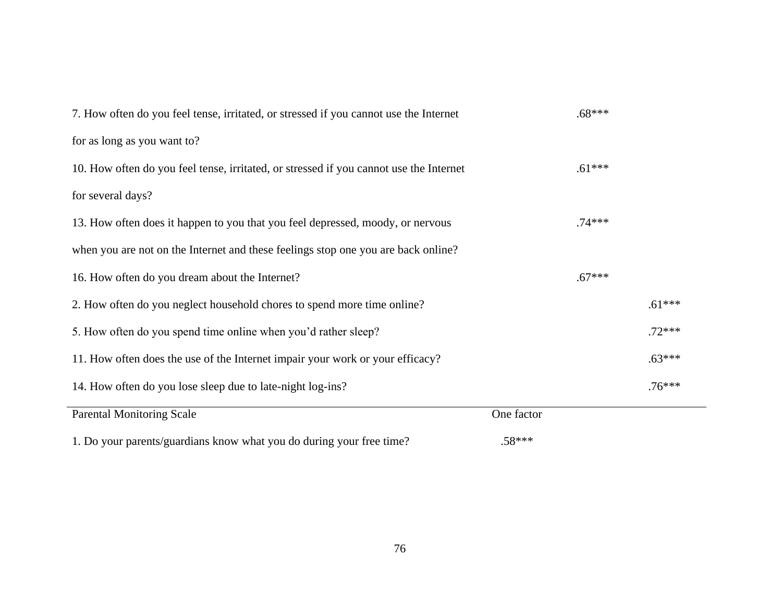| 7. How often do you feel tense, irritated, or stressed if you cannot use the Internet  |            | $.68***$ |          |
|----------------------------------------------------------------------------------------|------------|----------|----------|
| for as long as you want to?                                                            |            |          |          |
| 10. How often do you feel tense, irritated, or stressed if you cannot use the Internet |            | $.61***$ |          |
| for several days?                                                                      |            |          |          |
| 13. How often does it happen to you that you feel depressed, moody, or nervous         |            | $.74***$ |          |
| when you are not on the Internet and these feelings stop one you are back online?      |            |          |          |
| 16. How often do you dream about the Internet?                                         |            | $.67***$ |          |
| 2. How often do you neglect household chores to spend more time online?                |            |          | $.61***$ |
| 5. How often do you spend time online when you'd rather sleep?                         |            |          | $.72***$ |
| 11. How often does the use of the Internet impair your work or your efficacy?          |            |          | $.63***$ |
| 14. How often do you lose sleep due to late-night log-ins?                             |            |          | $.76***$ |
| <b>Parental Monitoring Scale</b>                                                       | One factor |          |          |
| 1. Do your parents/guardians know what you do during your free time?                   | $.58***$   |          |          |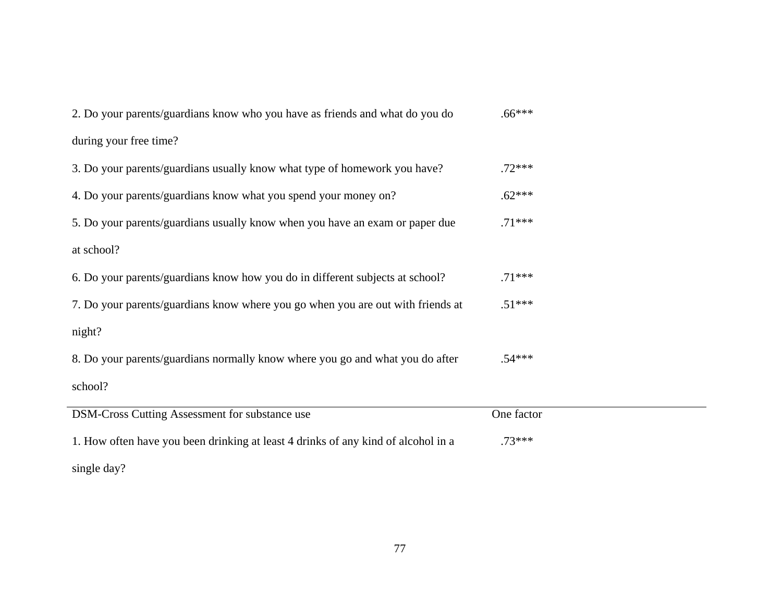| 2. Do your parents/guardians know who you have as friends and what do you do      | $.66***$   |
|-----------------------------------------------------------------------------------|------------|
| during your free time?                                                            |            |
| 3. Do your parents/guardians usually know what type of homework you have?         | $.72***$   |
| 4. Do your parents/guardians know what you spend your money on?                   | $.62***$   |
| 5. Do your parents/guardians usually know when you have an exam or paper due      | $.71***$   |
| at school?                                                                        |            |
| 6. Do your parents/guardians know how you do in different subjects at school?     | $.71***$   |
| 7. Do your parents/guardians know where you go when you are out with friends at   | $.51***$   |
| night?                                                                            |            |
| 8. Do your parents/guardians normally know where you go and what you do after     | $.54***$   |
| school?                                                                           |            |
| DSM-Cross Cutting Assessment for substance use                                    | One factor |
| 1. How often have you been drinking at least 4 drinks of any kind of alcohol in a | $.73***$   |
| single day?                                                                       |            |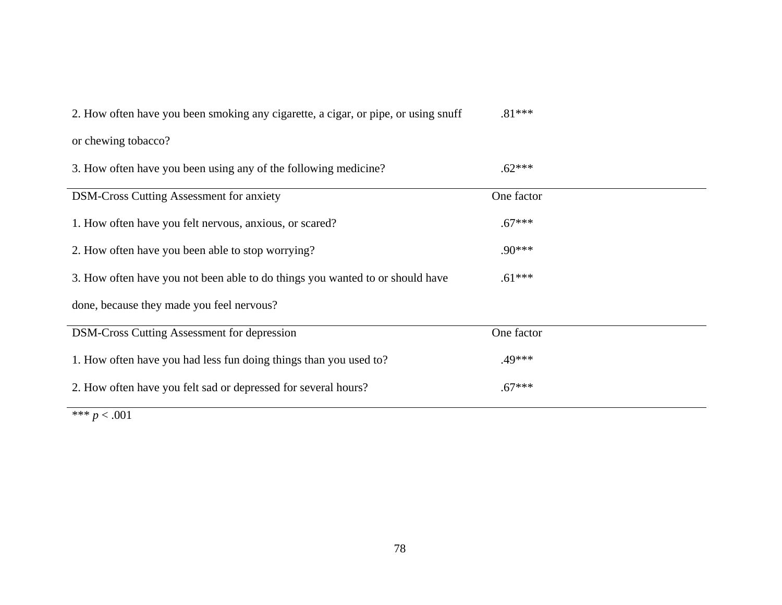| 2. How often have you been smoking any cigarette, a cigar, or pipe, or using snuff | $.81***$   |
|------------------------------------------------------------------------------------|------------|
| or chewing tobacco?                                                                |            |
| 3. How often have you been using any of the following medicine?                    | $.62***$   |
| <b>DSM-Cross Cutting Assessment for anxiety</b>                                    | One factor |
| 1. How often have you felt nervous, anxious, or scared?                            | $.67***$   |
| 2. How often have you been able to stop worrying?                                  | $.90***$   |
| 3. How often have you not been able to do things you wanted to or should have      | $.61***$   |
| done, because they made you feel nervous?                                          |            |
| <b>DSM-Cross Cutting Assessment for depression</b>                                 | One factor |
| 1. How often have you had less fun doing things than you used to?                  | .49***     |
| 2. How often have you felt sad or depressed for several hours?                     | $.67***$   |
| and and a state of<br>0.04                                                         |            |

 $\frac{1}{100}$  \*\*\* *p* < .001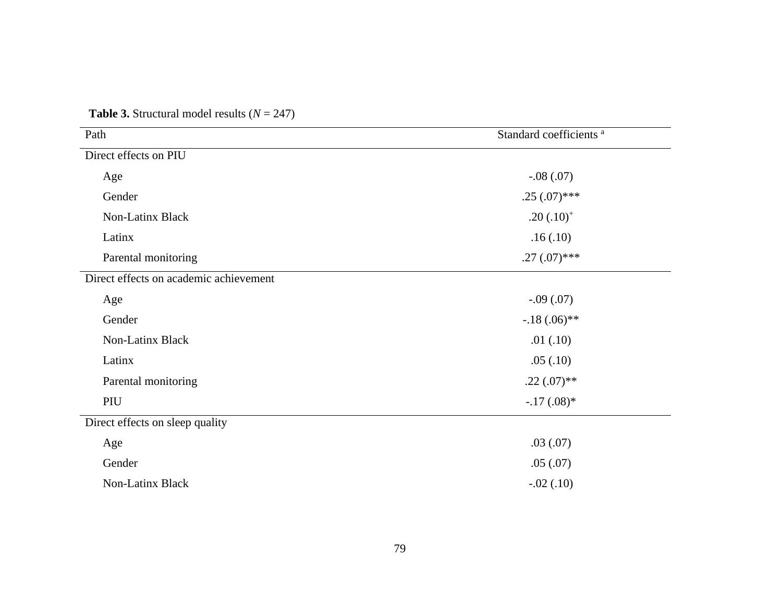| Path                                   | Standard coefficients <sup>a</sup> |
|----------------------------------------|------------------------------------|
| Direct effects on PIU                  |                                    |
| Age                                    | $-.08(.07)$                        |
| Gender                                 | $.25(.07)$ ***                     |
| Non-Latinx Black                       | $.20(.10)^{+}$                     |
| Latinx                                 | .16(.10)                           |
| Parental monitoring                    | $.27(.07)$ ***                     |
| Direct effects on academic achievement |                                    |
| Age                                    | $-.09(.07)$                        |
| Gender                                 | $-.18(.06)$ **                     |
| Non-Latinx Black                       | .01(.10)                           |
| Latinx                                 | .05(.10)                           |
| Parental monitoring                    | $.22(.07)$ **                      |
| PIU                                    | $-.17(.08)*$                       |
| Direct effects on sleep quality        |                                    |
| Age                                    | .03(.07)                           |
| Gender                                 | .05(.07)                           |
| Non-Latinx Black                       | $-.02(.10)$                        |

**Table 3.** Structural model results  $(N = 247)$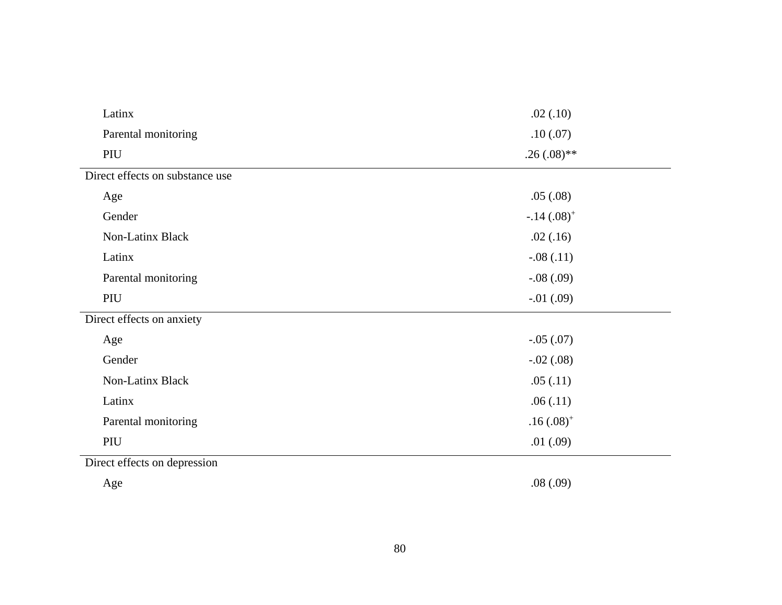| Latinx                          | .02(.10)       |
|---------------------------------|----------------|
| Parental monitoring             | .10(0.07)      |
| PIU                             | $.26(.08)$ **  |
| Direct effects on substance use |                |
| Age                             | .05(.08)       |
| Gender                          | $-.14(.08)^+$  |
| Non-Latinx Black                | .02(.16)       |
| Latinx                          | $-.08(.11)$    |
| Parental monitoring             | $-.08(.09)$    |
| PIU                             | $-.01(.09)$    |
| Direct effects on anxiety       |                |
| Age                             | $-.05(.07)$    |
| Gender                          | $-.02(.08)$    |
| Non-Latinx Black                | .05(.11)       |
| Latinx                          | .06(.11)       |
| Parental monitoring             | $.16(.08)^{+}$ |
| PIU                             | .01(.09)       |
| Direct effects on depression    |                |

Age .08 (.09)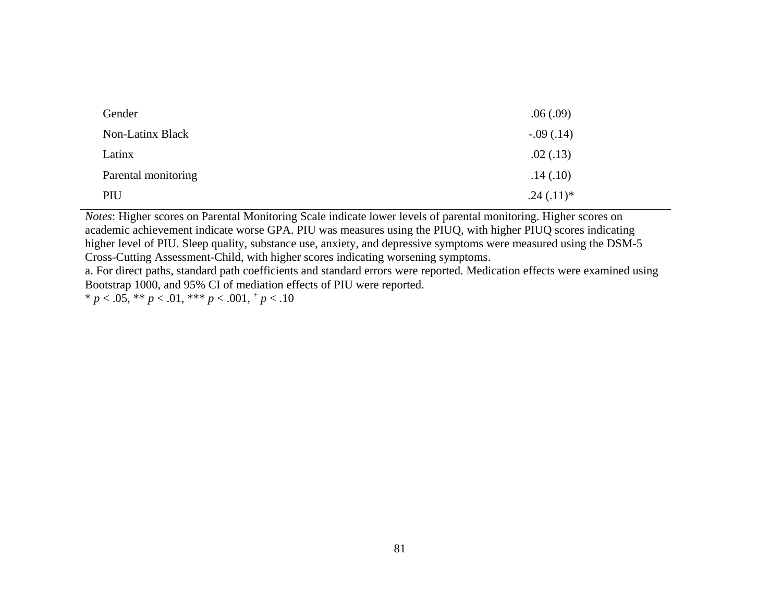| Gender              | .06(.09)    |
|---------------------|-------------|
| Non-Latinx Black    | $-.09(.14)$ |
| Latinx              | .02(.13)    |
| Parental monitoring | .14(.10)    |
| PIU                 | $.24(.11)*$ |

*Notes*: Higher scores on Parental Monitoring Scale indicate lower levels of parental monitoring. Higher scores on academic achievement indicate worse GPA. PIU was measures using the PIUQ, with higher PIUQ scores indicating higher level of PIU. Sleep quality, substance use, anxiety, and depressive symptoms were measured using the DSM-5 Cross-Cutting Assessment-Child, with higher scores indicating worsening symptoms.

a. For direct paths, standard path coefficients and standard errors were reported. Medication effects were examined using Bootstrap 1000, and 95% CI of mediation effects of PIU were reported.

\*  $p < .05$ , \*\*  $p < .01$ , \*\*\*  $p < .001$ ,  $\frac{+}{p} < .10$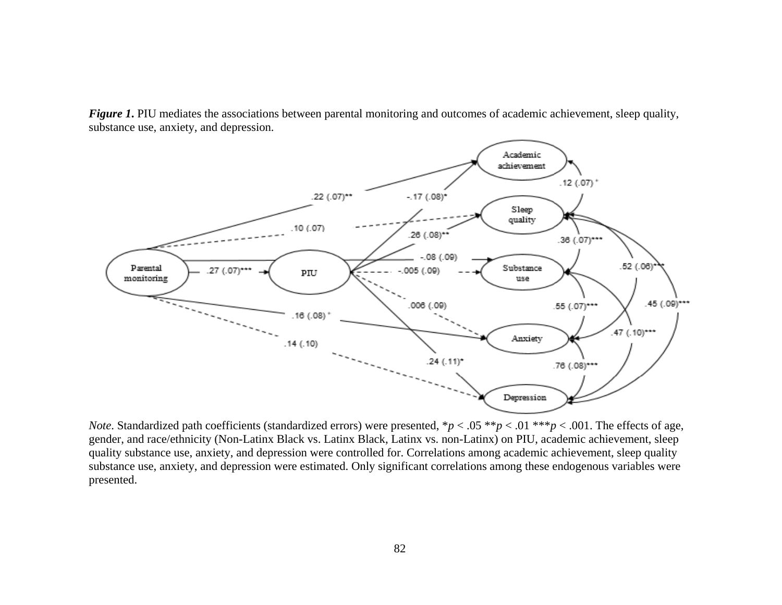*Figure 1***.** PIU mediates the associations between parental monitoring and outcomes of academic achievement, sleep quality, substance use, anxiety, and depression.



*Note*. Standardized path coefficients (standardized errors) were presented,  $\frac{p}{2}$  < .05  $\frac{p}{2}$  < .01  $\frac{p}{2}$ , .001. The effects of age, gender, and race/ethnicity (Non-Latinx Black vs. Latinx Black, Latinx vs. non-Latinx) on PIU, academic achievement, sleep quality substance use, anxiety, and depression were controlled for. Correlations among academic achievement, sleep quality substance use, anxiety, and depression were estimated. Only significant correlations among these endogenous variables were presented.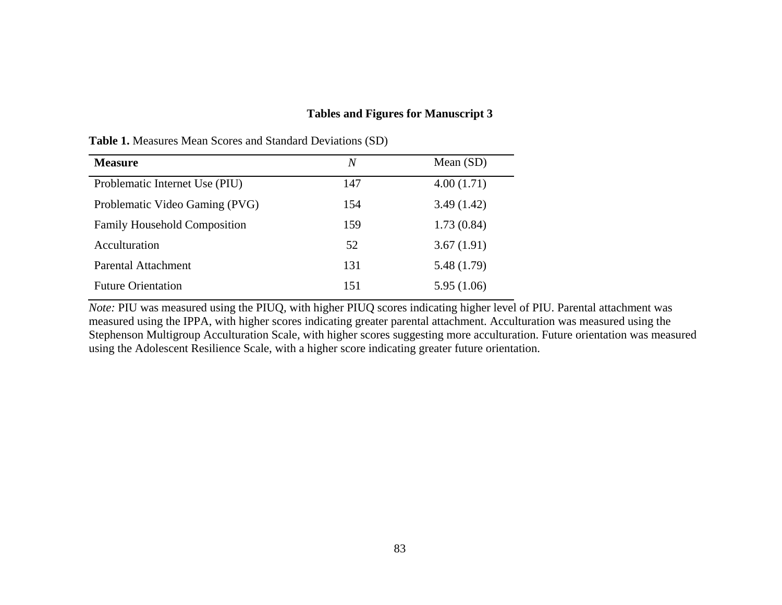## **Tables and Figures for Manuscript 3**

| <b>Measure</b>                      | $\overline{N}$ | Mean $(SD)$ |
|-------------------------------------|----------------|-------------|
| Problematic Internet Use (PIU)      | 147            | 4.00(1.71)  |
| Problematic Video Gaming (PVG)      | 154            | 3.49(1.42)  |
| <b>Family Household Composition</b> | 159            | 1.73(0.84)  |
| Acculturation                       | 52             | 3.67(1.91)  |
| Parental Attachment                 | 131            | 5.48 (1.79) |
| <b>Future Orientation</b>           | 151            | 5.95 (1.06) |

**Table 1.** Measures Mean Scores and Standard Deviations (SD)

*Note:* PIU was measured using the PIUQ, with higher PIUQ scores indicating higher level of PIU. Parental attachment was measured using the IPPA, with higher scores indicating greater parental attachment. Acculturation was measured using the Stephenson Multigroup Acculturation Scale, with higher scores suggesting more acculturation. Future orientation was measured using the Adolescent Resilience Scale, with a higher score indicating greater future orientation.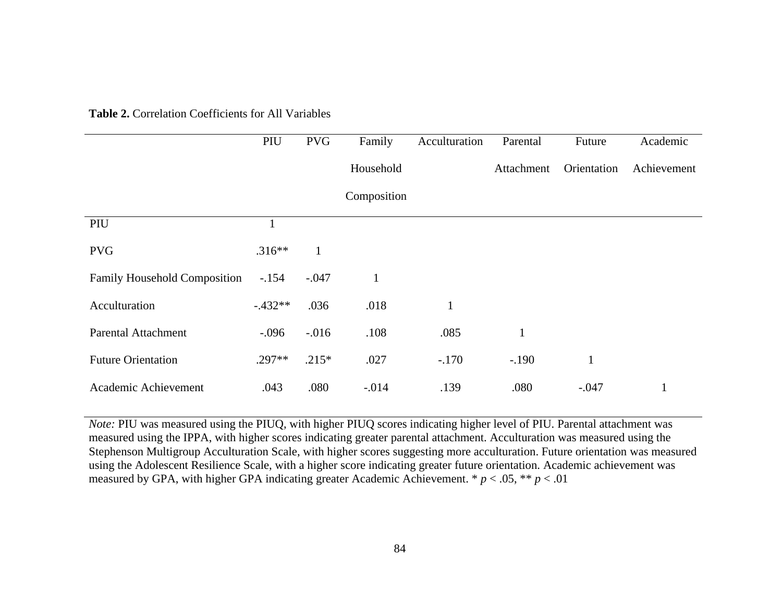|                                     | PIU          | <b>PVG</b>   | Family       | Acculturation | Parental     | Future       | Academic    |
|-------------------------------------|--------------|--------------|--------------|---------------|--------------|--------------|-------------|
|                                     |              |              | Household    |               | Attachment   | Orientation  | Achievement |
|                                     |              |              | Composition  |               |              |              |             |
| PIU                                 | $\mathbf{1}$ |              |              |               |              |              |             |
| <b>PVG</b>                          | $.316**$     | $\mathbf{1}$ |              |               |              |              |             |
| <b>Family Household Composition</b> | $-.154$      | $-.047$      | $\mathbf{1}$ |               |              |              |             |
| Acculturation                       | $-.432**$    | .036         | .018         | $\mathbf{1}$  |              |              |             |
| <b>Parental Attachment</b>          | $-.096$      | $-.016$      | .108         | .085          | $\mathbf{1}$ |              |             |
| <b>Future Orientation</b>           | $.297**$     | $.215*$      | .027         | $-.170$       | $-.190$      | $\mathbf{1}$ |             |
| Academic Achievement                | .043         | .080         | $-.014$      | .139          | .080         | $-.047$      |             |

**Table 2.** Correlation Coefficients for All Variables

*Note:* PIU was measured using the PIUQ, with higher PIUQ scores indicating higher level of PIU. Parental attachment was measured using the IPPA, with higher scores indicating greater parental attachment. Acculturation was measured using the Stephenson Multigroup Acculturation Scale, with higher scores suggesting more acculturation. Future orientation was measured using the Adolescent Resilience Scale, with a higher score indicating greater future orientation. Academic achievement was measured by GPA, with higher GPA indicating greater Academic Achievement.  $p < .05$ ,  $\ast p < .01$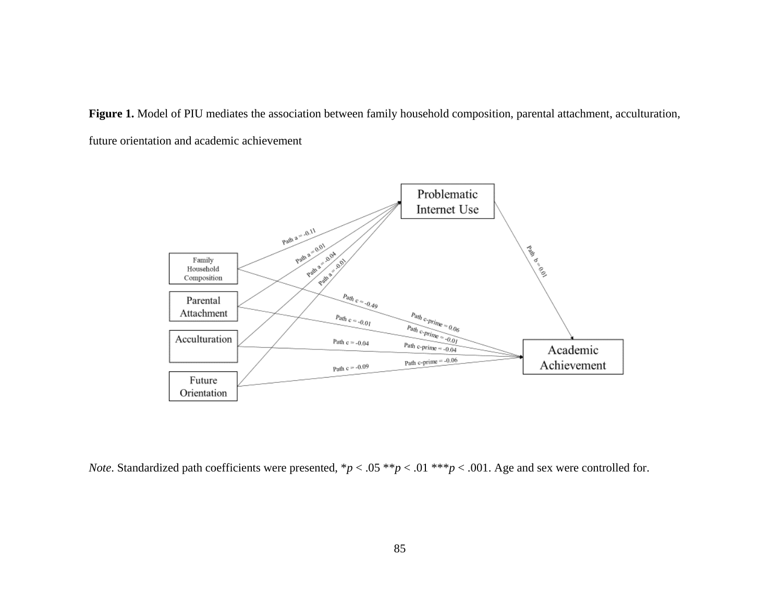**Figure 1.** Model of PIU mediates the association between family household composition, parental attachment, acculturation, future orientation and academic achievement



*Note*. Standardized path coefficients were presented, \**p* < .05 \*\**p* < .01 \*\*\**p* < .001. Age and sex were controlled for.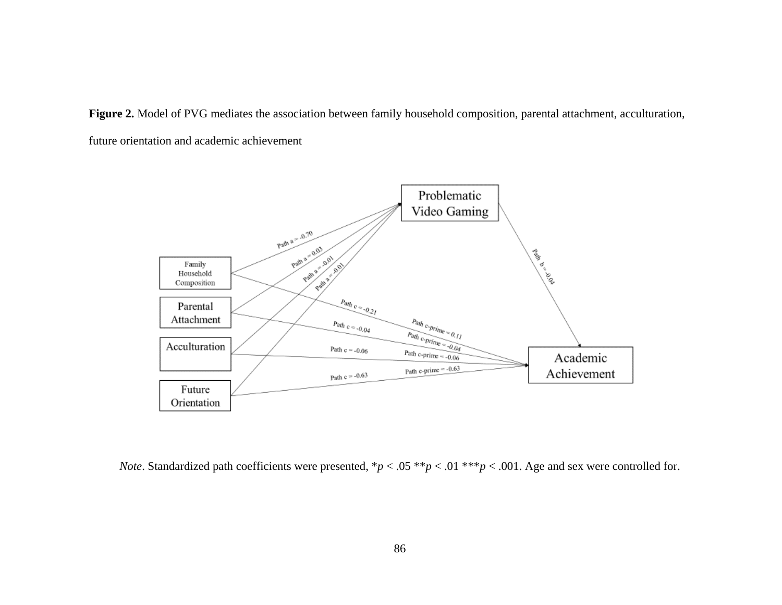**Figure 2.** Model of PVG mediates the association between family household composition, parental attachment, acculturation, future orientation and academic achievement



*Note*. Standardized path coefficients were presented, \**p* < .05 \*\**p* < .01 \*\*\**p* < .001. Age and sex were controlled for.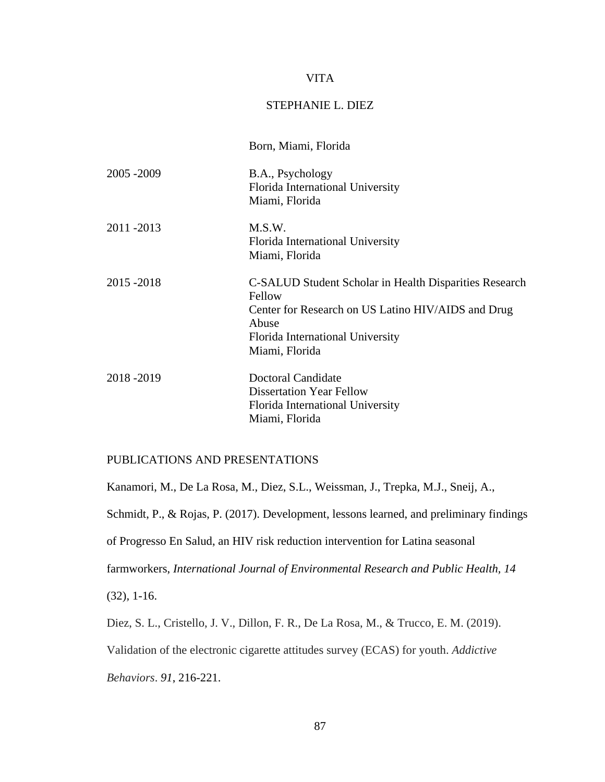### VITA

### STEPHANIE L. DIEZ

|             | Born, Miami, Florida                                                                                                                                                                  |
|-------------|---------------------------------------------------------------------------------------------------------------------------------------------------------------------------------------|
| 2005 - 2009 | B.A., Psychology<br>Florida International University<br>Miami, Florida                                                                                                                |
| 2011 - 2013 | M.S.W.<br>Florida International University<br>Miami, Florida                                                                                                                          |
| 2015 - 2018 | C-SALUD Student Scholar in Health Disparities Research<br>Fellow<br>Center for Research on US Latino HIV/AIDS and Drug<br>Abuse<br>Florida International University<br>Miami, Florida |
| 2018-2019   | Doctoral Candidate<br><b>Dissertation Year Fellow</b><br>Florida International University<br>Miami, Florida                                                                           |

## PUBLICATIONS AND PRESENTATIONS

Kanamori, M., De La Rosa, M., Diez, S.L., Weissman, J., Trepka, M.J., Sneij, A.,

Schmidt, P., & Rojas, P. (2017). Development, lessons learned, and preliminary findings

of Progresso En Salud, an HIV risk reduction intervention for Latina seasonal

farmworkers, *International Journal of Environmental Research and Public Health, 14* 

(32)*,* 1-16.

Diez, S. L., Cristello, J. V., Dillon, F. R., De La Rosa, M., & Trucco, E. M. (2019).

Validation of the electronic cigarette attitudes survey (ECAS) for youth. *Addictive*

*Behaviors*. *91*, 216-221.